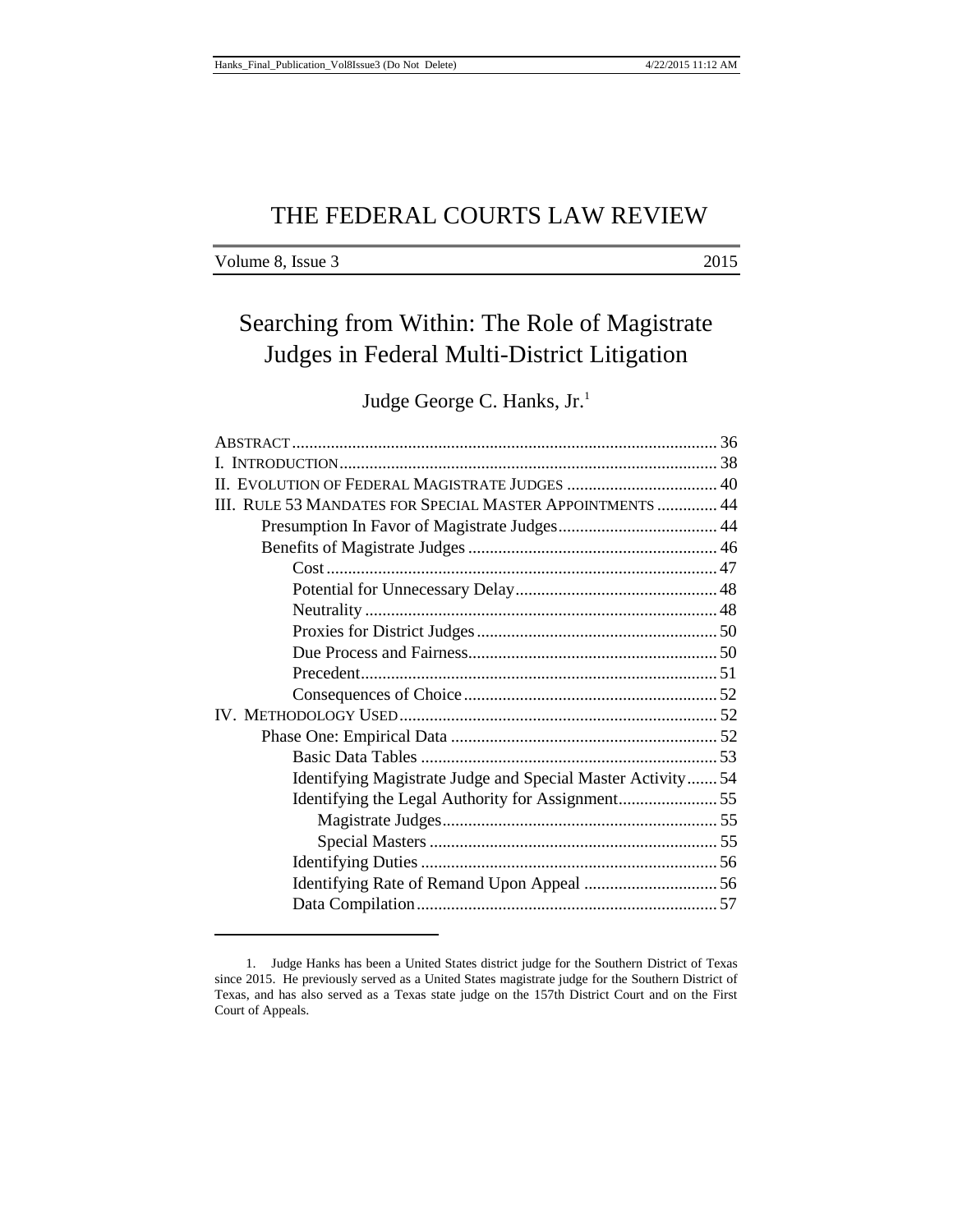# THE FEDERAL COURTS LAW REVIEW

| Volume 8, Issue 3 | 2015 |
|-------------------|------|
|-------------------|------|

# Searching from Within: The Role of Magistrate Judges in Federal Multi-District Litigation

Judge George C. Hanks, Jr.<sup>1</sup>

| III. RULE 53 MANDATES FOR SPECIAL MASTER APPOINTMENTS  44   |  |
|-------------------------------------------------------------|--|
|                                                             |  |
|                                                             |  |
|                                                             |  |
|                                                             |  |
|                                                             |  |
|                                                             |  |
|                                                             |  |
|                                                             |  |
|                                                             |  |
|                                                             |  |
|                                                             |  |
|                                                             |  |
| Identifying Magistrate Judge and Special Master Activity 54 |  |
|                                                             |  |
|                                                             |  |
|                                                             |  |
|                                                             |  |
|                                                             |  |
|                                                             |  |

<sup>1.</sup> Judge Hanks has been a United States district judge for the Southern District of Texas since 2015. He previously served as a United States magistrate judge for the Southern District of Texas, and has also served as a Texas state judge on the 157th District Court and on the First Court of Appeals.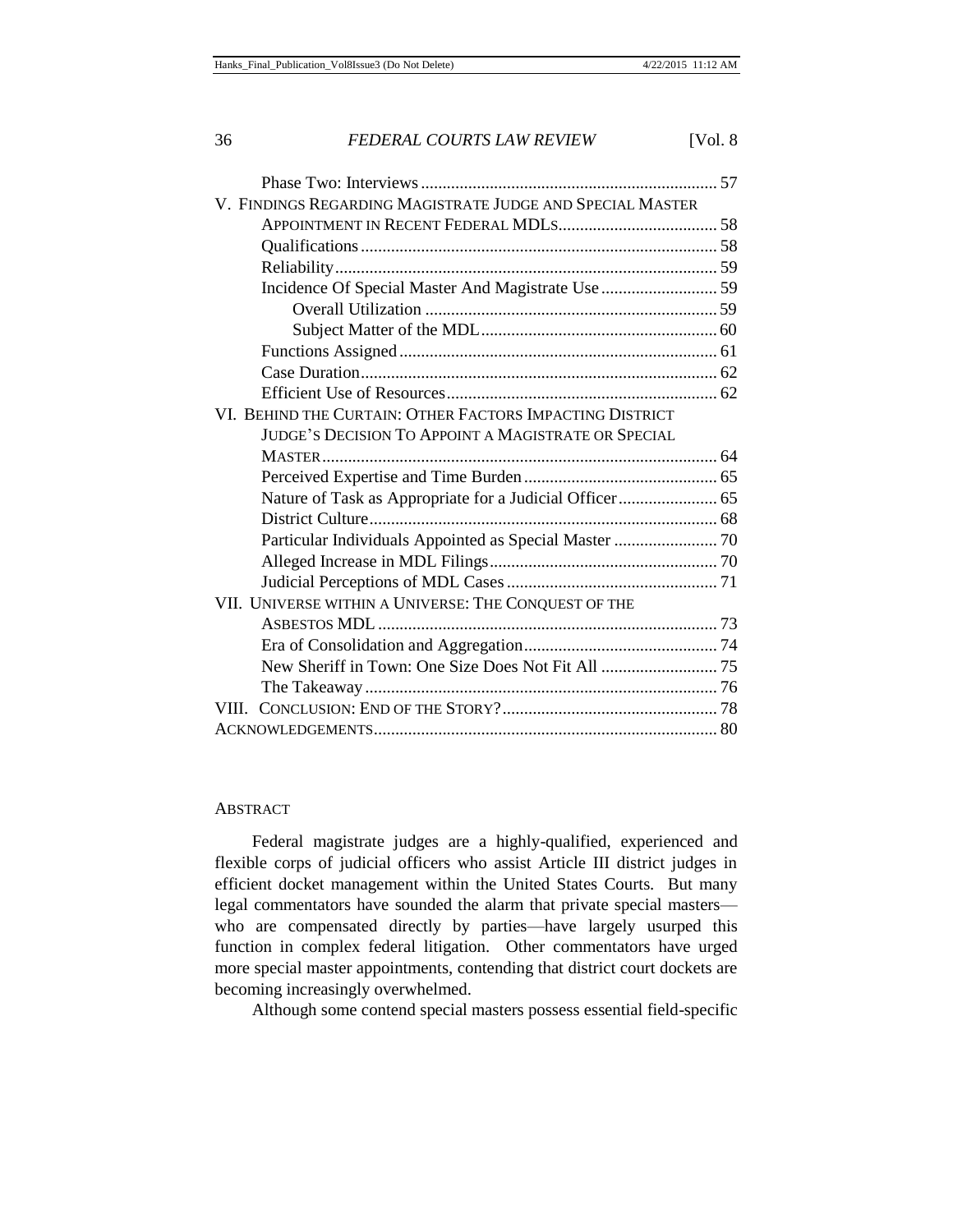| V. FINDINGS REGARDING MAGISTRATE JUDGE AND SPECIAL MASTER  |  |
|------------------------------------------------------------|--|
|                                                            |  |
|                                                            |  |
|                                                            |  |
|                                                            |  |
|                                                            |  |
|                                                            |  |
|                                                            |  |
|                                                            |  |
|                                                            |  |
| VI. BEHIND THE CURTAIN: OTHER FACTORS IMPACTING DISTRICT   |  |
| <b>JUDGE'S DECISION TO APPOINT A MAGISTRATE OR SPECIAL</b> |  |
|                                                            |  |
|                                                            |  |
| Nature of Task as Appropriate for a Judicial Officer 65    |  |
|                                                            |  |
|                                                            |  |
|                                                            |  |
|                                                            |  |
| VII. UNIVERSE WITHIN A UNIVERSE: THE CONQUEST OF THE       |  |
|                                                            |  |
|                                                            |  |
|                                                            |  |
|                                                            |  |
|                                                            |  |
|                                                            |  |

## ABSTRACT

Federal magistrate judges are a highly-qualified, experienced and flexible corps of judicial officers who assist Article III district judges in efficient docket management within the United States Courts. But many legal commentators have sounded the alarm that private special masters who are compensated directly by parties—have largely usurped this function in complex federal litigation. Other commentators have urged more special master appointments, contending that district court dockets are becoming increasingly overwhelmed.

Although some contend special masters possess essential field-specific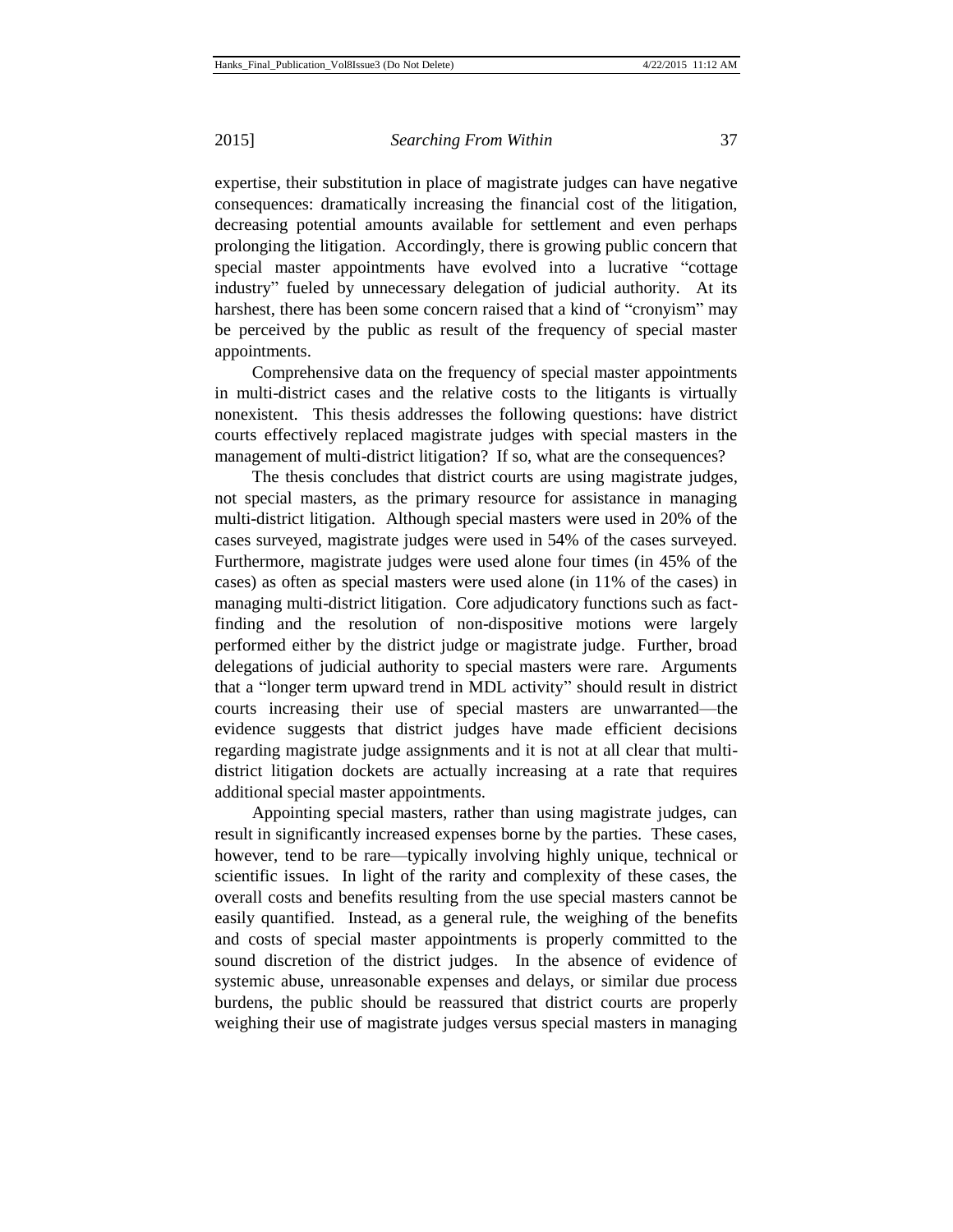expertise, their substitution in place of magistrate judges can have negative consequences: dramatically increasing the financial cost of the litigation, decreasing potential amounts available for settlement and even perhaps prolonging the litigation. Accordingly, there is growing public concern that special master appointments have evolved into a lucrative "cottage industry" fueled by unnecessary delegation of judicial authority. At its harshest, there has been some concern raised that a kind of "cronyism" may be perceived by the public as result of the frequency of special master appointments.

Comprehensive data on the frequency of special master appointments in multi-district cases and the relative costs to the litigants is virtually nonexistent. This thesis addresses the following questions: have district courts effectively replaced magistrate judges with special masters in the management of multi-district litigation? If so, what are the consequences?

The thesis concludes that district courts are using magistrate judges, not special masters, as the primary resource for assistance in managing multi-district litigation. Although special masters were used in 20% of the cases surveyed, magistrate judges were used in 54% of the cases surveyed. Furthermore, magistrate judges were used alone four times (in 45% of the cases) as often as special masters were used alone (in 11% of the cases) in managing multi-district litigation. Core adjudicatory functions such as factfinding and the resolution of non-dispositive motions were largely performed either by the district judge or magistrate judge. Further, broad delegations of judicial authority to special masters were rare. Arguments that a "longer term upward trend in MDL activity" should result in district courts increasing their use of special masters are unwarranted—the evidence suggests that district judges have made efficient decisions regarding magistrate judge assignments and it is not at all clear that multidistrict litigation dockets are actually increasing at a rate that requires additional special master appointments.

Appointing special masters, rather than using magistrate judges, can result in significantly increased expenses borne by the parties. These cases, however, tend to be rare—typically involving highly unique, technical or scientific issues. In light of the rarity and complexity of these cases, the overall costs and benefits resulting from the use special masters cannot be easily quantified. Instead, as a general rule, the weighing of the benefits and costs of special master appointments is properly committed to the sound discretion of the district judges. In the absence of evidence of systemic abuse, unreasonable expenses and delays, or similar due process burdens, the public should be reassured that district courts are properly weighing their use of magistrate judges versus special masters in managing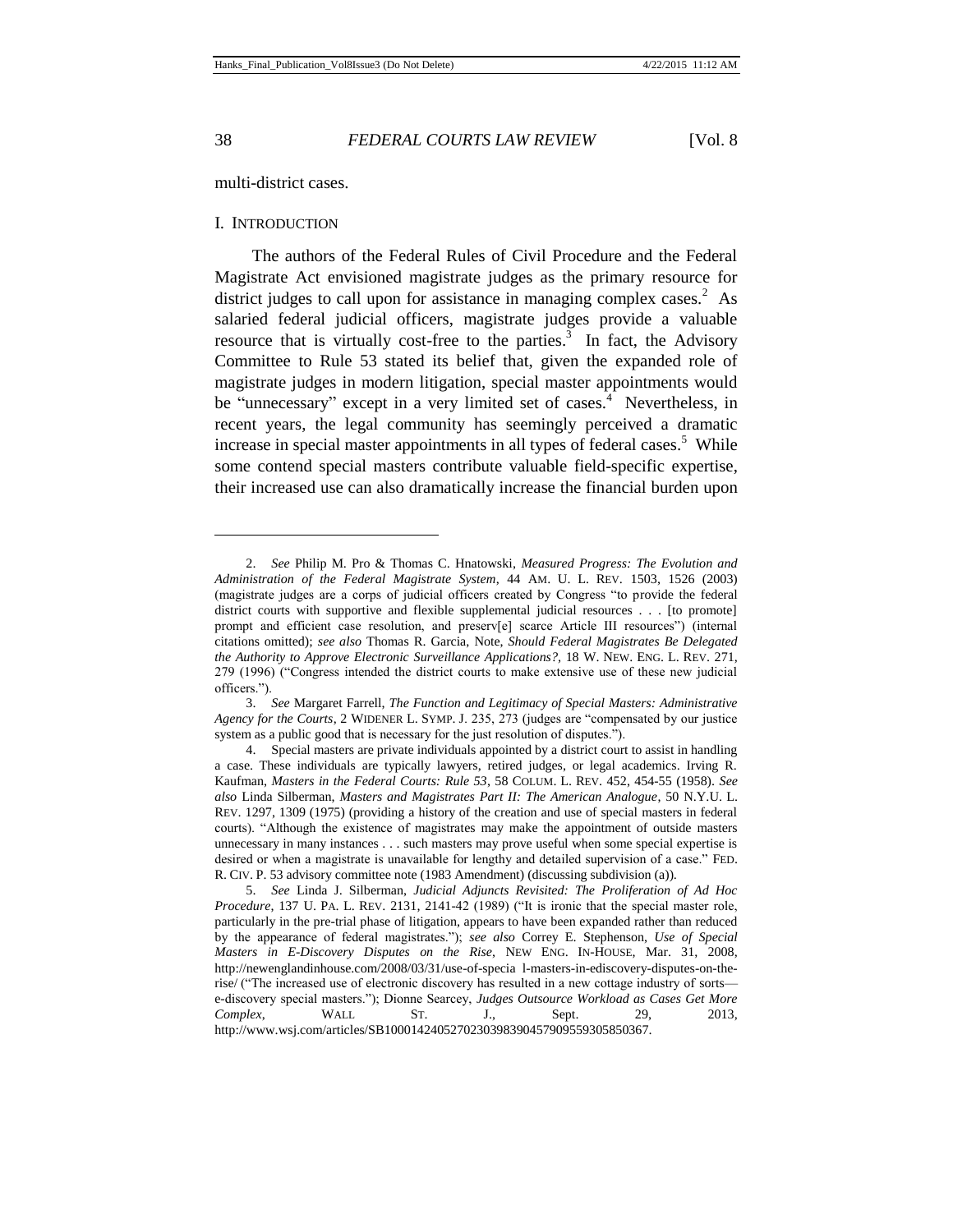l

## 38 *FEDERAL COURTS LAW REVIEW* [Vol. 8

multi-district cases.

## I. INTRODUCTION

The authors of the Federal Rules of Civil Procedure and the Federal Magistrate Act envisioned magistrate judges as the primary resource for district judges to call upon for assistance in managing complex cases.<sup>2</sup> As salaried federal judicial officers, magistrate judges provide a valuable resource that is virtually cost-free to the parties.<sup>3</sup> In fact, the Advisory Committee to Rule 53 stated its belief that, given the expanded role of magistrate judges in modern litigation, special master appointments would be "unnecessary" except in a very limited set of cases.<sup>4</sup> Nevertheless, in recent years, the legal community has seemingly perceived a dramatic increase in special master appointments in all types of federal cases.<sup>5</sup> While some contend special masters contribute valuable field-specific expertise, their increased use can also dramatically increase the financial burden upon

<sup>2.</sup> *See* Philip M. Pro & Thomas C. Hnatowski, *Measured Progress: The Evolution and Administration of the Federal Magistrate System*, 44 AM. U. L. REV. 1503, 1526 (2003) (magistrate judges are a corps of judicial officers created by Congress "to provide the federal district courts with supportive and flexible supplemental judicial resources . . . [to promote] prompt and efficient case resolution, and preserv[e] scarce Article III resources") (internal citations omitted); *see also* Thomas R. Garcia, Note, *Should Federal Magistrates Be Delegated the Authority to Approve Electronic Surveillance Applications?,* 18 W. NEW. ENG. L. REV. 271, 279 (1996) ("Congress intended the district courts to make extensive use of these new judicial officers.").

<sup>3.</sup> *See* Margaret Farrell, *The Function and Legitimacy of Special Masters: Administrative Agency for the Courts*, 2 WIDENER L. SYMP. J. 235, 273 (judges are "compensated by our justice system as a public good that is necessary for the just resolution of disputes.").

<sup>4.</sup> Special masters are private individuals appointed by a district court to assist in handling a case. These individuals are typically lawyers, retired judges, or legal academics. Irving R. Kaufman, *Masters in the Federal Courts: Rule 53*, 58 COLUM. L. REV. 452, 454-55 (1958). *See also* Linda Silberman, *Masters and Magistrates Part II: The American Analogue*, 50 N.Y.U. L. REV. 1297, 1309 (1975) (providing a history of the creation and use of special masters in federal courts). "Although the existence of magistrates may make the appointment of outside masters unnecessary in many instances . . . such masters may prove useful when some special expertise is desired or when a magistrate is unavailable for lengthy and detailed supervision of a case." FED. R. CIV. P. 53 advisory committee note (1983 Amendment) (discussing subdivision (a)).

<sup>5.</sup> *See* Linda J. Silberman, *Judicial Adjuncts Revisited: The Proliferation of Ad Hoc Procedure*, 137 U. PA. L. REV. 2131, 2141-42 (1989) ("It is ironic that the special master role, particularly in the pre-trial phase of litigation, appears to have been expanded rather than reduced by the appearance of federal magistrates."); *see also* Correy E. Stephenson, *Use of Special Masters in E-Discovery Disputes on the Rise*, NEW ENG. IN-HOUSE, Mar. 31, 2008, http://newenglandinhouse.com/2008/03/31/use-of-specia l-masters-in-ediscovery-disputes-on-therise/ ("The increased use of electronic discovery has resulted in a new cottage industry of sorts e-discovery special masters."); Dionne Searcey, *Judges Outsource Workload as Cases Get More Complex*, WALL ST. J., Sept. 29, 2013, http://www.wsj.com/articles/SB1000142405270230398390457909559305850367.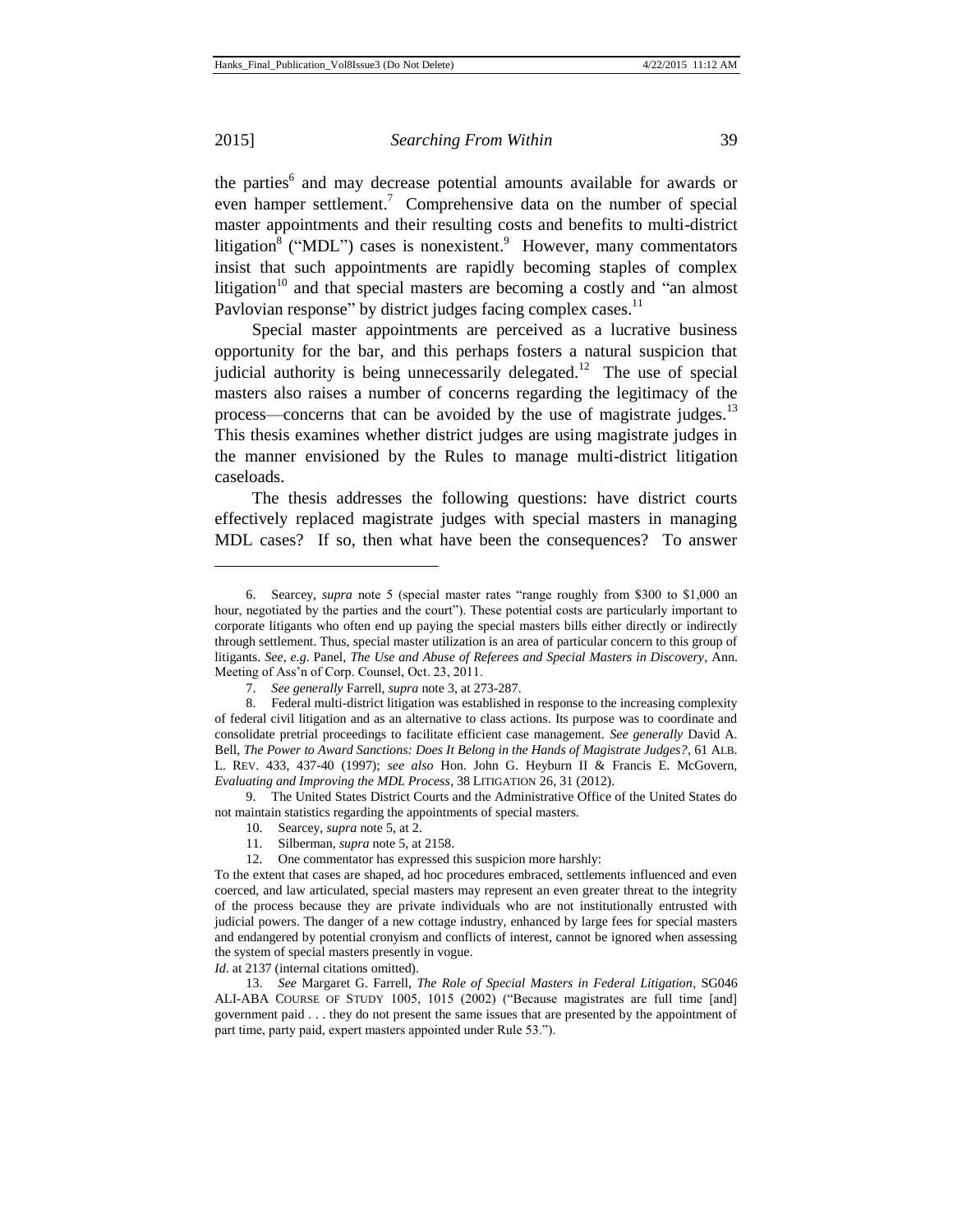l

#### 2015] *Searching From Within* 39

the parties<sup>6</sup> and may decrease potential amounts available for awards or even hamper settlement.<sup>7</sup> Comprehensive data on the number of special master appointments and their resulting costs and benefits to multi-district litigation<sup>8</sup> ("MDL") cases is nonexistent.<sup>9</sup> However, many commentators insist that such appointments are rapidly becoming staples of complex litigation<sup>10</sup> and that special masters are becoming a costly and "an almost Pavlovian response" by district judges facing complex cases.<sup>11</sup>

Special master appointments are perceived as a lucrative business opportunity for the bar, and this perhaps fosters a natural suspicion that judicial authority is being unnecessarily delegated.<sup>12</sup> The use of special masters also raises a number of concerns regarding the legitimacy of the process—concerns that can be avoided by the use of magistrate judges.<sup>13</sup> This thesis examines whether district judges are using magistrate judges in the manner envisioned by the Rules to manage multi-district litigation caseloads.

The thesis addresses the following questions: have district courts effectively replaced magistrate judges with special masters in managing MDL cases? If so, then what have been the consequences? To answer

9. The United States District Courts and the Administrative Office of the United States do not maintain statistics regarding the appointments of special masters.

*Id*. at 2137 (internal citations omitted).

<sup>6.</sup> Searcey, *supra* note 5 (special master rates "range roughly from \$300 to \$1,000 an hour, negotiated by the parties and the court"). These potential costs are particularly important to corporate litigants who often end up paying the special masters bills either directly or indirectly through settlement. Thus, special master utilization is an area of particular concern to this group of litigants. *See, e*.*g*. Panel, *The Use and Abuse of Referees and Special Masters in Discovery*, Ann. Meeting of Ass'n of Corp. Counsel, Oct. 23, 2011.

<sup>7.</sup> *See generally* Farrell, *supra* note 3, at 273-287.

<sup>8.</sup> Federal multi-district litigation was established in response to the increasing complexity of federal civil litigation and as an alternative to class actions. Its purpose was to coordinate and consolidate pretrial proceedings to facilitate efficient case management. *See generally* David A. Bell, *The Power to Award Sanctions: Does It Belong in the Hands of Magistrate Judges?*, 61 ALB. L. REV. 433, 437-40 (1997); *see also* Hon. John G. Heyburn II & Francis E. McGovern, *Evaluating and Improving the MDL Process*, 38 LITIGATION 26, 31 (2012).

<sup>10.</sup> Searcey, *supra* note 5, at 2.

<sup>11.</sup> Silberman, *supra* note 5, at 2158.

<sup>12.</sup> One commentator has expressed this suspicion more harshly:

To the extent that cases are shaped, ad hoc procedures embraced, settlements influenced and even coerced, and law articulated, special masters may represent an even greater threat to the integrity of the process because they are private individuals who are not institutionally entrusted with judicial powers. The danger of a new cottage industry, enhanced by large fees for special masters and endangered by potential cronyism and conflicts of interest, cannot be ignored when assessing the system of special masters presently in vogue.

<sup>13.</sup> *See* Margaret G. Farrell, *The Role of Special Masters in Federal Litigation*, SG046 ALI-ABA COURSE OF STUDY 1005, 1015 (2002) ("Because magistrates are full time [and] government paid . . . they do not present the same issues that are presented by the appointment of part time, party paid, expert masters appointed under Rule 53.").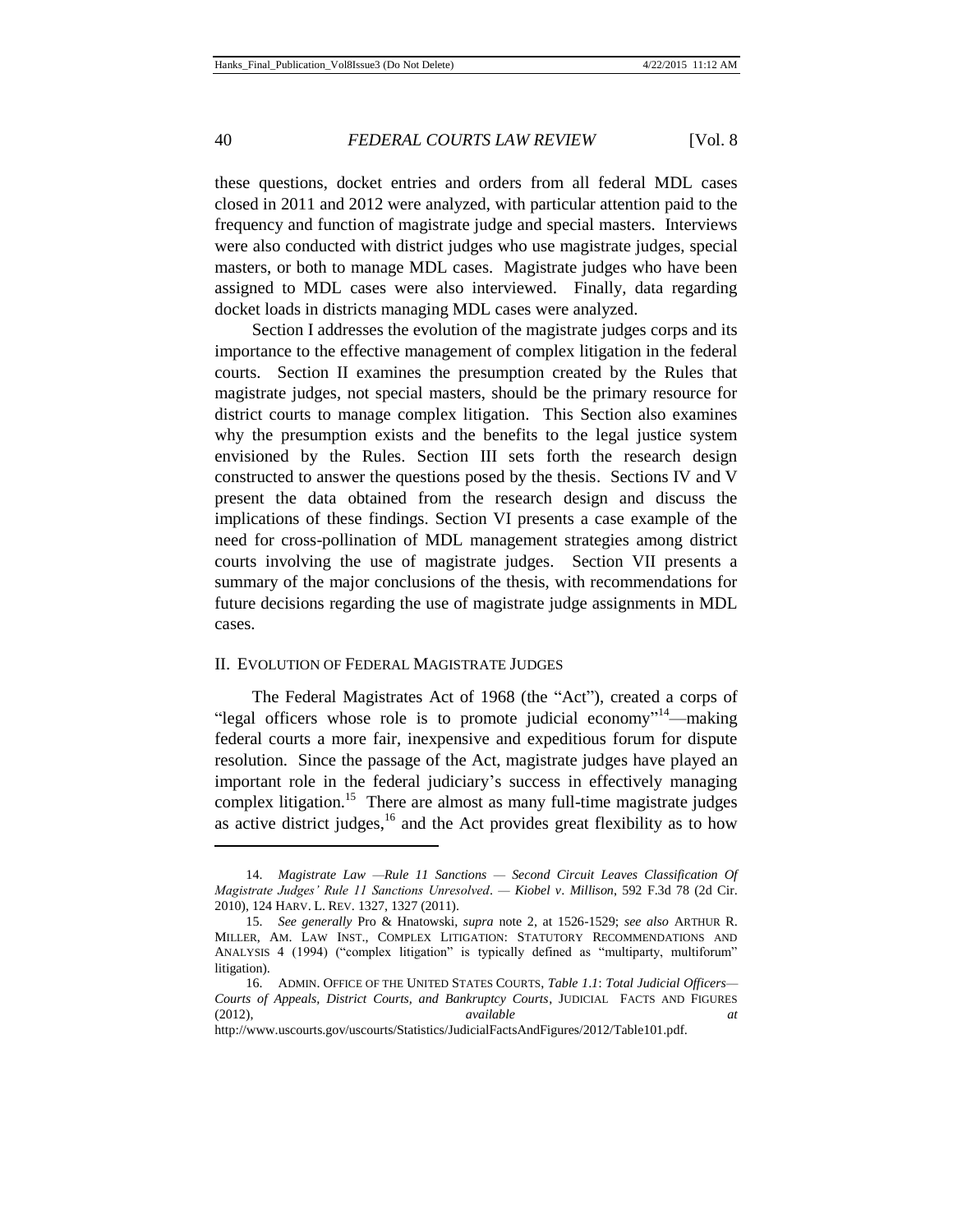these questions, docket entries and orders from all federal MDL cases closed in 2011 and 2012 were analyzed, with particular attention paid to the frequency and function of magistrate judge and special masters. Interviews were also conducted with district judges who use magistrate judges, special masters, or both to manage MDL cases. Magistrate judges who have been assigned to MDL cases were also interviewed. Finally, data regarding docket loads in districts managing MDL cases were analyzed.

Section I addresses the evolution of the magistrate judges corps and its importance to the effective management of complex litigation in the federal courts. Section II examines the presumption created by the Rules that magistrate judges, not special masters, should be the primary resource for district courts to manage complex litigation. This Section also examines why the presumption exists and the benefits to the legal justice system envisioned by the Rules. Section III sets forth the research design constructed to answer the questions posed by the thesis. Sections IV and V present the data obtained from the research design and discuss the implications of these findings. Section VI presents a case example of the need for cross-pollination of MDL management strategies among district courts involving the use of magistrate judges. Section VII presents a summary of the major conclusions of the thesis, with recommendations for future decisions regarding the use of magistrate judge assignments in MDL cases.

#### II. EVOLUTION OF FEDERAL MAGISTRATE JUDGES

l

The Federal Magistrates Act of 1968 (the "Act"), created a corps of "legal officers whose role is to promote judicial economy"<sup>14</sup>—making federal courts a more fair, inexpensive and expeditious forum for dispute resolution. Since the passage of the Act, magistrate judges have played an important role in the federal judiciary's success in effectively managing complex litigation.<sup>15</sup> There are almost as many full-time magistrate judges as active district judges, $16$  and the Act provides great flexibility as to how

<sup>14.</sup> *Magistrate Law —Rule 11 Sanctions — Second Circuit Leaves Classification Of Magistrate Judges' Rule 11 Sanctions Unresolved*. *— Kiobel v*. *Millison*, 592 F.3d 78 (2d Cir. 2010), 124 HARV. L. REV. 1327, 1327 (2011).

<sup>15.</sup> *See generally* Pro & Hnatowski, *supra* note 2, at 1526-1529; *see also* ARTHUR R. MILLER, AM. LAW INST., COMPLEX LITIGATION: STATUTORY RECOMMENDATIONS AND ANALYSIS 4 (1994) ("complex litigation" is typically defined as "multiparty, multiforum" litigation).

<sup>16.</sup> ADMIN. OFFICE OF THE UNITED STATES COURTS, *Table 1*.*1*: *Total Judicial Officers— Courts of Appeals, District Courts, and Bankruptcy Courts*, JUDICIAL FACTS AND FIGURES (2012), *available at* http://www.uscourts.gov/uscourts/Statistics/JudicialFactsAndFigures/2012/Table101.pdf.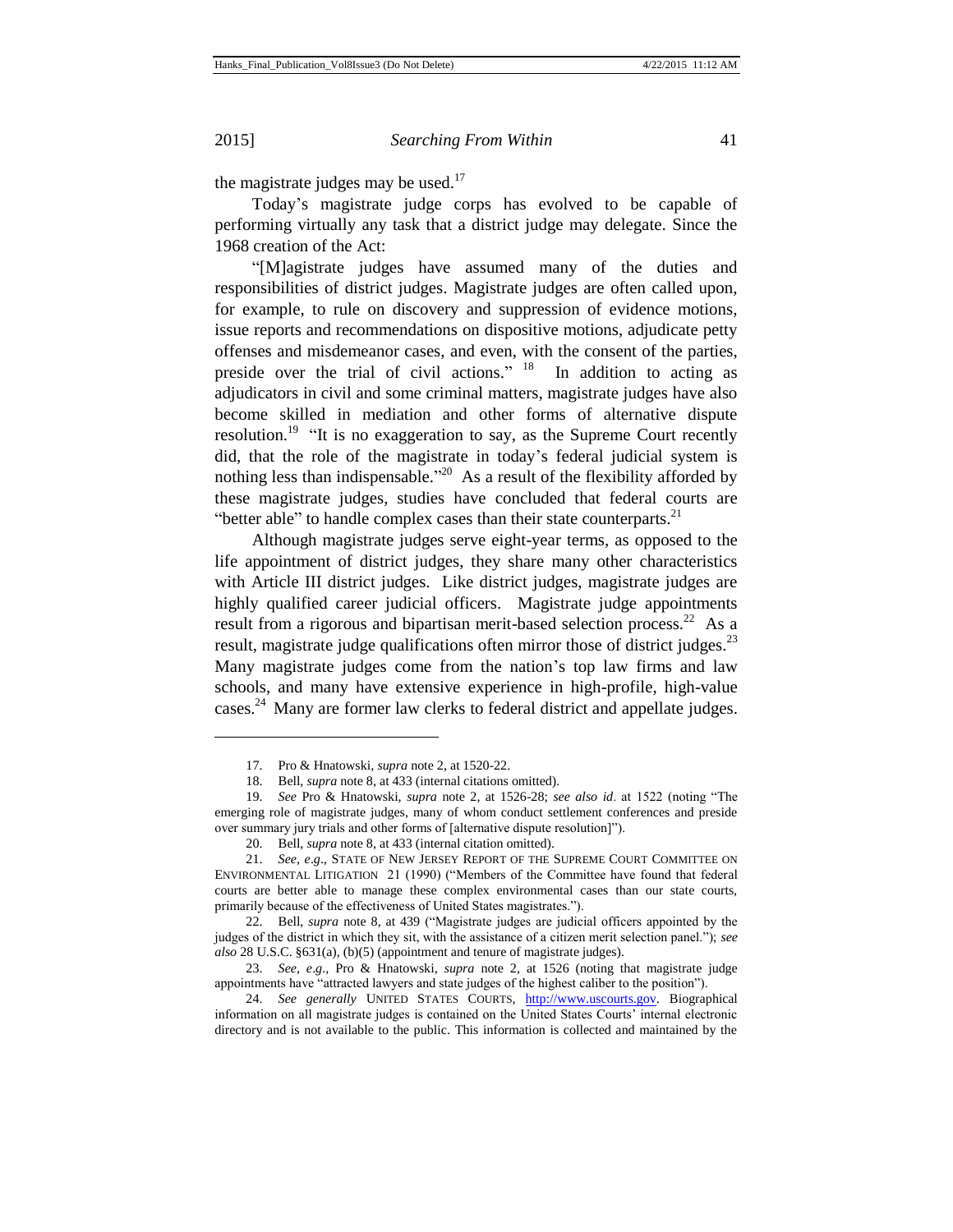$\overline{a}$ 

#### 2015] *Searching From Within* 41

the magistrate judges may be used. $17$ 

Today's magistrate judge corps has evolved to be capable of performing virtually any task that a district judge may delegate. Since the 1968 creation of the Act:

"[M]agistrate judges have assumed many of the duties and responsibilities of district judges. Magistrate judges are often called upon, for example, to rule on discovery and suppression of evidence motions, issue reports and recommendations on dispositive motions, adjudicate petty offenses and misdemeanor cases, and even, with the consent of the parties, preside over the trial of civil actions." <sup>18</sup> In addition to acting as adjudicators in civil and some criminal matters, magistrate judges have also become skilled in mediation and other forms of alternative dispute resolution.<sup>19</sup> "It is no exaggeration to say, as the Supreme Court recently did, that the role of the magistrate in today's federal judicial system is nothing less than indispensable.<sup>"20</sup> As a result of the flexibility afforded by these magistrate judges, studies have concluded that federal courts are "better able" to handle complex cases than their state counterparts. $2<sup>1</sup>$ 

Although magistrate judges serve eight-year terms, as opposed to the life appointment of district judges, they share many other characteristics with Article III district judges. Like district judges, magistrate judges are highly qualified career judicial officers. Magistrate judge appointments result from a rigorous and bipartisan merit-based selection process.<sup>22</sup> As a result, magistrate judge qualifications often mirror those of district judges.<sup>23</sup> Many magistrate judges come from the nation's top law firms and law schools, and many have extensive experience in high-profile, high-value cases.<sup>24</sup> Many are former law clerks to federal district and appellate judges.

<sup>17.</sup> Pro & Hnatowski, *supra* note 2, at 1520-22.

<sup>18.</sup> Bell, *supra* note 8, at 433 (internal citations omitted).

<sup>19.</sup> *See* Pro & Hnatowski, *supra* note 2, at 1526-28; *see also id*. at 1522 (noting "The emerging role of magistrate judges, many of whom conduct settlement conferences and preside over summary jury trials and other forms of [alternative dispute resolution]").

<sup>20.</sup> Bell, *supra* note 8, at 433 (internal citation omitted).

<sup>21.</sup> *See, e*.*g*., STATE OF NEW JERSEY REPORT OF THE SUPREME COURT COMMITTEE ON ENVIRONMENTAL LITIGATION 21 (1990) ("Members of the Committee have found that federal courts are better able to manage these complex environmental cases than our state courts, primarily because of the effectiveness of United States magistrates.").

<sup>22.</sup> Bell, *supra* note 8, at 439 ("Magistrate judges are judicial officers appointed by the judges of the district in which they sit, with the assistance of a citizen merit selection panel."); *see also* 28 U.S.C. §631(a), (b)(5) (appointment and tenure of magistrate judges).

<sup>23.</sup> *See, e*.*g*.*,* Pro & Hnatowski, *supra* note 2, at 1526 (noting that magistrate judge appointments have "attracted lawyers and state judges of the highest caliber to the position").

<sup>24.</sup> *See generally* UNITED STATES COURTS, [http://www.uscourts.gov.](http://www.uscourts.gov/) Biographical information on all magistrate judges is contained on the United States Courts' internal electronic directory and is not available to the public. This information is collected and maintained by the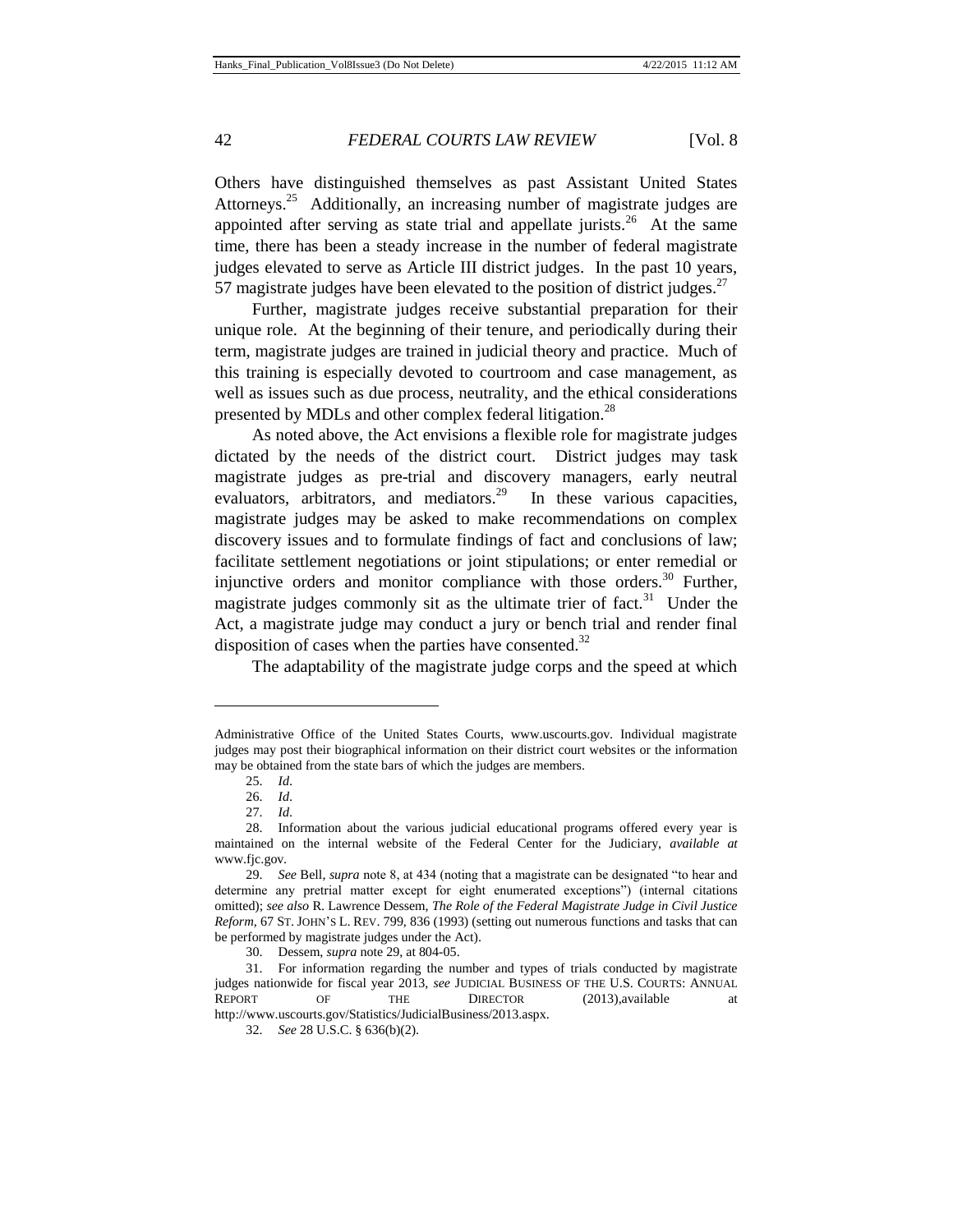Others have distinguished themselves as past Assistant United States Attorneys.<sup>25</sup> Additionally, an increasing number of magistrate judges are appointed after serving as state trial and appellate jurists.<sup>26</sup> At the same time, there has been a steady increase in the number of federal magistrate judges elevated to serve as Article III district judges. In the past 10 years, 57 magistrate judges have been elevated to the position of district judges.<sup>27</sup>

Further, magistrate judges receive substantial preparation for their unique role. At the beginning of their tenure, and periodically during their term, magistrate judges are trained in judicial theory and practice. Much of this training is especially devoted to courtroom and case management, as well as issues such as due process, neutrality, and the ethical considerations presented by MDLs and other complex federal litigation.<sup>28</sup>

As noted above, the Act envisions a flexible role for magistrate judges dictated by the needs of the district court. District judges may task magistrate judges as pre-trial and discovery managers, early neutral evaluators, arbitrators, and mediators.<sup>29</sup> In these various capacities, magistrate judges may be asked to make recommendations on complex discovery issues and to formulate findings of fact and conclusions of law; facilitate settlement negotiations or joint stipulations; or enter remedial or injunctive orders and monitor compliance with those orders.<sup>30</sup> Further, magistrate judges commonly sit as the ultimate trier of fact.<sup>31</sup> Under the Act, a magistrate judge may conduct a jury or bench trial and render final disposition of cases when the parties have consented.<sup>32</sup>

The adaptability of the magistrate judge corps and the speed at which

Administrative Office of the United States Courts, www.uscourts.gov. Individual magistrate judges may post their biographical information on their district court websites or the information may be obtained from the state bars of which the judges are members.

<sup>25.</sup> *Id*.

<sup>26.</sup> *Id*.

<sup>27.</sup> *Id*.

<sup>28.</sup> Information about the various judicial educational programs offered every year is maintained on the internal website of the Federal Center for the Judiciary, *available at*  www.fjc.gov.

<sup>29.</sup> *See* Bell, *supra* note 8, at 434 (noting that a magistrate can be designated "to hear and determine any pretrial matter except for eight enumerated exceptions") (internal citations omitted); *see also* R. Lawrence Dessem, *The Role of the Federal Magistrate Judge in Civil Justice Reform*, 67 ST. JOHN'S L. REV. 799, 836 (1993) (setting out numerous functions and tasks that can be performed by magistrate judges under the Act).

<sup>30.</sup> Dessem, *supra* note 29, at 804-05.

<sup>31.</sup> For information regarding the number and types of trials conducted by magistrate judges nationwide for fiscal year 2013, *see* JUDICIAL BUSINESS OF THE U.S. COURTS: ANNUAL REPORT OF THE DIRECTOR (2013),available at http://www.uscourts.gov/Statistics/JudicialBusiness/2013.aspx.

<sup>32.</sup> *See* 28 U.S.C. § 636(b)(2).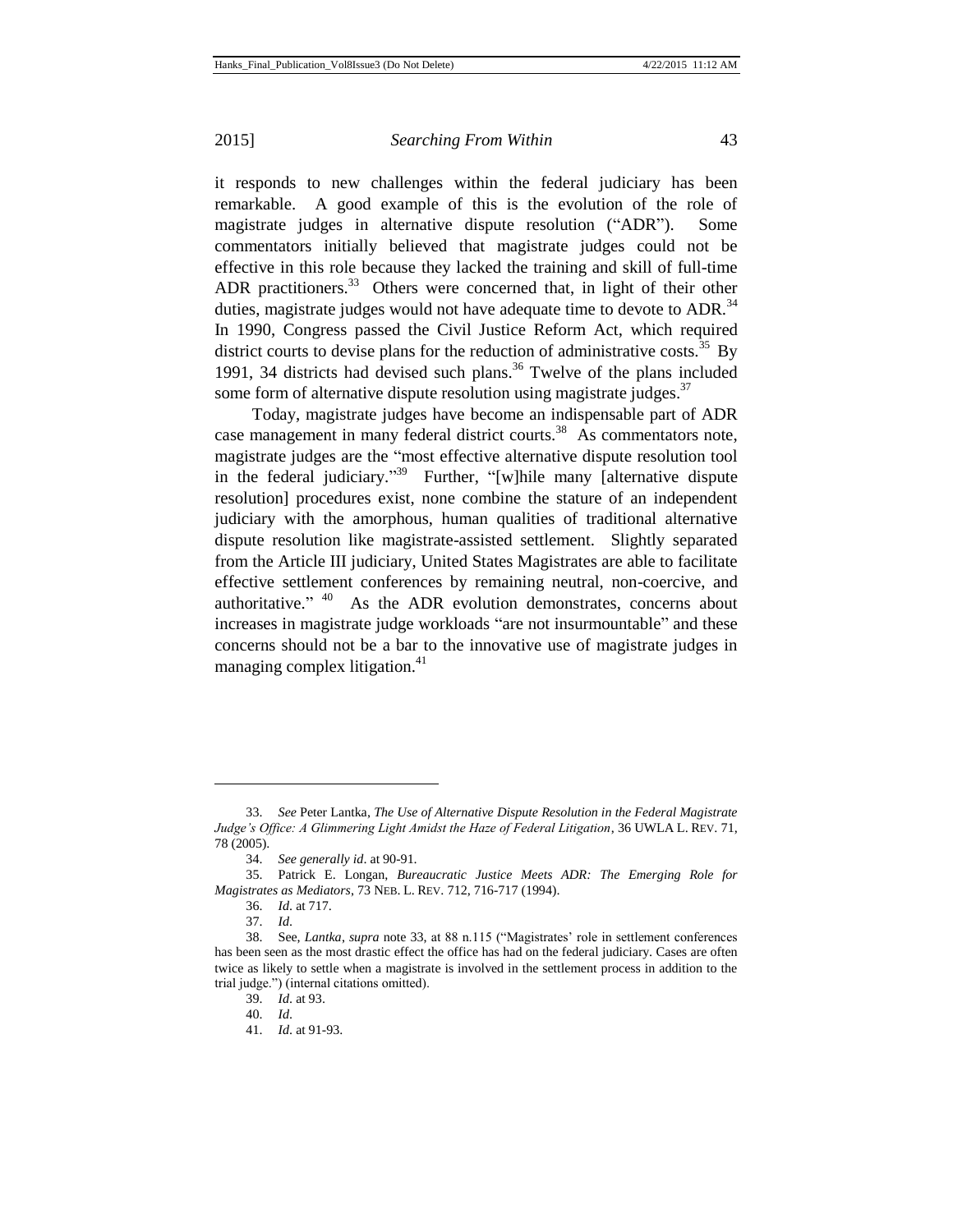it responds to new challenges within the federal judiciary has been remarkable. A good example of this is the evolution of the role of magistrate judges in alternative dispute resolution ("ADR"). Some commentators initially believed that magistrate judges could not be effective in this role because they lacked the training and skill of full-time ADR practitioners.<sup>33</sup> Others were concerned that, in light of their other duties, magistrate judges would not have adequate time to devote to ADR. $34$ In 1990, Congress passed the Civil Justice Reform Act, which required district courts to devise plans for the reduction of administrative costs.<sup>35</sup> By 1991, 34 districts had devised such plans.<sup>36</sup> Twelve of the plans included some form of alternative dispute resolution using magistrate judges.<sup>37</sup>

Today, magistrate judges have become an indispensable part of ADR case management in many federal district courts.<sup>38</sup> As commentators note, magistrate judges are the "most effective alternative dispute resolution tool in the federal judiciary."<sup>39</sup> Further, "[w]hile many [alternative dispute resolution] procedures exist, none combine the stature of an independent judiciary with the amorphous, human qualities of traditional alternative dispute resolution like magistrate-assisted settlement. Slightly separated from the Article III judiciary, United States Magistrates are able to facilitate effective settlement conferences by remaining neutral, non-coercive, and authoritative."  $40$  As the ADR evolution demonstrates, concerns about increases in magistrate judge workloads "are not insurmountable" and these concerns should not be a bar to the innovative use of magistrate judges in managing complex litigation.<sup>41</sup>

<sup>33.</sup> *See* Peter Lantka, *The Use of Alternative Dispute Resolution in the Federal Magistrate Judge's Office: A Glimmering Light Amidst the Haze of Federal Litigation*, 36 UWLA L. REV. 71, 78 (2005).

<sup>34.</sup> *See generally id*. at 90-91.

<sup>35.</sup> Patrick E. Longan, *Bureaucratic Justice Meets ADR: The Emerging Role for Magistrates as Mediators*, 73 NEB. L. REV. 712, 716-717 (1994).

<sup>36.</sup> *Id*. at 717.

<sup>37.</sup> *Id*.

<sup>38.</sup> See, *Lantka*, *supra* note 33, at 88 n.115 ("Magistrates' role in settlement conferences has been seen as the most drastic effect the office has had on the federal judiciary. Cases are often twice as likely to settle when a magistrate is involved in the settlement process in addition to the trial judge.") (internal citations omitted).

<sup>39.</sup> *Id*. at 93.

<sup>40.</sup> *Id*.

<sup>41.</sup> *Id*. at 91-93.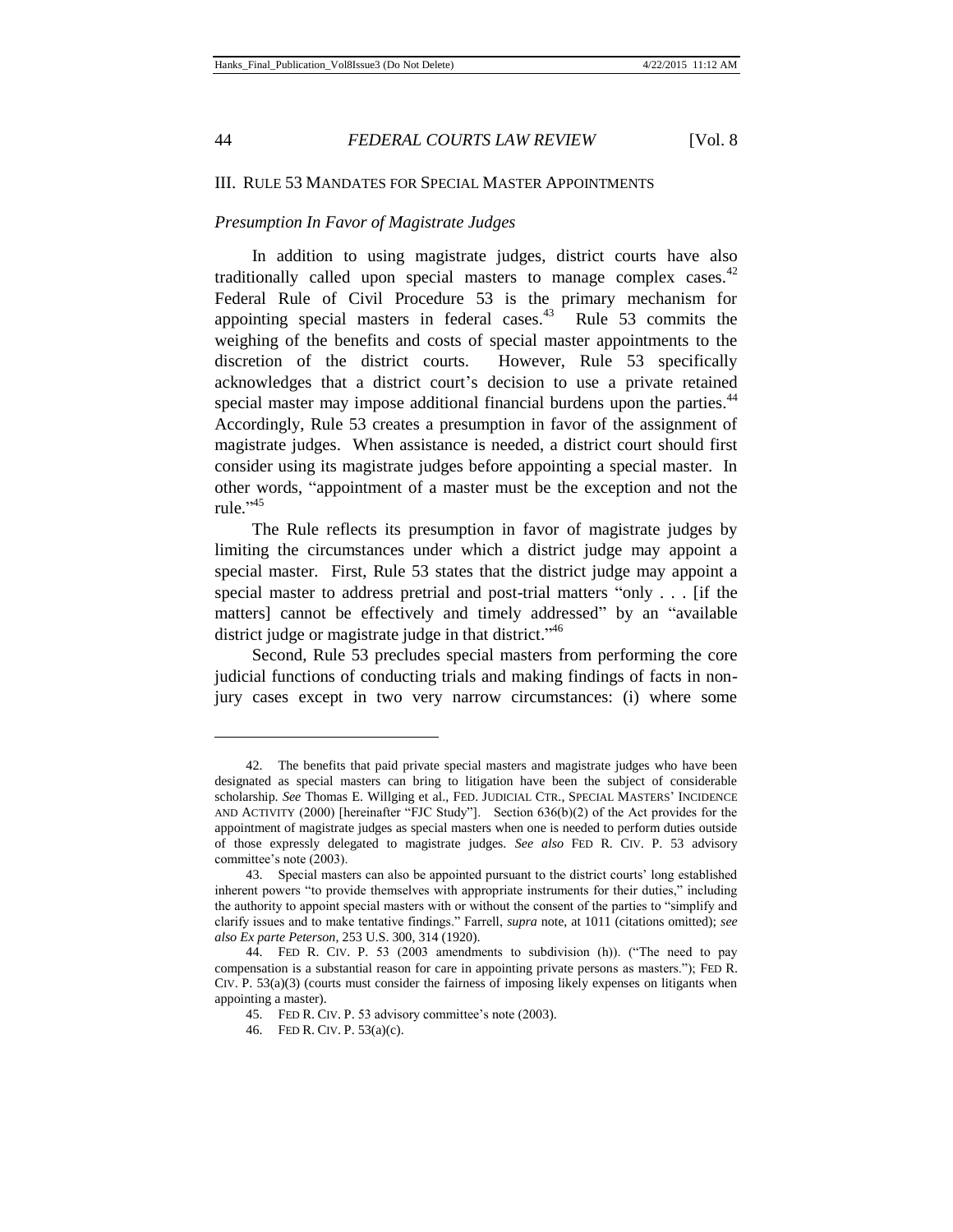$\overline{a}$ 

44 *FEDERAL COURTS LAW REVIEW* [Vol. 8

## III. RULE 53 MANDATES FOR SPECIAL MASTER APPOINTMENTS

## *Presumption In Favor of Magistrate Judges*

In addition to using magistrate judges, district courts have also traditionally called upon special masters to manage complex cases.  $42$ Federal Rule of Civil Procedure 53 is the primary mechanism for appointing special masters in federal cases. $43$  Rule 53 commits the weighing of the benefits and costs of special master appointments to the discretion of the district courts. However, Rule 53 specifically acknowledges that a district court's decision to use a private retained special master may impose additional financial burdens upon the parties.<sup>44</sup> Accordingly, Rule 53 creates a presumption in favor of the assignment of magistrate judges. When assistance is needed, a district court should first consider using its magistrate judges before appointing a special master. In other words, "appointment of a master must be the exception and not the rule." 45

The Rule reflects its presumption in favor of magistrate judges by limiting the circumstances under which a district judge may appoint a special master. First, Rule 53 states that the district judge may appoint a special master to address pretrial and post-trial matters "only . . . [if the matters] cannot be effectively and timely addressed" by an "available district judge or magistrate judge in that district."<sup>46</sup>

Second, Rule 53 precludes special masters from performing the core judicial functions of conducting trials and making findings of facts in nonjury cases except in two very narrow circumstances: (i) where some

<sup>42.</sup> The benefits that paid private special masters and magistrate judges who have been designated as special masters can bring to litigation have been the subject of considerable scholarship. *See* Thomas E. Willging et al., FED. JUDICIAL CTR., SPECIAL MASTERS' INCIDENCE AND ACTIVITY (2000) [hereinafter "FJC Study"]. Section 636(b)(2) of the Act provides for the appointment of magistrate judges as special masters when one is needed to perform duties outside of those expressly delegated to magistrate judges. *See also* FED R. CIV. P. 53 advisory committee's note (2003).

<sup>43.</sup> Special masters can also be appointed pursuant to the district courts' long established inherent powers "to provide themselves with appropriate instruments for their duties," including the authority to appoint special masters with or without the consent of the parties to "simplify and clarify issues and to make tentative findings." Farrell, *supra* note, at 1011 (citations omitted); *see also Ex parte Peterson*, 253 U.S. 300, 314 (1920).

<sup>44.</sup> FED R. CIV. P. 53 (2003 amendments to subdivision (h)). ("The need to pay compensation is a substantial reason for care in appointing private persons as masters."); FED R.  $CIV.$  P.  $53(a)(3)$  (courts must consider the fairness of imposing likely expenses on litigants when appointing a master).

<sup>45.</sup> FED R. CIV. P. 53 advisory committee's note (2003).

<sup>46.</sup> FED R. CIV. P. 53(a)(c).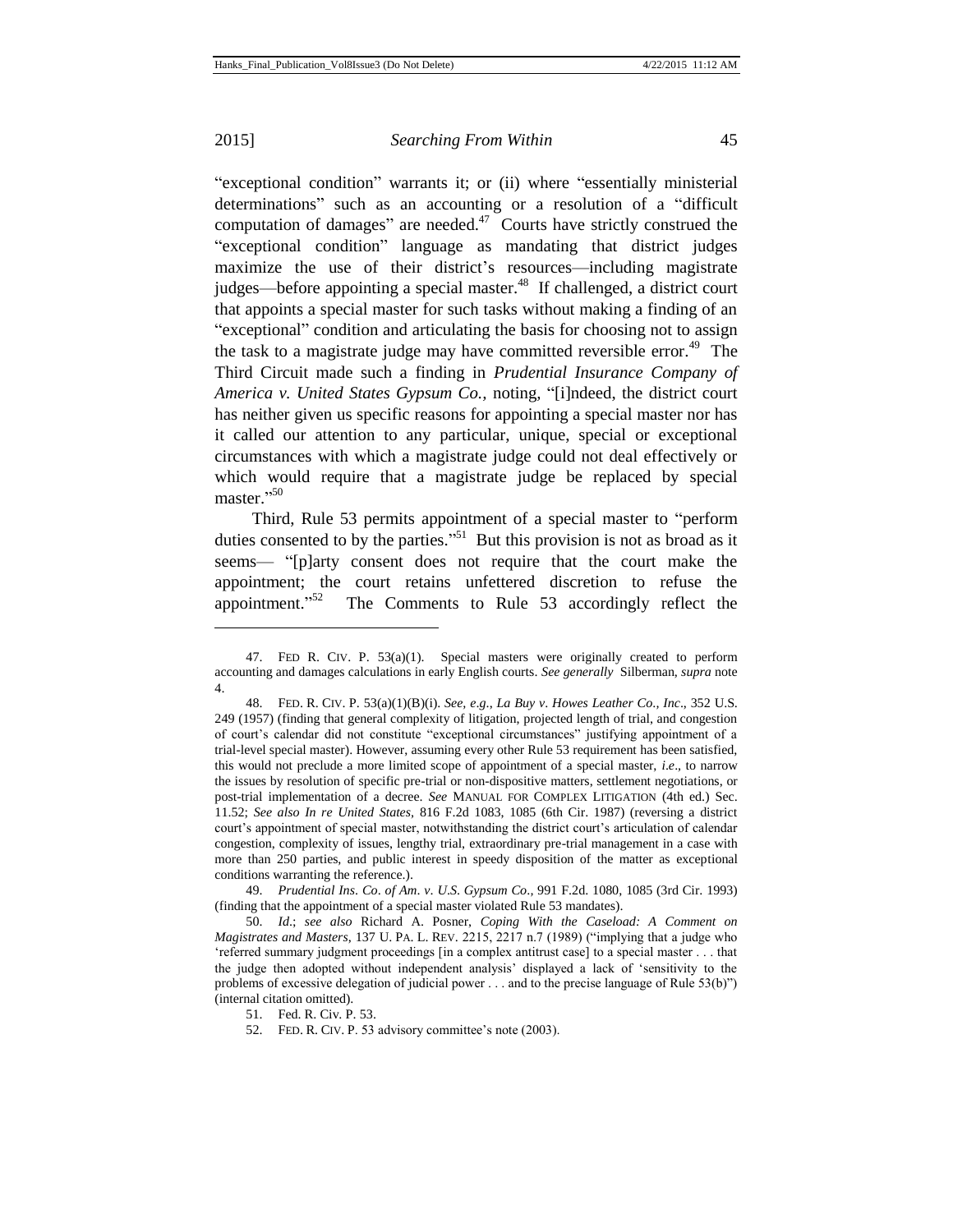l

## 2015] *Searching From Within* 45

"exceptional condition" warrants it; or (ii) where "essentially ministerial determinations" such as an accounting or a resolution of a "difficult computation of damages" are needed.<sup>47</sup> Courts have strictly construed the "exceptional condition" language as mandating that district judges maximize the use of their district's resources—including magistrate judges—before appointing a special master.<sup>48</sup> If challenged, a district court that appoints a special master for such tasks without making a finding of an "exceptional" condition and articulating the basis for choosing not to assign the task to a magistrate judge may have committed reversible error.<sup>49</sup> The Third Circuit made such a finding in *Prudential Insurance Company of America v. United States Gypsum Co.,* noting*,* "[i]ndeed, the district court has neither given us specific reasons for appointing a special master nor has it called our attention to any particular, unique, special or exceptional circumstances with which a magistrate judge could not deal effectively or which would require that a magistrate judge be replaced by special master." 50

Third, Rule 53 permits appointment of a special master to "perform duties consented to by the parties.<sup> $51$ </sup> But this provision is not as broad as it seems— "[p]arty consent does not require that the court make the appointment; the court retains unfettered discretion to refuse the appointment."<sup>52</sup> The Comments to Rule 53 accordingly reflect the

49. *Prudential Ins*. *Co*. *of Am*. *v*. *U*.*S*. *Gypsum Co*.*,* 991 F.2d. 1080, 1085 (3rd Cir. 1993) (finding that the appointment of a special master violated Rule 53 mandates).

50. *Id*.; *see also* Richard A. Posner, *Coping With the Caseload: A Comment on Magistrates and Masters*, 137 U. PA. L. REV. 2215, 2217 n.7 (1989) ("implying that a judge who 'referred summary judgment proceedings [in a complex antitrust case] to a special master . . . that the judge then adopted without independent analysis' displayed a lack of 'sensitivity to the problems of excessive delegation of judicial power . . . and to the precise language of Rule 53(b)") (internal citation omitted).

<sup>47.</sup> FED R. CIV. P. 53(a)(1). Special masters were originally created to perform accounting and damages calculations in early English courts. *See generally* Silberman, *supra* note 4.

<sup>48.</sup> FED. R. CIV. P. 53(a)(1)(B)(i). *See, e*.*g*., *La Buy v*. *Howes Leather Co*.*, Inc*., 352 U.S. 249 (1957) (finding that general complexity of litigation, projected length of trial, and congestion of court's calendar did not constitute "exceptional circumstances" justifying appointment of a trial-level special master). However, assuming every other Rule 53 requirement has been satisfied, this would not preclude a more limited scope of appointment of a special master, *i*.*e*.*,* to narrow the issues by resolution of specific pre-trial or non-dispositive matters, settlement negotiations, or post-trial implementation of a decree. *See* MANUAL FOR COMPLEX LITIGATION (4th ed.) Sec. 11.52; *See also In re United States,* 816 F.2d 1083, 1085 (6th Cir. 1987) (reversing a district court's appointment of special master, notwithstanding the district court's articulation of calendar congestion, complexity of issues, lengthy trial, extraordinary pre-trial management in a case with more than 250 parties, and public interest in speedy disposition of the matter as exceptional conditions warranting the reference.).

<sup>51.</sup> Fed. R. Civ. P. 53.

<sup>52.</sup> FED. R. CIV. P. 53 advisory committee's note (2003).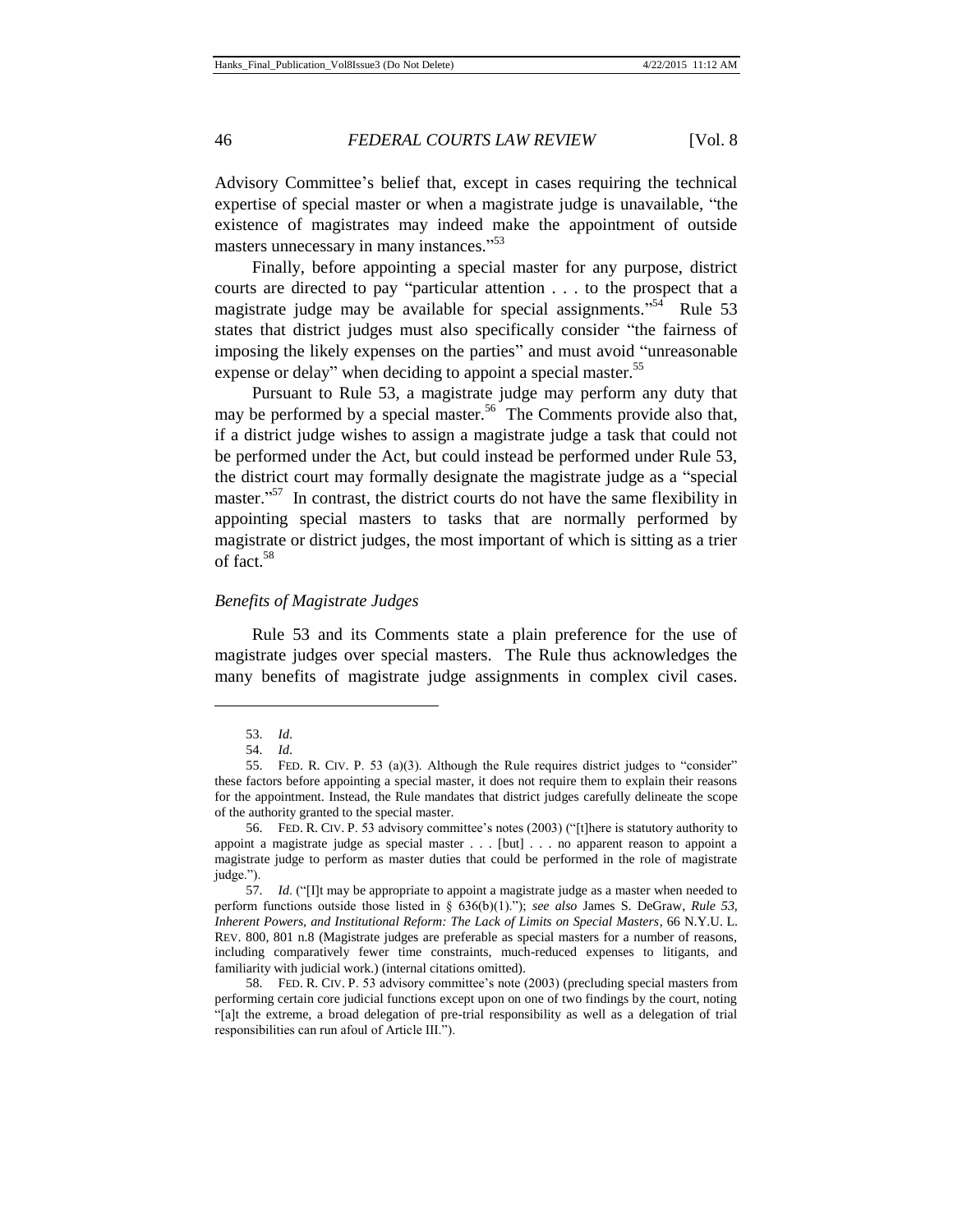Advisory Committee's belief that, except in cases requiring the technical expertise of special master or when a magistrate judge is unavailable, "the existence of magistrates may indeed make the appointment of outside masters unnecessary in many instances."<sup>53</sup>

Finally, before appointing a special master for any purpose, district courts are directed to pay "particular attention . . . to the prospect that a magistrate judge may be available for special assignments."<sup>54</sup> Rule 53 states that district judges must also specifically consider "the fairness of imposing the likely expenses on the parties" and must avoid "unreasonable expense or delay" when deciding to appoint a special master.<sup>55</sup>

Pursuant to Rule 53, a magistrate judge may perform any duty that may be performed by a special master.<sup>56</sup> The Comments provide also that, if a district judge wishes to assign a magistrate judge a task that could not be performed under the Act, but could instead be performed under Rule 53, the district court may formally designate the magistrate judge as a "special master."<sup>57</sup> In contrast, the district courts do not have the same flexibility in appointing special masters to tasks that are normally performed by magistrate or district judges, the most important of which is sitting as a trier of fact.<sup>58</sup>

## *Benefits of Magistrate Judges*

Rule 53 and its Comments state a plain preference for the use of magistrate judges over special masters. The Rule thus acknowledges the many benefits of magistrate judge assignments in complex civil cases.

<sup>53.</sup> *Id*.

<sup>54.</sup> *Id*.

<sup>55.</sup> FED. R. CIV. P. 53 (a)(3). Although the Rule requires district judges to "consider" these factors before appointing a special master, it does not require them to explain their reasons for the appointment. Instead, the Rule mandates that district judges carefully delineate the scope of the authority granted to the special master.

<sup>56.</sup> FED. R. CIV. P. 53 advisory committee's notes (2003) ("[t]here is statutory authority to appoint a magistrate judge as special master . . . [but] . . . no apparent reason to appoint a magistrate judge to perform as master duties that could be performed in the role of magistrate judge.").

<sup>57.</sup> *Id*. ("[I]t may be appropriate to appoint a magistrate judge as a master when needed to perform functions outside those listed in § 636(b)(1)."); *see also* James S. DeGraw, *Rule 53, Inherent Powers, and Institutional Reform: The Lack of Limits on Special Masters*, 66 N.Y.U. L. REV. 800, 801 n.8 (Magistrate judges are preferable as special masters for a number of reasons, including comparatively fewer time constraints, much-reduced expenses to litigants, and familiarity with judicial work.) (internal citations omitted).

<sup>58.</sup> FED. R. CIV. P. 53 advisory committee's note (2003) (precluding special masters from performing certain core judicial functions except upon on one of two findings by the court, noting "[a]t the extreme, a broad delegation of pre-trial responsibility as well as a delegation of trial responsibilities can run afoul of Article III.").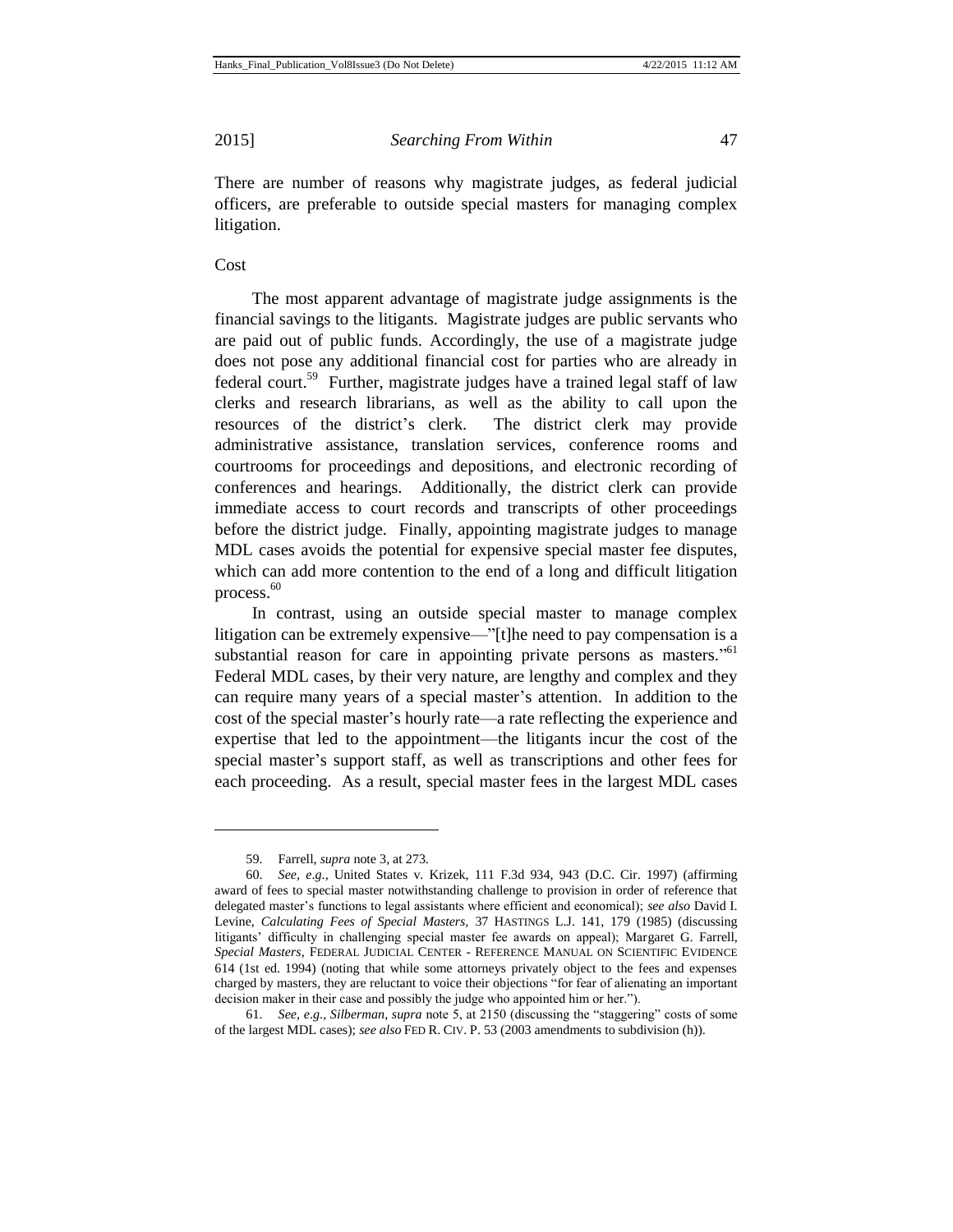There are number of reasons why magistrate judges, as federal judicial officers, are preferable to outside special masters for managing complex litigation.

## Cost

 $\overline{a}$ 

The most apparent advantage of magistrate judge assignments is the financial savings to the litigants. Magistrate judges are public servants who are paid out of public funds. Accordingly, the use of a magistrate judge does not pose any additional financial cost for parties who are already in federal court.<sup>59</sup> Further, magistrate judges have a trained legal staff of law clerks and research librarians, as well as the ability to call upon the resources of the district's clerk. The district clerk may provide administrative assistance, translation services, conference rooms and courtrooms for proceedings and depositions, and electronic recording of conferences and hearings. Additionally, the district clerk can provide immediate access to court records and transcripts of other proceedings before the district judge. Finally, appointing magistrate judges to manage MDL cases avoids the potential for expensive special master fee disputes, which can add more contention to the end of a long and difficult litigation process.<sup>60</sup>

In contrast, using an outside special master to manage complex litigation can be extremely expensive—"[t]he need to pay compensation is a substantial reason for care in appointing private persons as masters."<sup>61</sup> Federal MDL cases, by their very nature, are lengthy and complex and they can require many years of a special master's attention. In addition to the cost of the special master's hourly rate—a rate reflecting the experience and expertise that led to the appointment—the litigants incur the cost of the special master's support staff, as well as transcriptions and other fees for each proceeding. As a result, special master fees in the largest MDL cases

<sup>59.</sup> Farrell, *supra* note 3, at 273.

<sup>60.</sup> *See, e*.*g*.*,* United States v. Krizek, 111 F.3d 934, 943 (D.C. Cir. 1997) (affirming award of fees to special master notwithstanding challenge to provision in order of reference that delegated master's functions to legal assistants where efficient and economical); *see also* David I. Levine, *Calculating Fees of Special Masters,* 37 HASTINGS L.J. 141, 179 (1985) (discussing litigants' difficulty in challenging special master fee awards on appeal); Margaret G. Farrell, *Special Masters*, FEDERAL JUDICIAL CENTER - REFERENCE MANUAL ON SCIENTIFIC EVIDENCE 614 (1st ed. 1994) (noting that while some attorneys privately object to the fees and expenses charged by masters, they are reluctant to voice their objections "for fear of alienating an important decision maker in their case and possibly the judge who appointed him or her.").

<sup>61.</sup> *See, e*.*g*.*, Silberman*, *supra* note 5, at 2150 (discussing the "staggering" costs of some of the largest MDL cases); *see also* FED R. CIV. P. 53 (2003 amendments to subdivision (h)).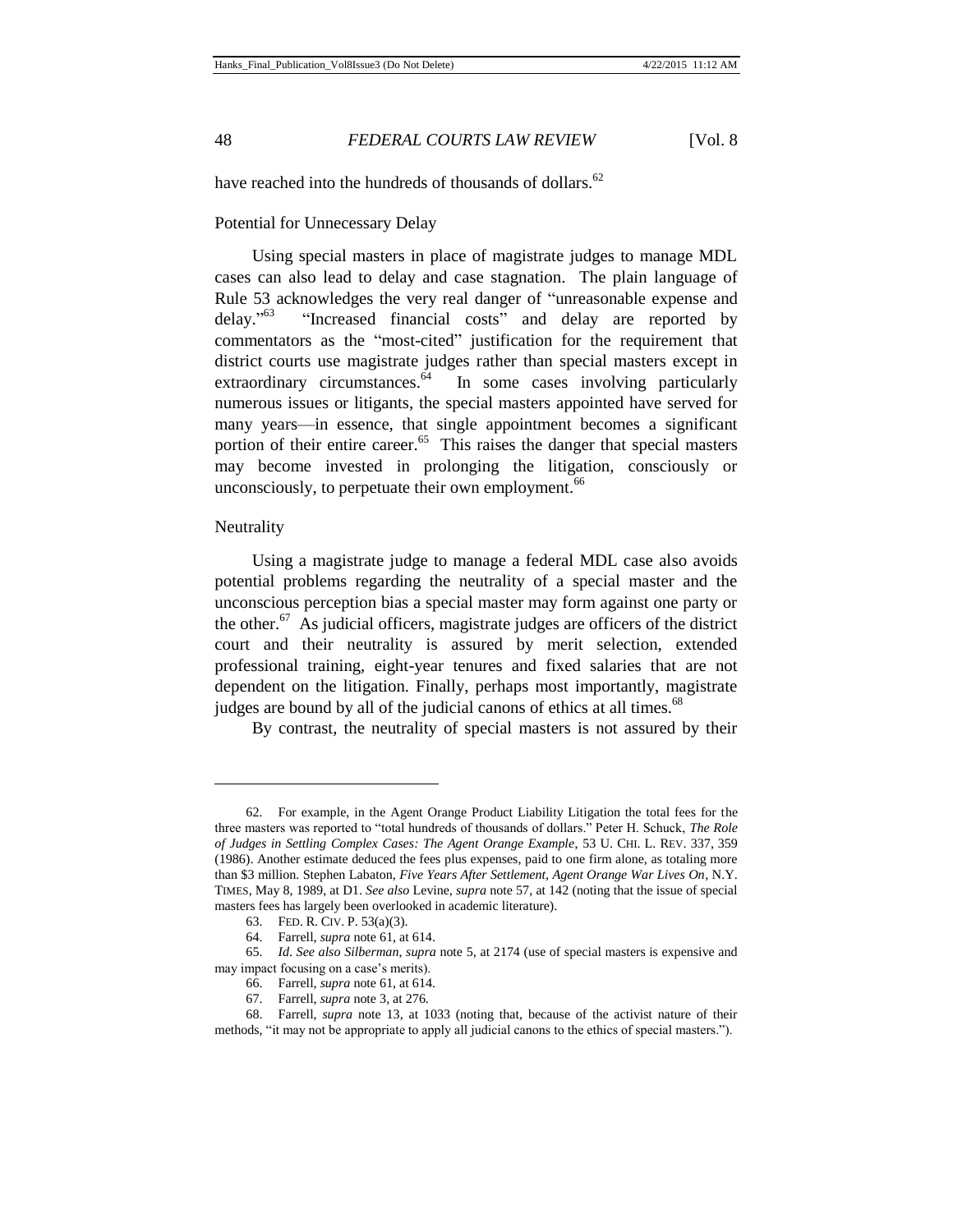have reached into the hundreds of thousands of dollars.<sup>62</sup>

## Potential for Unnecessary Delay

Using special masters in place of magistrate judges to manage MDL cases can also lead to delay and case stagnation. The plain language of Rule 53 acknowledges the very real danger of "unreasonable expense and  $delay.^{\cdot 63}$ "Increased financial costs" and delay are reported by commentators as the "most-cited" justification for the requirement that district courts use magistrate judges rather than special masters except in extraordinary circumstances.<sup>64</sup> In some cases involving particularly numerous issues or litigants, the special masters appointed have served for many years—in essence, that single appointment becomes a significant portion of their entire career.<sup>65</sup> This raises the danger that special masters may become invested in prolonging the litigation, consciously or unconsciously, to perpetuate their own employment.<sup>66</sup>

#### Neutrality

 $\overline{a}$ 

Using a magistrate judge to manage a federal MDL case also avoids potential problems regarding the neutrality of a special master and the unconscious perception bias a special master may form against one party or the other. $67$  As judicial officers, magistrate judges are officers of the district court and their neutrality is assured by merit selection, extended professional training, eight-year tenures and fixed salaries that are not dependent on the litigation. Finally, perhaps most importantly, magistrate judges are bound by all of the judicial canons of ethics at all times.<sup>68</sup>

By contrast, the neutrality of special masters is not assured by their

<sup>62.</sup> For example, in the Agent Orange Product Liability Litigation the total fees for the three masters was reported to "total hundreds of thousands of dollars." Peter H. Schuck, *The Role of Judges in Settling Complex Cases: The Agent Orange Example*, 53 U. CHI. L. REV. 337, 359 (1986). Another estimate deduced the fees plus expenses, paid to one firm alone, as totaling more than \$3 million. Stephen Labaton, *Five Years After Settlement, Agent Orange War Lives On*, N.Y. TIMES, May 8, 1989, at D1. *See also* Levine, *supra* note 57, at 142 (noting that the issue of special masters fees has largely been overlooked in academic literature).

<sup>63.</sup> FED. R. CIV. P. 53(a)(3).

<sup>64.</sup> Farrell, *supra* note 61, at 614.

<sup>65.</sup> *Id*. *See also Silberman*, *supra* note 5, at 2174 (use of special masters is expensive and may impact focusing on a case's merits).

<sup>66.</sup> Farrell, *supra* note 61, at 614.

<sup>67.</sup> Farrell, *supra* note 3, at 276.

<sup>68.</sup> Farrell, *supra* note 13, at 1033 (noting that, because of the activist nature of their methods, "it may not be appropriate to apply all judicial canons to the ethics of special masters.").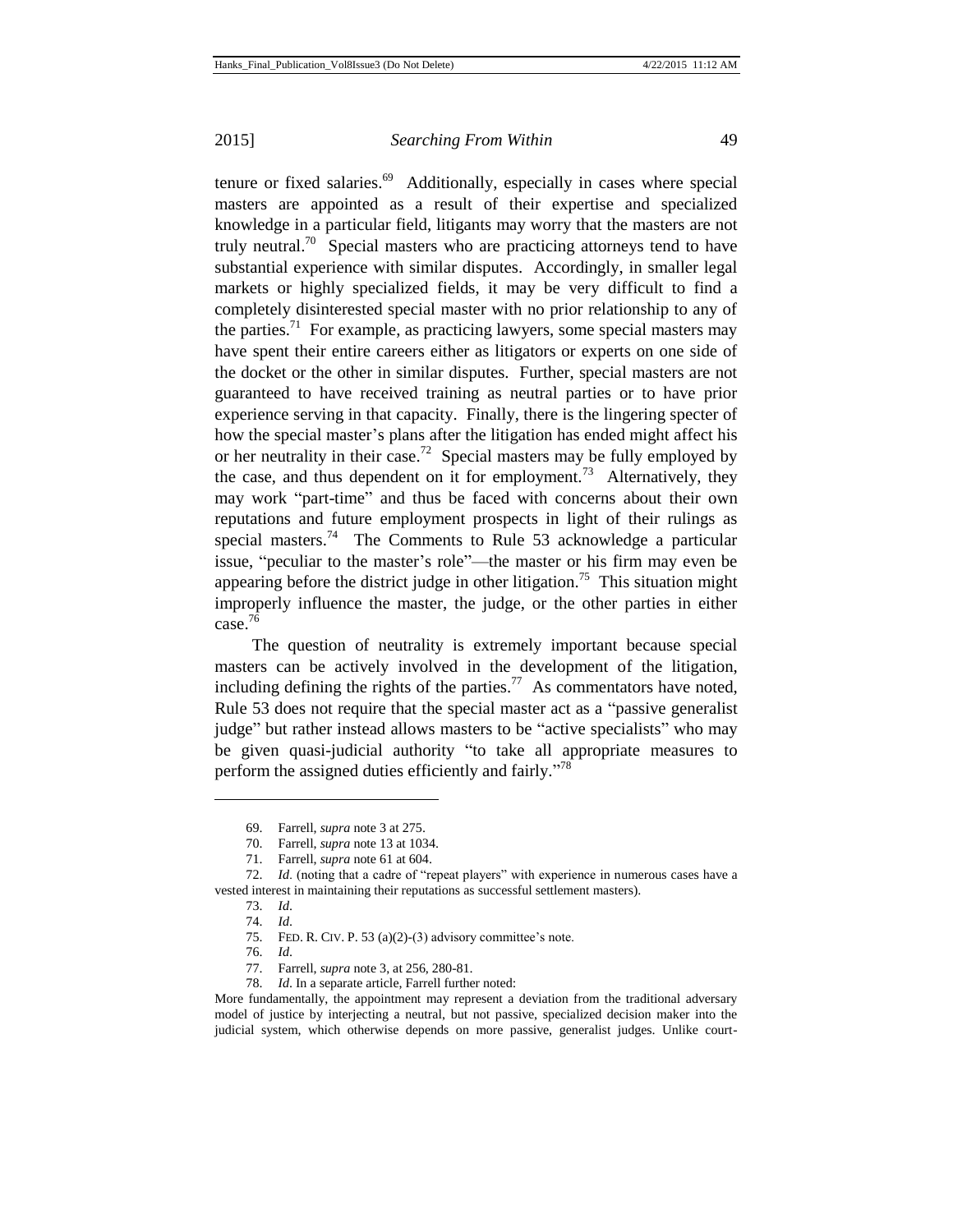tenure or fixed salaries.<sup>69</sup> Additionally, especially in cases where special masters are appointed as a result of their expertise and specialized knowledge in a particular field, litigants may worry that the masters are not truly neutral.<sup>70</sup> Special masters who are practicing attorneys tend to have substantial experience with similar disputes. Accordingly, in smaller legal markets or highly specialized fields, it may be very difficult to find a completely disinterested special master with no prior relationship to any of the parties.<sup>71</sup> For example, as practicing lawyers, some special masters may have spent their entire careers either as litigators or experts on one side of the docket or the other in similar disputes. Further, special masters are not guaranteed to have received training as neutral parties or to have prior experience serving in that capacity. Finally, there is the lingering specter of how the special master's plans after the litigation has ended might affect his or her neutrality in their case.<sup>72</sup> Special masters may be fully employed by the case, and thus dependent on it for employment.<sup>73</sup> Alternatively, they may work "part-time" and thus be faced with concerns about their own reputations and future employment prospects in light of their rulings as special masters.<sup>74</sup> The Comments to Rule 53 acknowledge a particular issue, "peculiar to the master's role"—the master or his firm may even be appearing before the district judge in other litigation.<sup>75</sup> This situation might improperly influence the master, the judge, or the other parties in either case.<sup>76</sup>

The question of neutrality is extremely important because special masters can be actively involved in the development of the litigation, including defining the rights of the parties.<sup>77</sup> As commentators have noted, Rule 53 does not require that the special master act as a "passive generalist judge" but rather instead allows masters to be "active specialists" who may be given quasi-judicial authority "to take all appropriate measures to perform the assigned duties efficiently and fairly."<sup>78</sup>

<sup>69.</sup> Farrell, *supra* note 3 at 275.

<sup>70.</sup> Farrell, *supra* note 13 at 1034.

<sup>71.</sup> Farrell, *supra* note 61 at 604.

<sup>72.</sup> *Id*. (noting that a cadre of "repeat players" with experience in numerous cases have a vested interest in maintaining their reputations as successful settlement masters).

<sup>73.</sup> *Id*.

<sup>74.</sup> *Id*.

<sup>75.</sup> FED. R. CIV. P. 53 (a)(2)-(3) advisory committee's note.

<sup>76.</sup> *Id*.

<sup>77.</sup> Farrell, *supra* note 3, at 256, 280-81.

<sup>78.</sup> *Id*. In a separate article, Farrell further noted:

More fundamentally, the appointment may represent a deviation from the traditional adversary model of justice by interjecting a neutral, but not passive, specialized decision maker into the judicial system, which otherwise depends on more passive, generalist judges. Unlike court-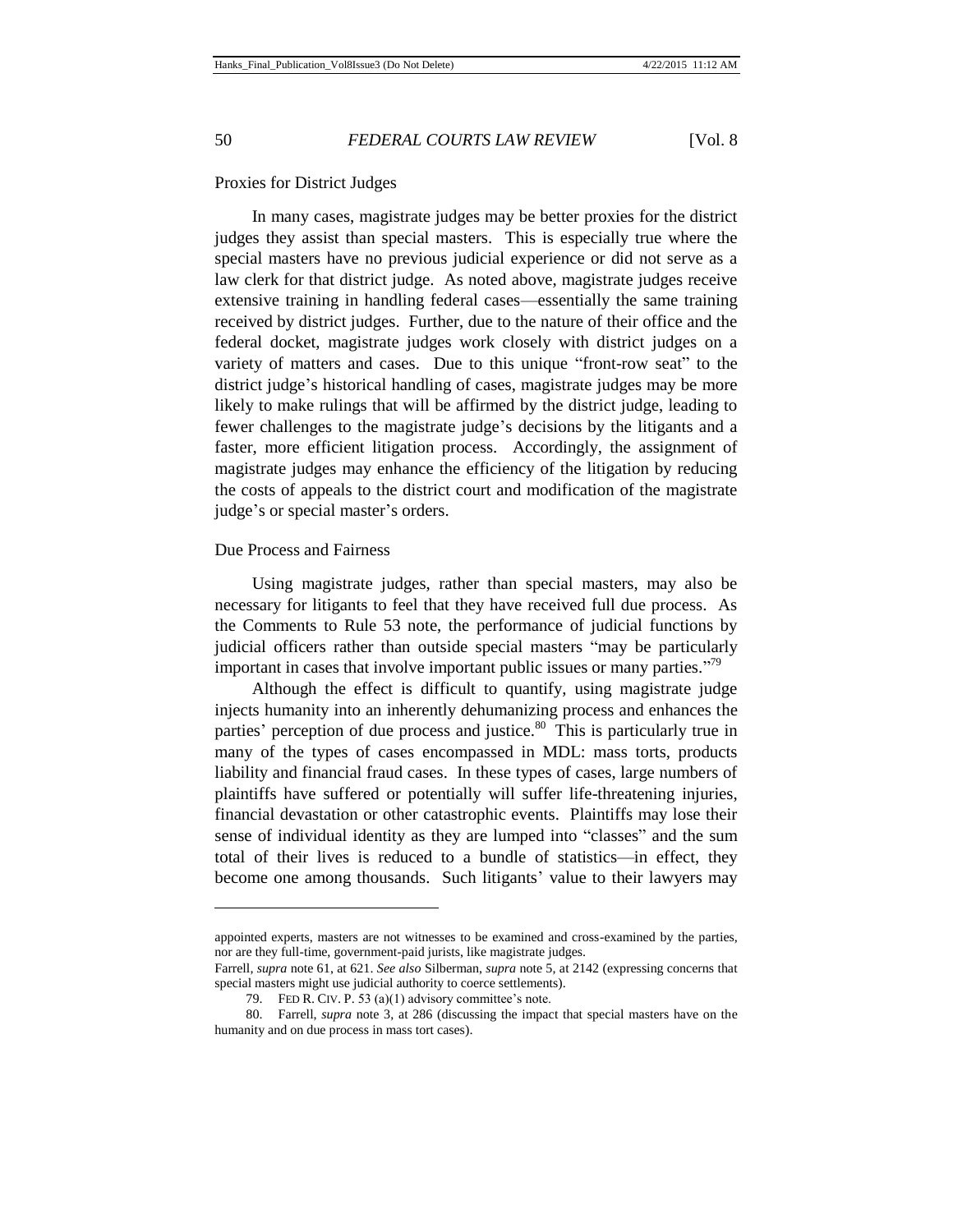### Proxies for District Judges

In many cases, magistrate judges may be better proxies for the district judges they assist than special masters. This is especially true where the special masters have no previous judicial experience or did not serve as a law clerk for that district judge. As noted above, magistrate judges receive extensive training in handling federal cases—essentially the same training received by district judges. Further, due to the nature of their office and the federal docket, magistrate judges work closely with district judges on a variety of matters and cases. Due to this unique "front-row seat" to the district judge's historical handling of cases, magistrate judges may be more likely to make rulings that will be affirmed by the district judge, leading to fewer challenges to the magistrate judge's decisions by the litigants and a faster, more efficient litigation process. Accordingly, the assignment of magistrate judges may enhance the efficiency of the litigation by reducing the costs of appeals to the district court and modification of the magistrate judge's or special master's orders.

## Due Process and Fairness

l

Using magistrate judges, rather than special masters, may also be necessary for litigants to feel that they have received full due process. As the Comments to Rule 53 note, the performance of judicial functions by judicial officers rather than outside special masters "may be particularly important in cases that involve important public issues or many parties."<sup>79</sup>

Although the effect is difficult to quantify, using magistrate judge injects humanity into an inherently dehumanizing process and enhances the parties' perception of due process and justice. $80$  This is particularly true in many of the types of cases encompassed in MDL: mass torts, products liability and financial fraud cases. In these types of cases, large numbers of plaintiffs have suffered or potentially will suffer life-threatening injuries, financial devastation or other catastrophic events. Plaintiffs may lose their sense of individual identity as they are lumped into "classes" and the sum total of their lives is reduced to a bundle of statistics—in effect, they become one among thousands. Such litigants' value to their lawyers may

appointed experts, masters are not witnesses to be examined and cross-examined by the parties, nor are they full-time, government-paid jurists, like magistrate judges.

Farrell, *supra* note 61, at 621. *See also* Silberman, *supra* note 5, at 2142 (expressing concerns that special masters might use judicial authority to coerce settlements).

<sup>79.</sup> FED R. CIV. P. 53 (a)(1) advisory committee's note.

<sup>80.</sup> Farrell, *supra* note 3, at 286 (discussing the impact that special masters have on the humanity and on due process in mass tort cases).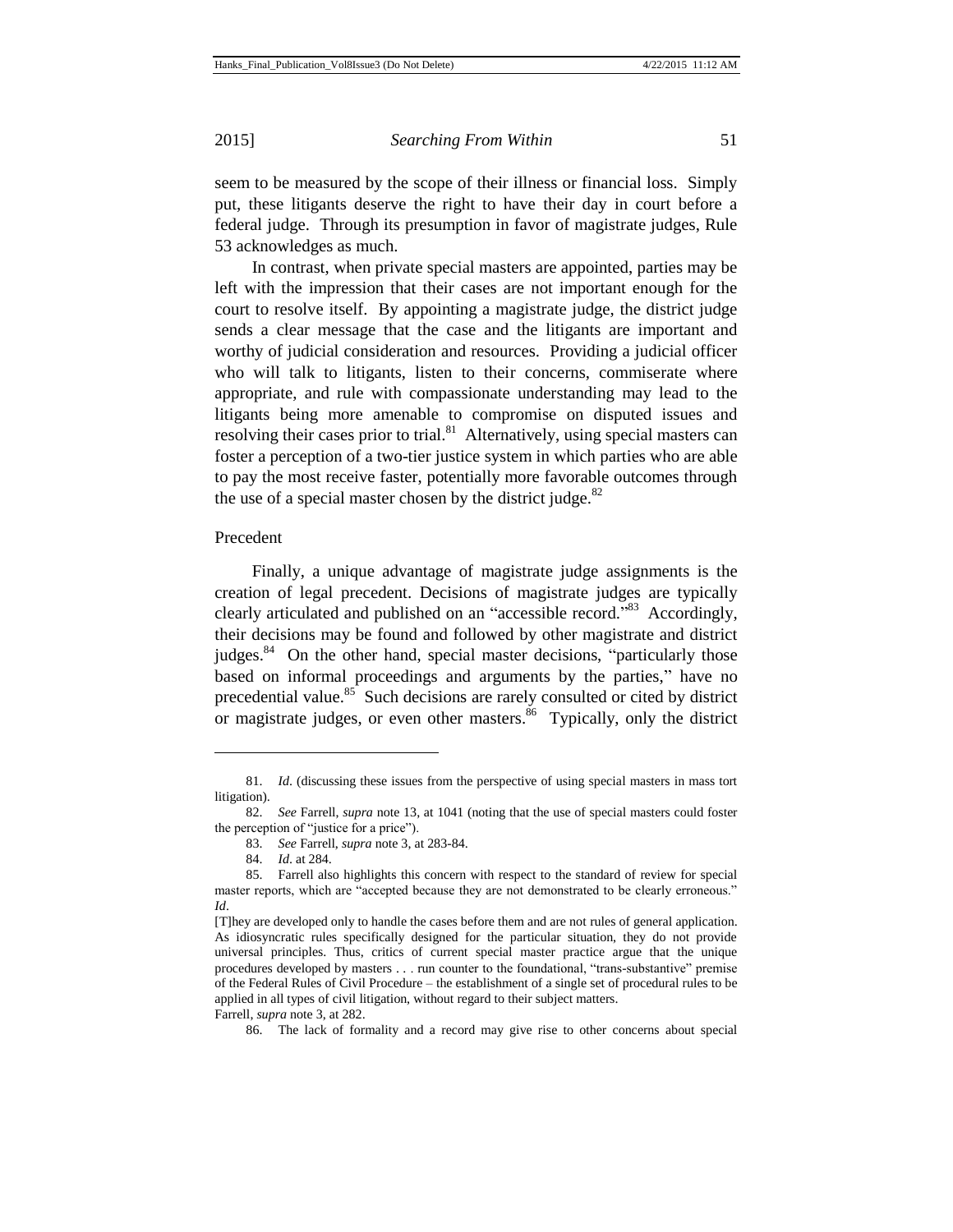seem to be measured by the scope of their illness or financial loss. Simply put, these litigants deserve the right to have their day in court before a federal judge. Through its presumption in favor of magistrate judges, Rule 53 acknowledges as much.

In contrast, when private special masters are appointed, parties may be left with the impression that their cases are not important enough for the court to resolve itself. By appointing a magistrate judge, the district judge sends a clear message that the case and the litigants are important and worthy of judicial consideration and resources. Providing a judicial officer who will talk to litigants, listen to their concerns, commiserate where appropriate, and rule with compassionate understanding may lead to the litigants being more amenable to compromise on disputed issues and resolving their cases prior to trial.<sup>81</sup> Alternatively, using special masters can foster a perception of a two-tier justice system in which parties who are able to pay the most receive faster, potentially more favorable outcomes through the use of a special master chosen by the district judge. $82$ 

## Precedent

l

Finally, a unique advantage of magistrate judge assignments is the creation of legal precedent. Decisions of magistrate judges are typically clearly articulated and published on an "accessible record."<sup>83</sup> Accordingly, their decisions may be found and followed by other magistrate and district judges. $84$  On the other hand, special master decisions, "particularly those based on informal proceedings and arguments by the parties," have no precedential value.<sup>85</sup> Such decisions are rarely consulted or cited by district or magistrate judges, or even other masters.<sup>86</sup> Typically, only the district

<sup>81.</sup> *Id*. (discussing these issues from the perspective of using special masters in mass tort litigation).

<sup>82.</sup> *See* Farrell, *supra* note 13, at 1041 (noting that the use of special masters could foster the perception of "justice for a price").

<sup>83.</sup> *See* Farrell, *supra* note 3, at 283-84.

<sup>84.</sup> *Id*. at 284.

<sup>85.</sup> Farrell also highlights this concern with respect to the standard of review for special master reports, which are "accepted because they are not demonstrated to be clearly erroneous." *Id*.

<sup>[</sup>T]hey are developed only to handle the cases before them and are not rules of general application. As idiosyncratic rules specifically designed for the particular situation, they do not provide universal principles. Thus, critics of current special master practice argue that the unique procedures developed by masters . . . run counter to the foundational, "trans-substantive" premise of the Federal Rules of Civil Procedure – the establishment of a single set of procedural rules to be applied in all types of civil litigation, without regard to their subject matters.

Farrell, *supra* note 3, at 282.

<sup>86.</sup> The lack of formality and a record may give rise to other concerns about special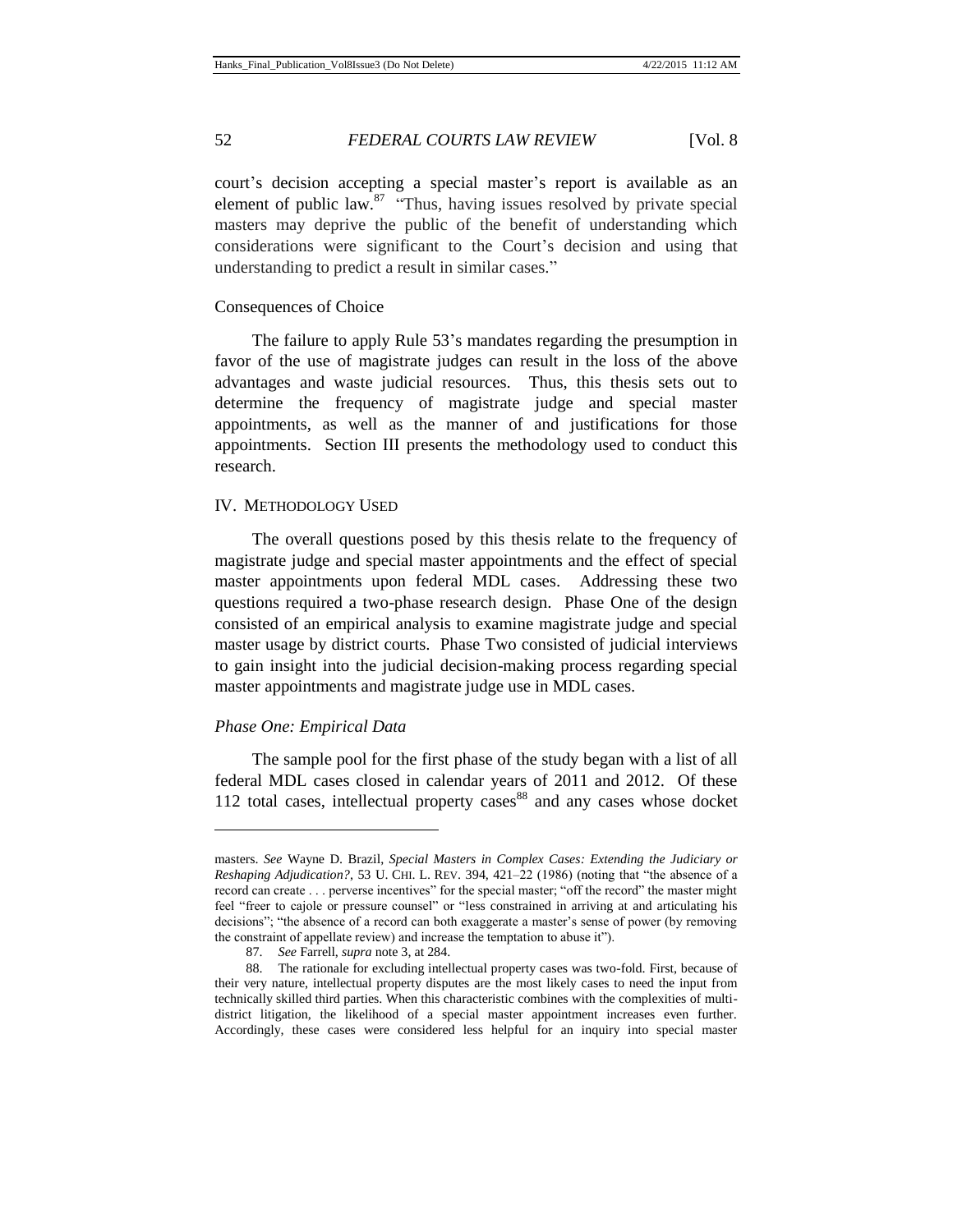court's decision accepting a special master's report is available as an element of public law. $87$  "Thus, having issues resolved by private special masters may deprive the public of the benefit of understanding which considerations were significant to the Court's decision and using that understanding to predict a result in similar cases."

#### Consequences of Choice

The failure to apply Rule 53's mandates regarding the presumption in favor of the use of magistrate judges can result in the loss of the above advantages and waste judicial resources. Thus, this thesis sets out to determine the frequency of magistrate judge and special master appointments, as well as the manner of and justifications for those appointments. Section III presents the methodology used to conduct this research.

## IV. METHODOLOGY USED

The overall questions posed by this thesis relate to the frequency of magistrate judge and special master appointments and the effect of special master appointments upon federal MDL cases. Addressing these two questions required a two-phase research design. Phase One of the design consisted of an empirical analysis to examine magistrate judge and special master usage by district courts. Phase Two consisted of judicial interviews to gain insight into the judicial decision-making process regarding special master appointments and magistrate judge use in MDL cases.

#### *Phase One: Empirical Data*

 $\overline{a}$ 

The sample pool for the first phase of the study began with a list of all federal MDL cases closed in calendar years of 2011 and 2012. Of these 112 total cases, intellectual property cases  $88$  and any cases whose docket

masters. *See* Wayne D. Brazil, *Special Masters in Complex Cases: Extending the Judiciary or Reshaping Adjudication?*, 53 U. CHI. L. REV. 394, 421–22 (1986) (noting that "the absence of a record can create . . . perverse incentives" for the special master; "off the record" the master might feel "freer to cajole or pressure counsel" or "less constrained in arriving at and articulating his decisions"; "the absence of a record can both exaggerate a master's sense of power (by removing the constraint of appellate review) and increase the temptation to abuse it").

<sup>87.</sup> *See* Farrell, *supra* note 3, at 284.

<sup>88.</sup> The rationale for excluding intellectual property cases was two-fold. First, because of their very nature, intellectual property disputes are the most likely cases to need the input from technically skilled third parties. When this characteristic combines with the complexities of multidistrict litigation, the likelihood of a special master appointment increases even further. Accordingly, these cases were considered less helpful for an inquiry into special master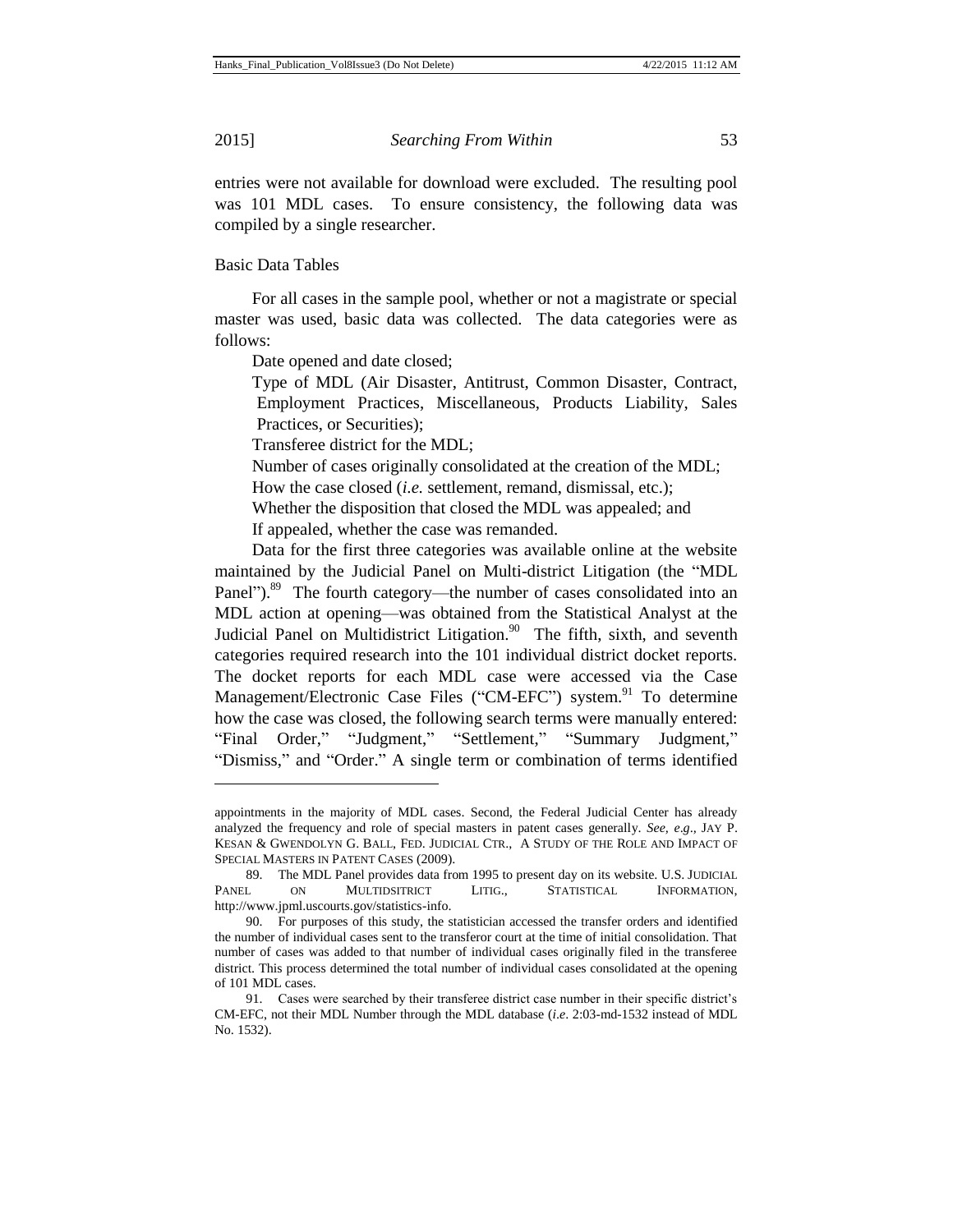$\overline{a}$ 

2015] *Searching From Within* 53

entries were not available for download were excluded. The resulting pool was 101 MDL cases. To ensure consistency, the following data was compiled by a single researcher.

Basic Data Tables

For all cases in the sample pool, whether or not a magistrate or special master was used, basic data was collected. The data categories were as follows:

Date opened and date closed;

Type of MDL (Air Disaster, Antitrust, Common Disaster, Contract, Employment Practices, Miscellaneous, Products Liability, Sales Practices, or Securities);

Transferee district for the MDL;

Number of cases originally consolidated at the creation of the MDL;

How the case closed (*i.e.* settlement, remand, dismissal, etc.);

Whether the disposition that closed the MDL was appealed; and

If appealed, whether the case was remanded.

Data for the first three categories was available online at the website maintained by the Judicial Panel on Multi-district Litigation (the "MDL Panel").<sup>89</sup> The fourth category—the number of cases consolidated into an MDL action at opening—was obtained from the Statistical Analyst at the Judicial Panel on Multidistrict Litigation.<sup>90</sup> The fifth, sixth, and seventh categories required research into the 101 individual district docket reports. The docket reports for each MDL case were accessed via the Case Management/Electronic Case Files ("CM-EFC") system.<sup>91</sup> To determine how the case was closed, the following search terms were manually entered: "Final Order," "Judgment," "Settlement," "Summary Judgment," "Dismiss," and "Order." A single term or combination of terms identified

appointments in the majority of MDL cases. Second, the Federal Judicial Center has already analyzed the frequency and role of special masters in patent cases generally. *See, e*.*g*.*,* JAY P. KESAN & GWENDOLYN G. BALL, FED. JUDICIAL CTR., A STUDY OF THE ROLE AND IMPACT OF SPECIAL MASTERS IN PATENT CASES (2009).

<sup>89.</sup> The MDL Panel provides data from 1995 to present day on its website. U.S. JUDICIAL PANEL ON MULTIDSITRICT LITIG., STATISTICAL INFORMATION, http://www.jpml.uscourts.gov/statistics-info.

<sup>90.</sup> For purposes of this study, the statistician accessed the transfer orders and identified the number of individual cases sent to the transferor court at the time of initial consolidation. That number of cases was added to that number of individual cases originally filed in the transferee district. This process determined the total number of individual cases consolidated at the opening of 101 MDL cases.

<sup>91.</sup> Cases were searched by their transferee district case number in their specific district's CM-EFC, not their MDL Number through the MDL database (*i*.*e*. 2:03-md-1532 instead of MDL No. 1532).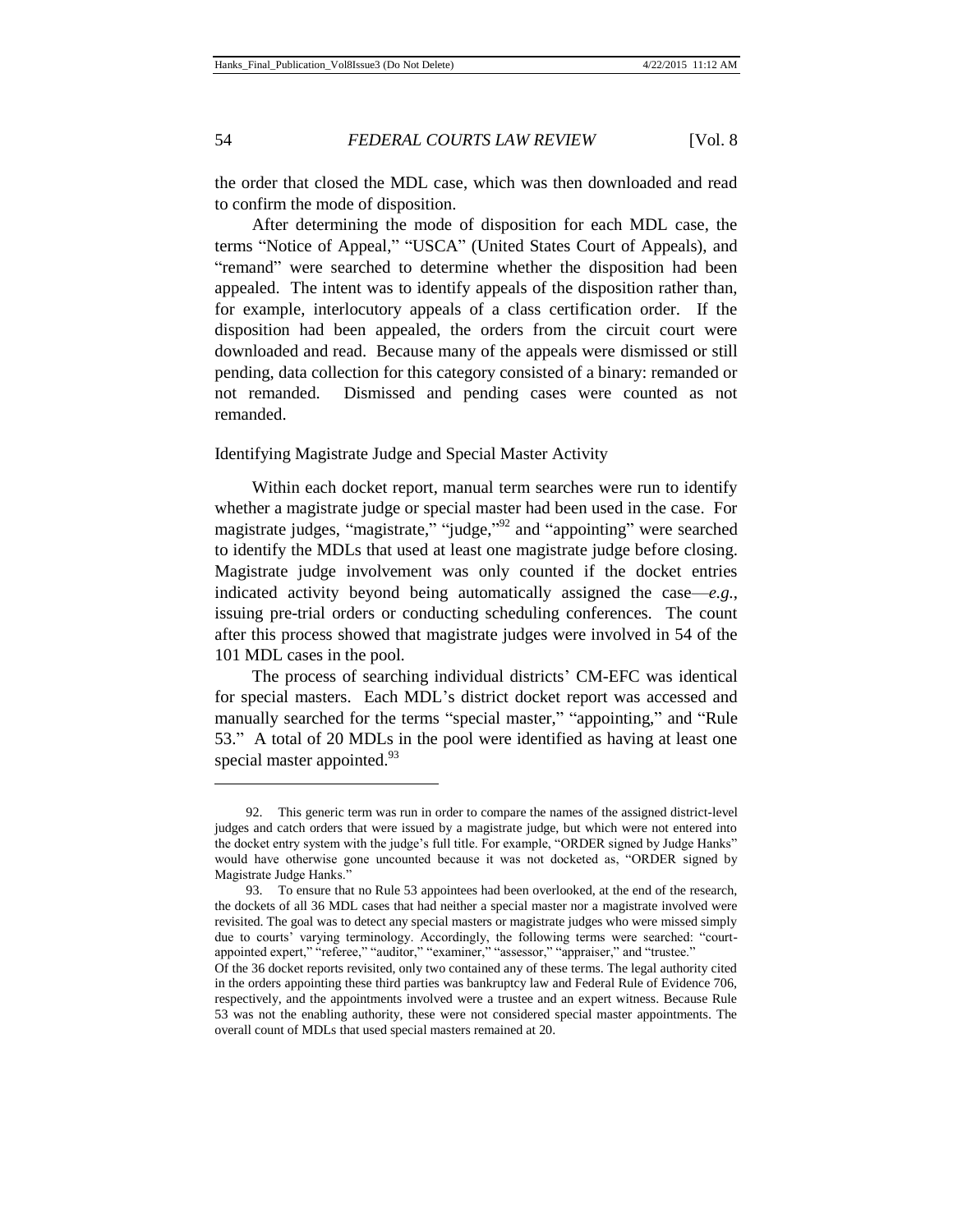$\overline{a}$ 

## 54 *FEDERAL COURTS LAW REVIEW* [Vol. 8

the order that closed the MDL case, which was then downloaded and read to confirm the mode of disposition.

After determining the mode of disposition for each MDL case, the terms "Notice of Appeal," "USCA" (United States Court of Appeals), and "remand" were searched to determine whether the disposition had been appealed. The intent was to identify appeals of the disposition rather than, for example, interlocutory appeals of a class certification order. If the disposition had been appealed, the orders from the circuit court were downloaded and read. Because many of the appeals were dismissed or still pending, data collection for this category consisted of a binary: remanded or not remanded. Dismissed and pending cases were counted as not remanded.

## Identifying Magistrate Judge and Special Master Activity

Within each docket report, manual term searches were run to identify whether a magistrate judge or special master had been used in the case. For magistrate judges, "magistrate," "judge,"<sup>92</sup> and "appointing" were searched to identify the MDLs that used at least one magistrate judge before closing. Magistrate judge involvement was only counted if the docket entries indicated activity beyond being automatically assigned the case—*e.g.*, issuing pre-trial orders or conducting scheduling conferences. The count after this process showed that magistrate judges were involved in 54 of the 101 MDL cases in the pool.

The process of searching individual districts' CM-EFC was identical for special masters. Each MDL's district docket report was accessed and manually searched for the terms "special master," "appointing," and "Rule 53." A total of 20 MDLs in the pool were identified as having at least one special master appointed.<sup>93</sup>

<sup>92.</sup> This generic term was run in order to compare the names of the assigned district-level judges and catch orders that were issued by a magistrate judge, but which were not entered into the docket entry system with the judge's full title. For example, "ORDER signed by Judge Hanks" would have otherwise gone uncounted because it was not docketed as, "ORDER signed by Magistrate Judge Hanks."

<sup>93.</sup> To ensure that no Rule 53 appointees had been overlooked, at the end of the research, the dockets of all 36 MDL cases that had neither a special master nor a magistrate involved were revisited. The goal was to detect any special masters or magistrate judges who were missed simply due to courts' varying terminology. Accordingly, the following terms were searched: "courtappointed expert," "referee," "auditor," "examiner," "assessor," "appraiser," and "trustee."

Of the 36 docket reports revisited, only two contained any of these terms. The legal authority cited in the orders appointing these third parties was bankruptcy law and Federal Rule of Evidence 706, respectively, and the appointments involved were a trustee and an expert witness. Because Rule 53 was not the enabling authority, these were not considered special master appointments. The overall count of MDLs that used special masters remained at 20.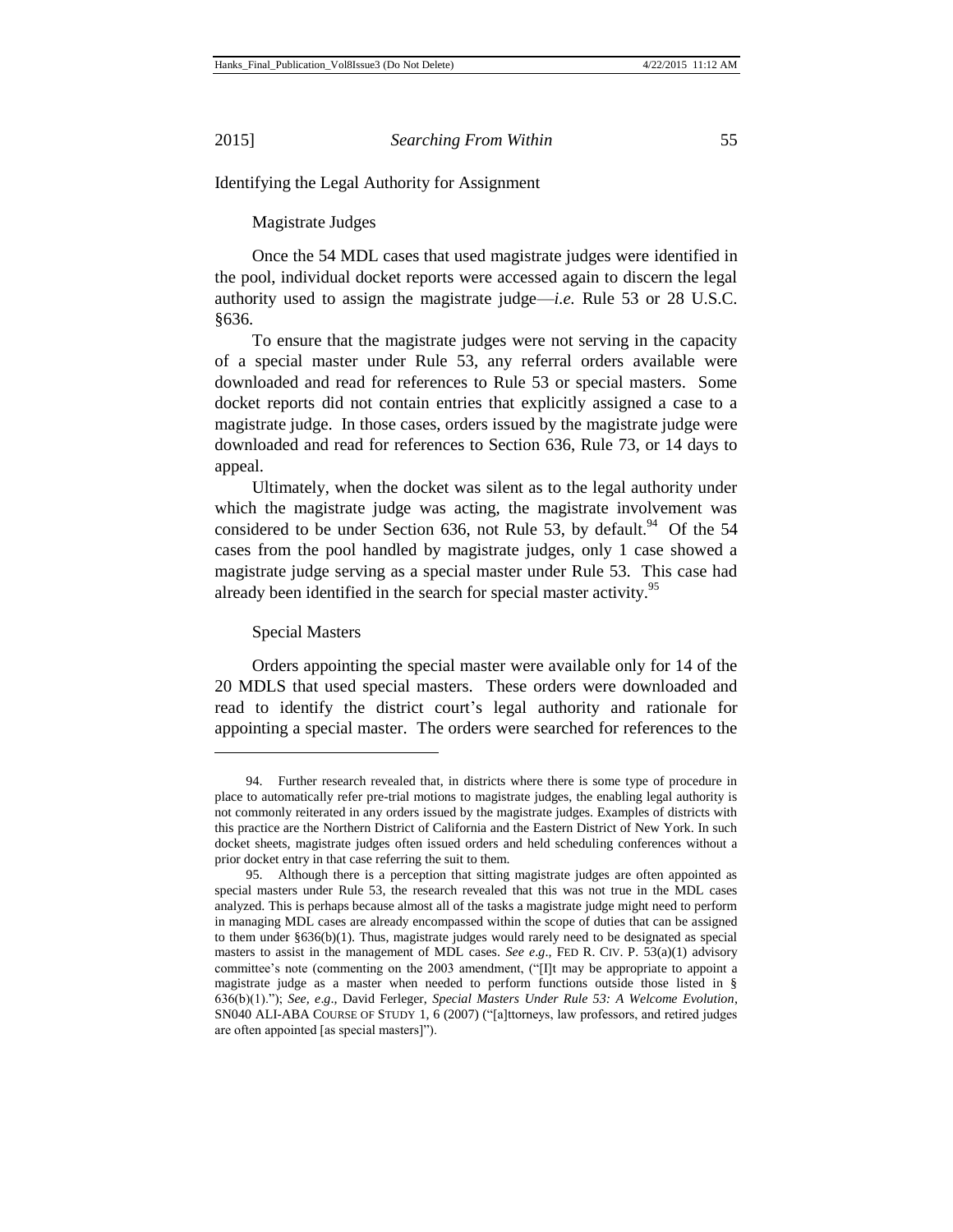Identifying the Legal Authority for Assignment

Magistrate Judges

Once the 54 MDL cases that used magistrate judges were identified in the pool, individual docket reports were accessed again to discern the legal authority used to assign the magistrate judge—*i.e.* Rule 53 or 28 U.S.C. §636.

To ensure that the magistrate judges were not serving in the capacity of a special master under Rule 53, any referral orders available were downloaded and read for references to Rule 53 or special masters. Some docket reports did not contain entries that explicitly assigned a case to a magistrate judge. In those cases, orders issued by the magistrate judge were downloaded and read for references to Section 636, Rule 73, or 14 days to appeal.

Ultimately, when the docket was silent as to the legal authority under which the magistrate judge was acting, the magistrate involvement was considered to be under Section 636, not Rule 53, by default.<sup>94</sup> Of the 54 cases from the pool handled by magistrate judges, only 1 case showed a magistrate judge serving as a special master under Rule 53. This case had already been identified in the search for special master activity.<sup>95</sup>

Special Masters

l

Orders appointing the special master were available only for 14 of the 20 MDLS that used special masters. These orders were downloaded and read to identify the district court's legal authority and rationale for appointing a special master. The orders were searched for references to the

<sup>94.</sup> Further research revealed that, in districts where there is some type of procedure in place to automatically refer pre-trial motions to magistrate judges, the enabling legal authority is not commonly reiterated in any orders issued by the magistrate judges. Examples of districts with this practice are the Northern District of California and the Eastern District of New York. In such docket sheets, magistrate judges often issued orders and held scheduling conferences without a prior docket entry in that case referring the suit to them.

<sup>95.</sup> Although there is a perception that sitting magistrate judges are often appointed as special masters under Rule 53, the research revealed that this was not true in the MDL cases analyzed. This is perhaps because almost all of the tasks a magistrate judge might need to perform in managing MDL cases are already encompassed within the scope of duties that can be assigned to them under §636(b)(1). Thus, magistrate judges would rarely need to be designated as special masters to assist in the management of MDL cases. *See e*.*g*.*,* FED R. CIV. P. 53(a)(1) advisory committee's note (commenting on the 2003 amendment, ("[I]t may be appropriate to appoint a magistrate judge as a master when needed to perform functions outside those listed in § 636(b)(1)."); *See, e*.*g*.*,* David Ferleger, *Special Masters Under Rule 53: A Welcome Evolution*, SN040 ALI-ABA COURSE OF STUDY 1, 6 (2007) ("[a]ttorneys, law professors, and retired judges are often appointed [as special masters]").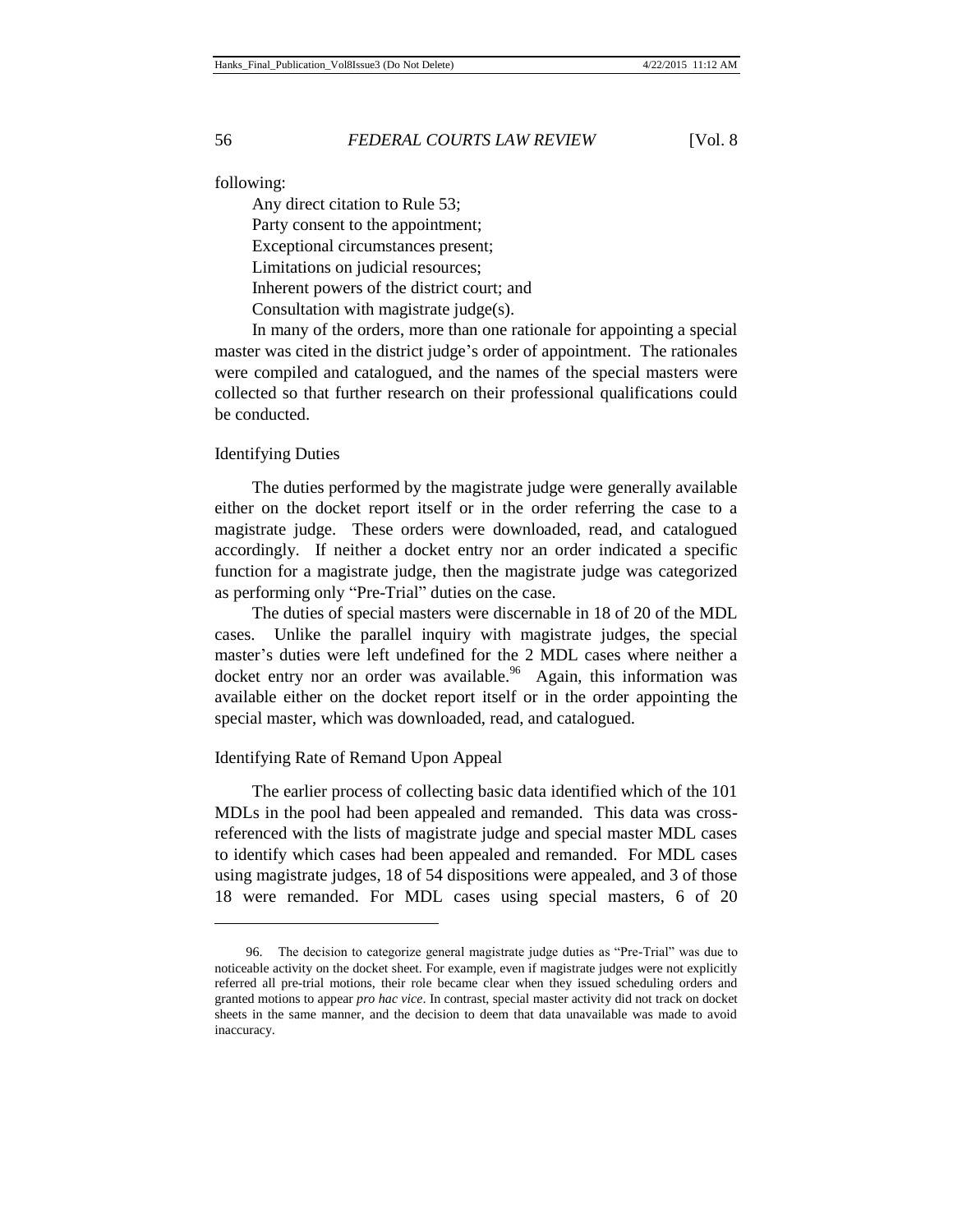following:

Any direct citation to Rule 53;

Party consent to the appointment;

Exceptional circumstances present; Limitations on judicial resources;

Inherent powers of the district court; and

Consultation with magistrate judge(s).

In many of the orders, more than one rationale for appointing a special master was cited in the district judge's order of appointment. The rationales were compiled and catalogued, and the names of the special masters were collected so that further research on their professional qualifications could be conducted.

## Identifying Duties

 $\overline{a}$ 

The duties performed by the magistrate judge were generally available either on the docket report itself or in the order referring the case to a magistrate judge. These orders were downloaded, read, and catalogued accordingly. If neither a docket entry nor an order indicated a specific function for a magistrate judge, then the magistrate judge was categorized as performing only "Pre-Trial" duties on the case.

The duties of special masters were discernable in 18 of 20 of the MDL cases. Unlike the parallel inquiry with magistrate judges, the special master's duties were left undefined for the 2 MDL cases where neither a docket entry nor an order was available.<sup>96</sup> Again, this information was available either on the docket report itself or in the order appointing the special master, which was downloaded, read, and catalogued.

#### Identifying Rate of Remand Upon Appeal

The earlier process of collecting basic data identified which of the 101 MDLs in the pool had been appealed and remanded. This data was crossreferenced with the lists of magistrate judge and special master MDL cases to identify which cases had been appealed and remanded. For MDL cases using magistrate judges, 18 of 54 dispositions were appealed, and 3 of those 18 were remanded. For MDL cases using special masters, 6 of 20

<sup>96.</sup> The decision to categorize general magistrate judge duties as "Pre-Trial" was due to noticeable activity on the docket sheet. For example, even if magistrate judges were not explicitly referred all pre-trial motions, their role became clear when they issued scheduling orders and granted motions to appear *pro hac vice*. In contrast, special master activity did not track on docket sheets in the same manner, and the decision to deem that data unavailable was made to avoid inaccuracy.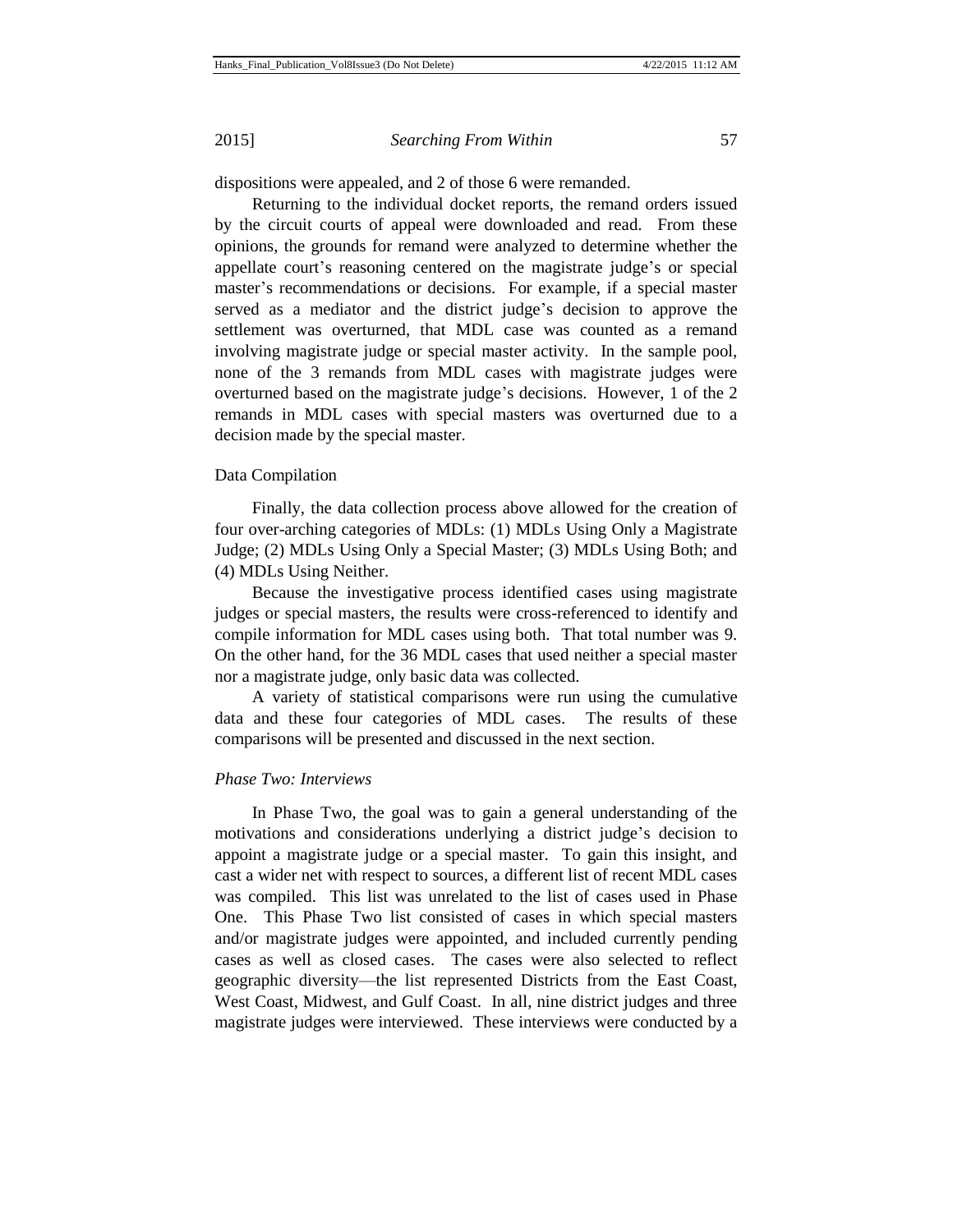dispositions were appealed, and 2 of those 6 were remanded.

Returning to the individual docket reports, the remand orders issued by the circuit courts of appeal were downloaded and read. From these opinions, the grounds for remand were analyzed to determine whether the appellate court's reasoning centered on the magistrate judge's or special master's recommendations or decisions. For example, if a special master served as a mediator and the district judge's decision to approve the settlement was overturned, that MDL case was counted as a remand involving magistrate judge or special master activity. In the sample pool, none of the 3 remands from MDL cases with magistrate judges were overturned based on the magistrate judge's decisions. However, 1 of the 2 remands in MDL cases with special masters was overturned due to a decision made by the special master.

#### Data Compilation

Finally, the data collection process above allowed for the creation of four over-arching categories of MDLs: (1) MDLs Using Only a Magistrate Judge; (2) MDLs Using Only a Special Master; (3) MDLs Using Both; and (4) MDLs Using Neither.

Because the investigative process identified cases using magistrate judges or special masters, the results were cross-referenced to identify and compile information for MDL cases using both. That total number was 9. On the other hand, for the 36 MDL cases that used neither a special master nor a magistrate judge, only basic data was collected.

A variety of statistical comparisons were run using the cumulative data and these four categories of MDL cases. The results of these comparisons will be presented and discussed in the next section.

## *Phase Two: Interviews*

In Phase Two, the goal was to gain a general understanding of the motivations and considerations underlying a district judge's decision to appoint a magistrate judge or a special master. To gain this insight, and cast a wider net with respect to sources, a different list of recent MDL cases was compiled. This list was unrelated to the list of cases used in Phase One. This Phase Two list consisted of cases in which special masters and/or magistrate judges were appointed, and included currently pending cases as well as closed cases. The cases were also selected to reflect geographic diversity—the list represented Districts from the East Coast, West Coast, Midwest, and Gulf Coast. In all, nine district judges and three magistrate judges were interviewed. These interviews were conducted by a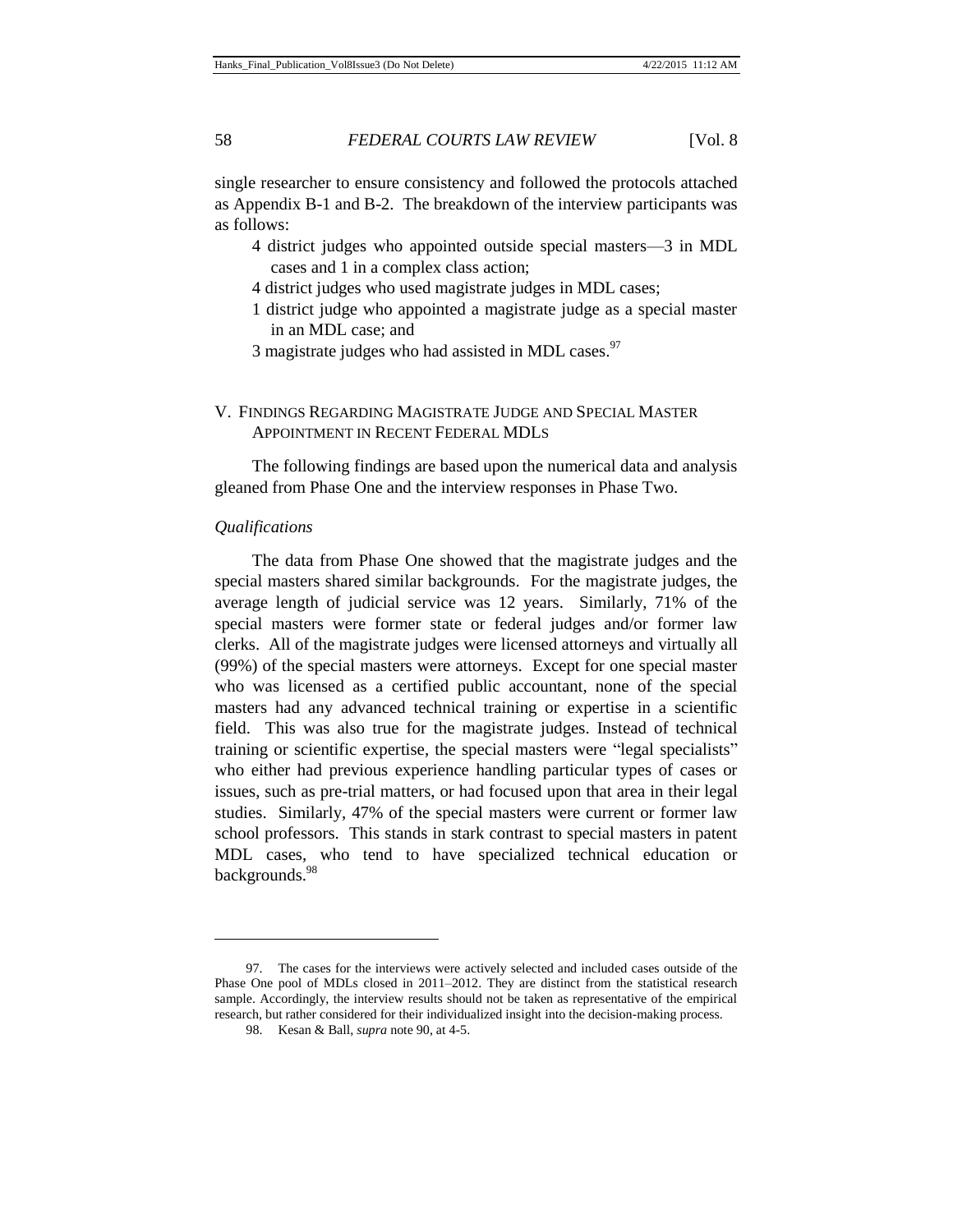single researcher to ensure consistency and followed the protocols attached as Appendix B-1 and B-2. The breakdown of the interview participants was as follows:

- 4 district judges who appointed outside special masters—3 in MDL cases and 1 in a complex class action;
- 4 district judges who used magistrate judges in MDL cases;
- 1 district judge who appointed a magistrate judge as a special master in an MDL case; and
- 3 magistrate judges who had assisted in MDL cases.<sup>97</sup>

## V. FINDINGS REGARDING MAGISTRATE JUDGE AND SPECIAL MASTER APPOINTMENT IN RECENT FEDERAL MDLS

The following findings are based upon the numerical data and analysis gleaned from Phase One and the interview responses in Phase Two.

#### *Qualifications*

l

The data from Phase One showed that the magistrate judges and the special masters shared similar backgrounds. For the magistrate judges, the average length of judicial service was 12 years. Similarly, 71% of the special masters were former state or federal judges and/or former law clerks. All of the magistrate judges were licensed attorneys and virtually all (99%) of the special masters were attorneys. Except for one special master who was licensed as a certified public accountant, none of the special masters had any advanced technical training or expertise in a scientific field. This was also true for the magistrate judges. Instead of technical training or scientific expertise, the special masters were "legal specialists" who either had previous experience handling particular types of cases or issues, such as pre-trial matters, or had focused upon that area in their legal studies. Similarly, 47% of the special masters were current or former law school professors. This stands in stark contrast to special masters in patent MDL cases, who tend to have specialized technical education or backgrounds.<sup>98</sup>

<sup>97.</sup> The cases for the interviews were actively selected and included cases outside of the Phase One pool of MDLs closed in 2011–2012. They are distinct from the statistical research sample. Accordingly, the interview results should not be taken as representative of the empirical research, but rather considered for their individualized insight into the decision-making process.

<sup>98.</sup> Kesan & Ball, *supra* note 90, at 4-5.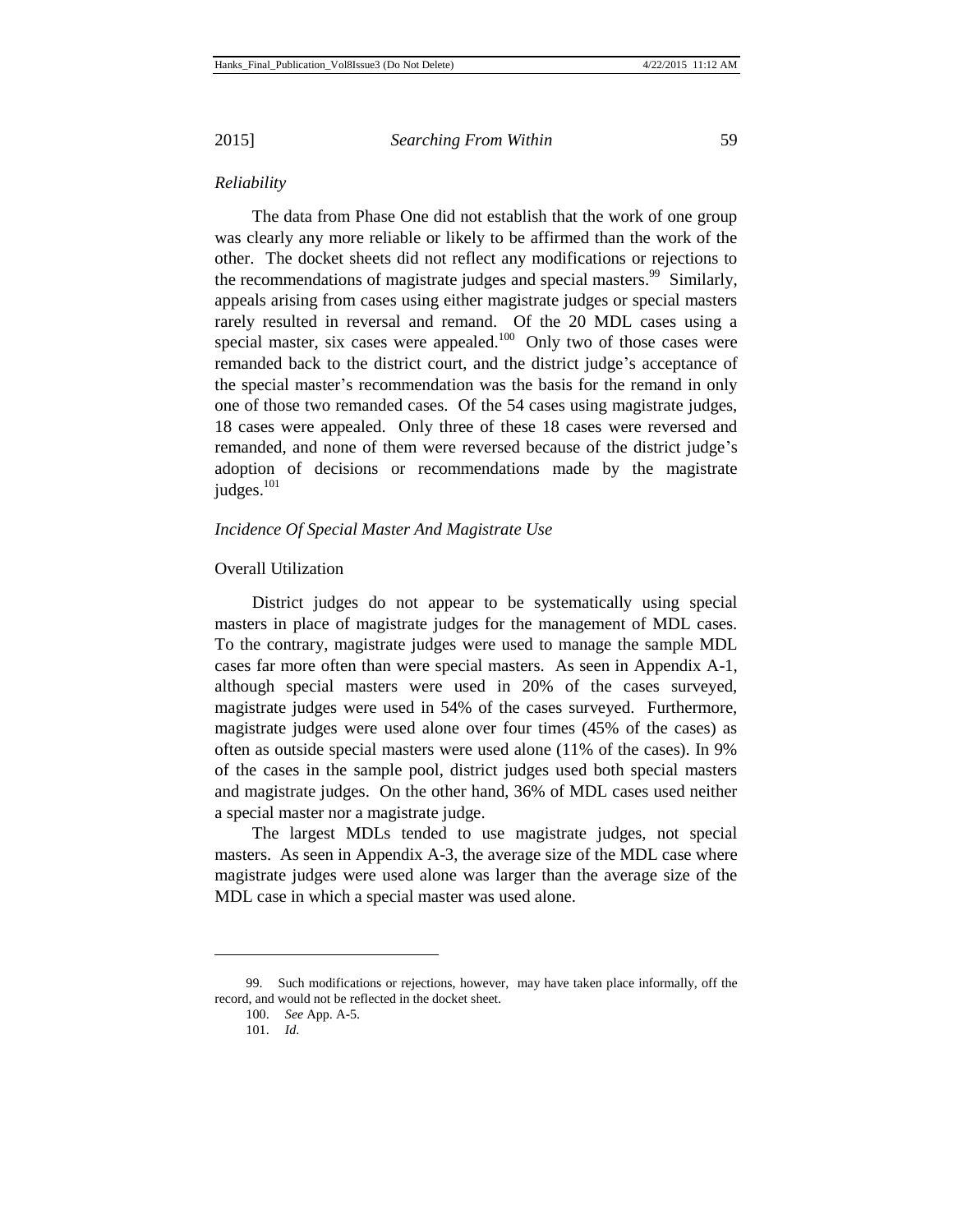#### *Reliability*

The data from Phase One did not establish that the work of one group was clearly any more reliable or likely to be affirmed than the work of the other. The docket sheets did not reflect any modifications or rejections to the recommendations of magistrate judges and special masters.<sup>99</sup> Similarly, appeals arising from cases using either magistrate judges or special masters rarely resulted in reversal and remand. Of the 20 MDL cases using a special master, six cases were appealed.<sup>100</sup> Only two of those cases were remanded back to the district court, and the district judge's acceptance of the special master's recommendation was the basis for the remand in only one of those two remanded cases. Of the 54 cases using magistrate judges, 18 cases were appealed. Only three of these 18 cases were reversed and remanded, and none of them were reversed because of the district judge's adoption of decisions or recommendations made by the magistrate judges.<sup>101</sup>

#### *Incidence Of Special Master And Magistrate Use*

## Overall Utilization

District judges do not appear to be systematically using special masters in place of magistrate judges for the management of MDL cases. To the contrary, magistrate judges were used to manage the sample MDL cases far more often than were special masters. As seen in Appendix A-1, although special masters were used in 20% of the cases surveyed, magistrate judges were used in 54% of the cases surveyed. Furthermore, magistrate judges were used alone over four times (45% of the cases) as often as outside special masters were used alone (11% of the cases). In 9% of the cases in the sample pool, district judges used both special masters and magistrate judges. On the other hand, 36% of MDL cases used neither a special master nor a magistrate judge.

The largest MDLs tended to use magistrate judges, not special masters. As seen in Appendix A-3, the average size of the MDL case where magistrate judges were used alone was larger than the average size of the MDL case in which a special master was used alone.

<sup>99.</sup> Such modifications or rejections, however, may have taken place informally, off the record, and would not be reflected in the docket sheet.

<sup>100.</sup> *See* App. A-5.

<sup>101.</sup> *Id*.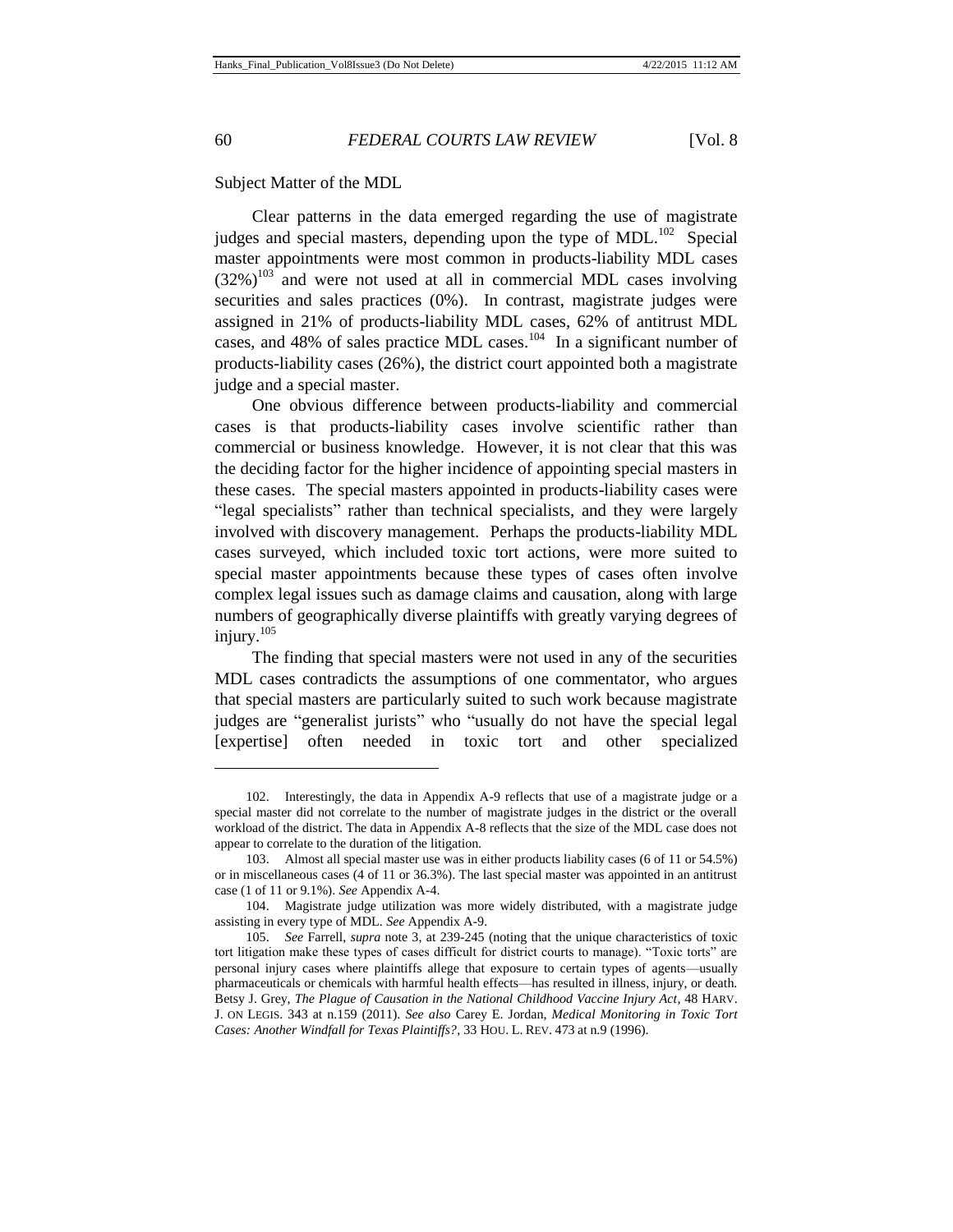l

60 *FEDERAL COURTS LAW REVIEW* [Vol. 8

Subject Matter of the MDL

Clear patterns in the data emerged regarding the use of magistrate judges and special masters, depending upon the type of MDL. $^{102}$  Special master appointments were most common in products-liability MDL cases  $(32\%)^{103}$  and were not used at all in commercial MDL cases involving securities and sales practices (0%). In contrast, magistrate judges were assigned in 21% of products-liability MDL cases, 62% of antitrust MDL cases, and 48% of sales practice MDL cases. $104$  In a significant number of products-liability cases (26%), the district court appointed both a magistrate judge and a special master.

One obvious difference between products-liability and commercial cases is that products-liability cases involve scientific rather than commercial or business knowledge. However, it is not clear that this was the deciding factor for the higher incidence of appointing special masters in these cases. The special masters appointed in products-liability cases were "legal specialists" rather than technical specialists, and they were largely involved with discovery management. Perhaps the products-liability MDL cases surveyed, which included toxic tort actions, were more suited to special master appointments because these types of cases often involve complex legal issues such as damage claims and causation, along with large numbers of geographically diverse plaintiffs with greatly varying degrees of injury. $105$ 

The finding that special masters were not used in any of the securities MDL cases contradicts the assumptions of one commentator, who argues that special masters are particularly suited to such work because magistrate judges are "generalist jurists" who "usually do not have the special legal [expertise] often needed in toxic tort and other specialized

<sup>102.</sup> Interestingly, the data in Appendix A-9 reflects that use of a magistrate judge or a special master did not correlate to the number of magistrate judges in the district or the overall workload of the district. The data in Appendix A-8 reflects that the size of the MDL case does not appear to correlate to the duration of the litigation.

<sup>103.</sup> Almost all special master use was in either products liability cases (6 of 11 or 54.5%) or in miscellaneous cases (4 of 11 or 36.3%). The last special master was appointed in an antitrust case (1 of 11 or 9.1%). *See* Appendix A-4.

<sup>104.</sup> Magistrate judge utilization was more widely distributed, with a magistrate judge assisting in every type of MDL. *See* Appendix A-9.

<sup>105.</sup> *See* Farrell, *supra* note 3, at 239-245 (noting that the unique characteristics of toxic tort litigation make these types of cases difficult for district courts to manage). "Toxic torts" are personal injury cases where plaintiffs allege that exposure to certain types of agents—usually pharmaceuticals or chemicals with harmful health effects—has resulted in illness, injury, or death. Betsy J. Grey, *The Plague of Causation in the National Childhood Vaccine Injury Act*, 48 HARV. J. ON LEGIS. 343 at n.159 (2011). *See also* Carey E. Jordan, *Medical Monitoring in Toxic Tort Cases: Another Windfall for Texas Plaintiffs?*, 33 HOU. L. REV. 473 at n.9 (1996).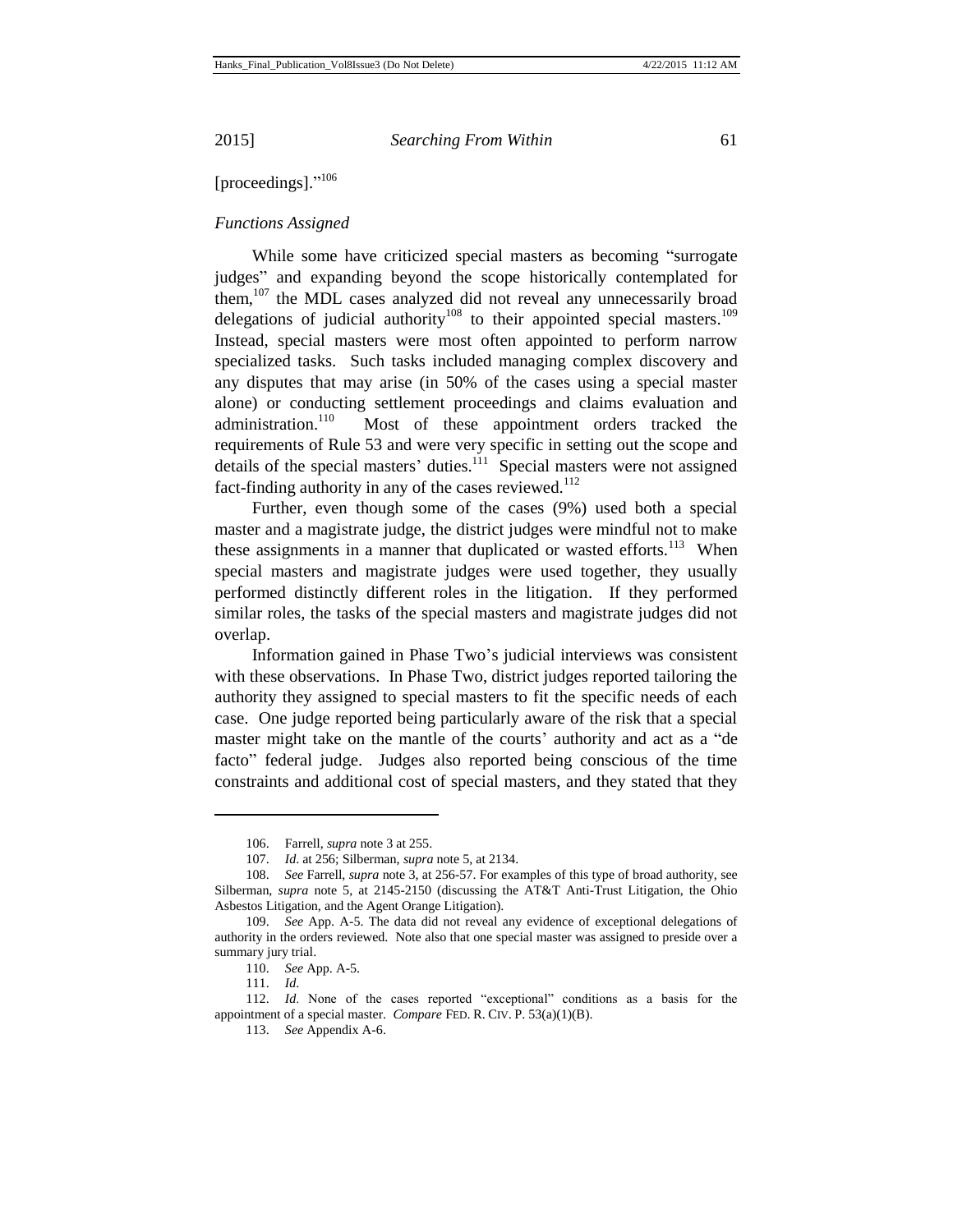[proceedings]."<sup>106</sup>

## *Functions Assigned*

While some have criticized special masters as becoming "surrogate judges" and expanding beyond the scope historically contemplated for them, $107$  the MDL cases analyzed did not reveal any unnecessarily broad delegations of judicial authority<sup>108</sup> to their appointed special masters.<sup>109</sup> Instead, special masters were most often appointed to perform narrow specialized tasks. Such tasks included managing complex discovery and any disputes that may arise (in 50% of the cases using a special master alone) or conducting settlement proceedings and claims evaluation and administration.<sup>110</sup> Most of these appointment orders tracked the requirements of Rule 53 and were very specific in setting out the scope and details of the special masters' duties. $111$  Special masters were not assigned fact-finding authority in any of the cases reviewed. $112$ 

Further, even though some of the cases (9%) used both a special master and a magistrate judge, the district judges were mindful not to make these assignments in a manner that duplicated or wasted efforts.<sup>113</sup> When special masters and magistrate judges were used together, they usually performed distinctly different roles in the litigation. If they performed similar roles, the tasks of the special masters and magistrate judges did not overlap.

Information gained in Phase Two's judicial interviews was consistent with these observations. In Phase Two, district judges reported tailoring the authority they assigned to special masters to fit the specific needs of each case. One judge reported being particularly aware of the risk that a special master might take on the mantle of the courts' authority and act as a "de facto" federal judge. Judges also reported being conscious of the time constraints and additional cost of special masters, and they stated that they

l

112. *Id*. None of the cases reported "exceptional" conditions as a basis for the appointment of a special master. *Compare* FED. R. CIV. P. 53(a)(1)(B).

<sup>106.</sup> Farrell, *supra* note 3 at 255.

<sup>107.</sup> *Id*. at 256; Silberman, *supra* note 5, at 2134.

<sup>108.</sup> *See* Farrell, *supra* note 3, at 256-57. For examples of this type of broad authority, see Silberman, *supra* note 5, at 2145-2150 (discussing the AT&T Anti-Trust Litigation, the Ohio Asbestos Litigation, and the Agent Orange Litigation).

<sup>109.</sup> *See* App. A-5. The data did not reveal any evidence of exceptional delegations of authority in the orders reviewed. Note also that one special master was assigned to preside over a summary jury trial.

<sup>110.</sup> *See* App. A-5.

<sup>111.</sup> *Id*.

<sup>113.</sup> *See* Appendix A-6.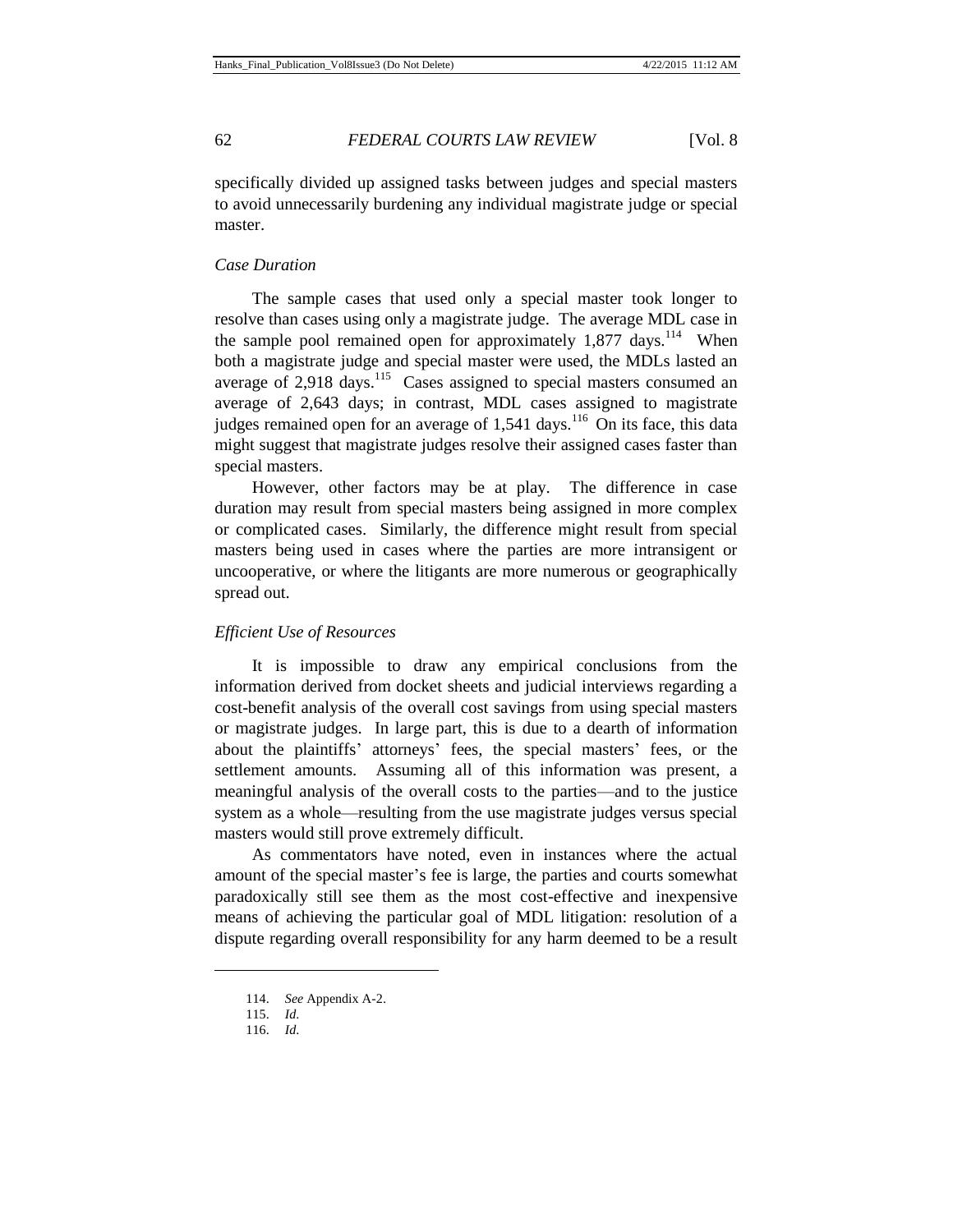specifically divided up assigned tasks between judges and special masters to avoid unnecessarily burdening any individual magistrate judge or special master.

## *Case Duration*

The sample cases that used only a special master took longer to resolve than cases using only a magistrate judge. The average MDL case in the sample pool remained open for approximately  $1,877$  days.<sup>114</sup> When both a magistrate judge and special master were used, the MDLs lasted an average of  $2,918$  days.<sup>115</sup> Cases assigned to special masters consumed an average of 2,643 days; in contrast, MDL cases assigned to magistrate judges remained open for an average of  $1,541$  days.<sup>116</sup> On its face, this data might suggest that magistrate judges resolve their assigned cases faster than special masters.

However, other factors may be at play. The difference in case duration may result from special masters being assigned in more complex or complicated cases. Similarly, the difference might result from special masters being used in cases where the parties are more intransigent or uncooperative, or where the litigants are more numerous or geographically spread out.

## *Efficient Use of Resources*

It is impossible to draw any empirical conclusions from the information derived from docket sheets and judicial interviews regarding a cost-benefit analysis of the overall cost savings from using special masters or magistrate judges. In large part, this is due to a dearth of information about the plaintiffs' attorneys' fees, the special masters' fees, or the settlement amounts. Assuming all of this information was present, a meaningful analysis of the overall costs to the parties—and to the justice system as a whole—resulting from the use magistrate judges versus special masters would still prove extremely difficult.

As commentators have noted, even in instances where the actual amount of the special master's fee is large, the parties and courts somewhat paradoxically still see them as the most cost-effective and inexpensive means of achieving the particular goal of MDL litigation: resolution of a dispute regarding overall responsibility for any harm deemed to be a result

<sup>114.</sup> *See* Appendix A-2.

<sup>115.</sup> *Id*.

<sup>116.</sup> *Id*.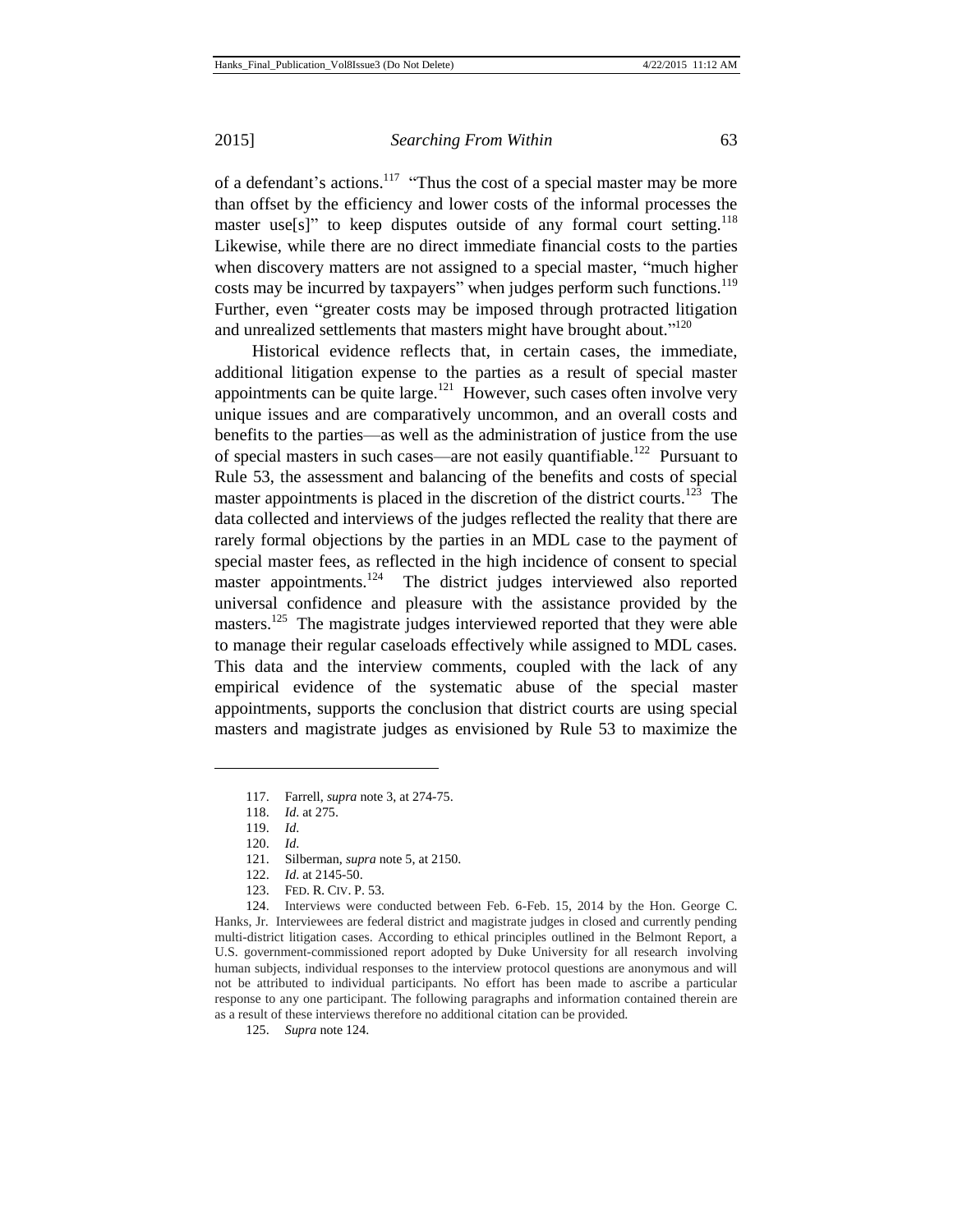of a defendant's actions.<sup>117</sup> "Thus the cost of a special master may be more than offset by the efficiency and lower costs of the informal processes the master use[s]" to keep disputes outside of any formal court setting.<sup>118</sup> Likewise, while there are no direct immediate financial costs to the parties when discovery matters are not assigned to a special master, "much higher costs may be incurred by taxpayers" when judges perform such functions.<sup>119</sup> Further, even "greater costs may be imposed through protracted litigation and unrealized settlements that masters might have brought about."<sup>120</sup>

Historical evidence reflects that, in certain cases, the immediate, additional litigation expense to the parties as a result of special master appointments can be quite large. $121$  However, such cases often involve very unique issues and are comparatively uncommon, and an overall costs and benefits to the parties—as well as the administration of justice from the use of special masters in such cases—are not easily quantifiable.<sup>122</sup> Pursuant to Rule 53, the assessment and balancing of the benefits and costs of special master appointments is placed in the discretion of the district courts.<sup>123</sup> The data collected and interviews of the judges reflected the reality that there are rarely formal objections by the parties in an MDL case to the payment of special master fees, as reflected in the high incidence of consent to special master appointments.<sup>124</sup> The district judges interviewed also reported universal confidence and pleasure with the assistance provided by the masters.<sup>125</sup> The magistrate judges interviewed reported that they were able to manage their regular caseloads effectively while assigned to MDL cases. This data and the interview comments, coupled with the lack of any empirical evidence of the systematic abuse of the special master appointments, supports the conclusion that district courts are using special masters and magistrate judges as envisioned by Rule 53 to maximize the

l

124. Interviews were conducted between Feb. 6-Feb. 15, 2014 by the Hon. George C. Hanks, Jr. Interviewees are federal district and magistrate judges in closed and currently pending multi-district litigation cases. According to ethical principles outlined in the Belmont Report, a U.S. government-commissioned report adopted by Duke University for all research involving human subjects, individual responses to the interview protocol questions are anonymous and will not be attributed to individual participants. No effort has been made to ascribe a particular response to any one participant. The following paragraphs and information contained therein are as a result of these interviews therefore no additional citation can be provided.

125. *Supra* note 124.

<sup>117.</sup> Farrell, *supra* note 3, at 274-75.

<sup>118.</sup> *Id*. at 275.

<sup>119.</sup> *Id*.

<sup>120.</sup> *Id*.

<sup>121.</sup> Silberman, *supra* note 5, at 2150.

<sup>122.</sup> *Id*. at 2145-50.

<sup>123.</sup> FED. R. CIV. P. 53.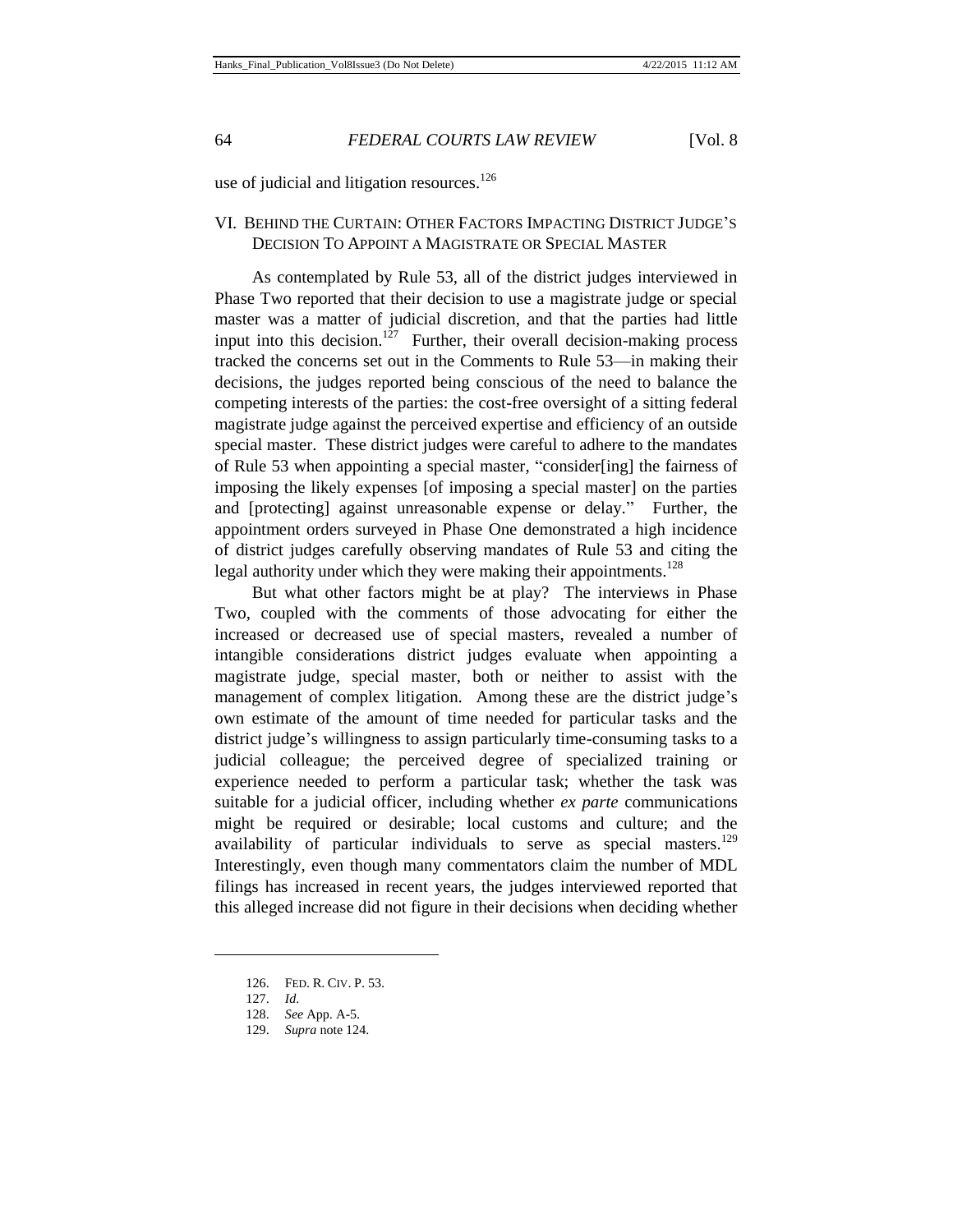use of judicial and litigation resources. $126$ 

## VI. BEHIND THE CURTAIN: OTHER FACTORS IMPACTING DISTRICT JUDGE'S DECISION TO APPOINT A MAGISTRATE OR SPECIAL MASTER

As contemplated by Rule 53, all of the district judges interviewed in Phase Two reported that their decision to use a magistrate judge or special master was a matter of judicial discretion, and that the parties had little input into this decision.<sup>127</sup> Further, their overall decision-making process tracked the concerns set out in the Comments to Rule 53—in making their decisions, the judges reported being conscious of the need to balance the competing interests of the parties: the cost-free oversight of a sitting federal magistrate judge against the perceived expertise and efficiency of an outside special master. These district judges were careful to adhere to the mandates of Rule 53 when appointing a special master, "consider[ing] the fairness of imposing the likely expenses [of imposing a special master] on the parties and [protecting] against unreasonable expense or delay." Further, the appointment orders surveyed in Phase One demonstrated a high incidence of district judges carefully observing mandates of Rule 53 and citing the legal authority under which they were making their appointments.<sup>128</sup>

But what other factors might be at play? The interviews in Phase Two, coupled with the comments of those advocating for either the increased or decreased use of special masters, revealed a number of intangible considerations district judges evaluate when appointing a magistrate judge, special master, both or neither to assist with the management of complex litigation. Among these are the district judge's own estimate of the amount of time needed for particular tasks and the district judge's willingness to assign particularly time-consuming tasks to a judicial colleague; the perceived degree of specialized training or experience needed to perform a particular task; whether the task was suitable for a judicial officer, including whether *ex parte* communications might be required or desirable; local customs and culture; and the availability of particular individuals to serve as special masters.<sup>129</sup> Interestingly, even though many commentators claim the number of MDL filings has increased in recent years, the judges interviewed reported that this alleged increase did not figure in their decisions when deciding whether

<sup>126.</sup> FED. R. CIV. P. 53.

<sup>127.</sup> *Id*.

<sup>128.</sup> *See* App. A-5.

<sup>129.</sup> *Supra* note 124.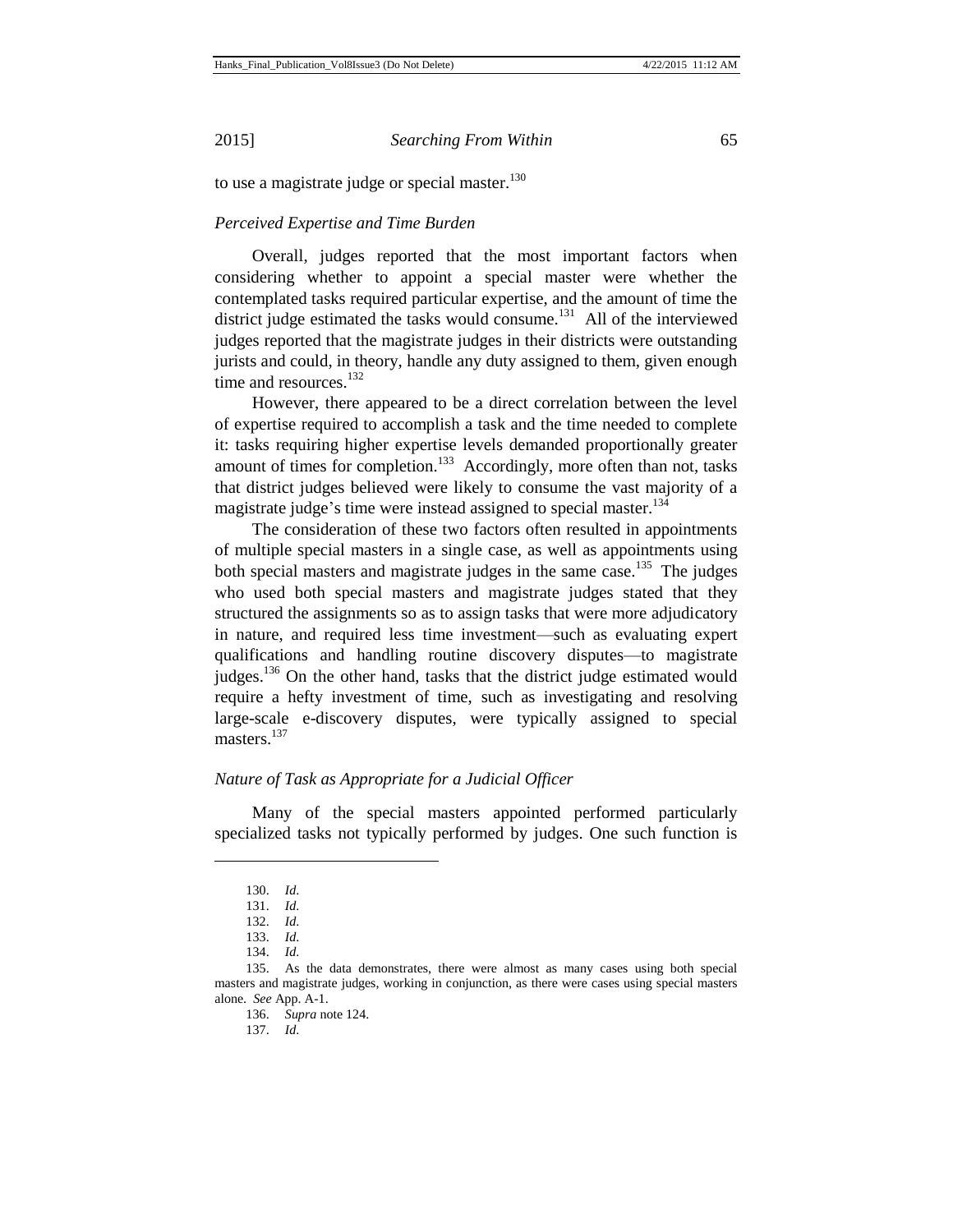to use a magistrate judge or special master. $130$ 

## *Perceived Expertise and Time Burden*

Overall, judges reported that the most important factors when considering whether to appoint a special master were whether the contemplated tasks required particular expertise, and the amount of time the district judge estimated the tasks would consume.<sup>131</sup> All of the interviewed judges reported that the magistrate judges in their districts were outstanding jurists and could, in theory, handle any duty assigned to them, given enough time and resources.<sup>132</sup>

However, there appeared to be a direct correlation between the level of expertise required to accomplish a task and the time needed to complete it: tasks requiring higher expertise levels demanded proportionally greater amount of times for completion.<sup>133</sup> Accordingly, more often than not, tasks that district judges believed were likely to consume the vast majority of a magistrate judge's time were instead assigned to special master.<sup>134</sup>

The consideration of these two factors often resulted in appointments of multiple special masters in a single case, as well as appointments using both special masters and magistrate judges in the same case.<sup>135</sup> The judges who used both special masters and magistrate judges stated that they structured the assignments so as to assign tasks that were more adjudicatory in nature, and required less time investment—such as evaluating expert qualifications and handling routine discovery disputes—to magistrate judges.<sup>136</sup> On the other hand, tasks that the district judge estimated would require a hefty investment of time, such as investigating and resolving large-scale e-discovery disputes, were typically assigned to special masters.<sup>137</sup>

## *Nature of Task as Appropriate for a Judicial Officer*

Many of the special masters appointed performed particularly specialized tasks not typically performed by judges. One such function is

l

137. *Id*.

<sup>130.</sup> *Id*.

<sup>131.</sup> *Id*.

<sup>132.</sup> *Id*.

<sup>133.</sup> *Id*.

<sup>134.</sup> *Id*.

<sup>135.</sup> As the data demonstrates, there were almost as many cases using both special masters and magistrate judges, working in conjunction, as there were cases using special masters alone. *See* App. A-1.

<sup>136.</sup> *Supra* note 124.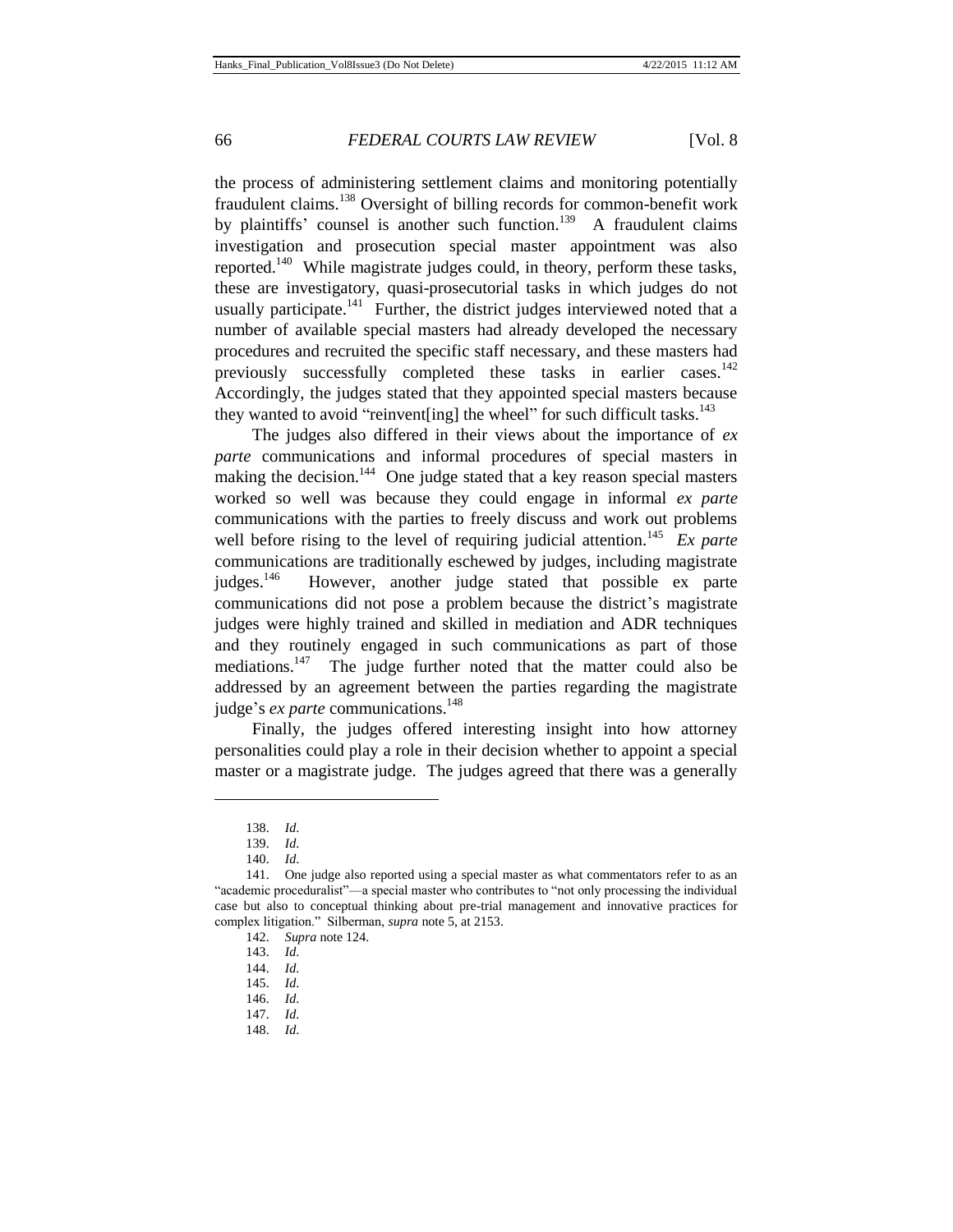the process of administering settlement claims and monitoring potentially fraudulent claims.<sup>138</sup> Oversight of billing records for common-benefit work by plaintiffs' counsel is another such function.<sup>139</sup> A fraudulent claims investigation and prosecution special master appointment was also reported.<sup>140</sup> While magistrate judges could, in theory, perform these tasks, these are investigatory, quasi-prosecutorial tasks in which judges do not usually participate. $141$  Further, the district judges interviewed noted that a number of available special masters had already developed the necessary procedures and recruited the specific staff necessary, and these masters had previously successfully completed these tasks in earlier cases.<sup>142</sup> Accordingly, the judges stated that they appointed special masters because they wanted to avoid "reinvent [ing] the wheel" for such difficult tasks.<sup>143</sup>

The judges also differed in their views about the importance of *ex parte* communications and informal procedures of special masters in making the decision.<sup>144</sup> One judge stated that a key reason special masters worked so well was because they could engage in informal *ex parte* communications with the parties to freely discuss and work out problems well before rising to the level of requiring judicial attention.<sup>145</sup> Ex parte communications are traditionally eschewed by judges, including magistrate judges.<sup>146</sup> However, another judge stated that possible ex parte communications did not pose a problem because the district's magistrate judges were highly trained and skilled in mediation and ADR techniques and they routinely engaged in such communications as part of those mediations.<sup>147</sup> The judge further noted that the matter could also be addressed by an agreement between the parties regarding the magistrate judge's *ex parte* communications.<sup>148</sup>

Finally, the judges offered interesting insight into how attorney personalities could play a role in their decision whether to appoint a special master or a magistrate judge. The judges agreed that there was a generally

<sup>138.</sup> *Id*.

<sup>139.</sup> *Id*.

<sup>140.</sup> *Id*.

<sup>141.</sup> One judge also reported using a special master as what commentators refer to as an "academic proceduralist"—a special master who contributes to "not only processing the individual case but also to conceptual thinking about pre-trial management and innovative practices for complex litigation." Silberman, *supra* note 5, at 2153.

<sup>142.</sup> *Supra* note 124.

<sup>143.</sup> *Id*.

<sup>144.</sup> *Id*.

<sup>145.</sup> *Id*. 146. *Id*.

<sup>147.</sup> *Id*.

<sup>148.</sup> *Id*.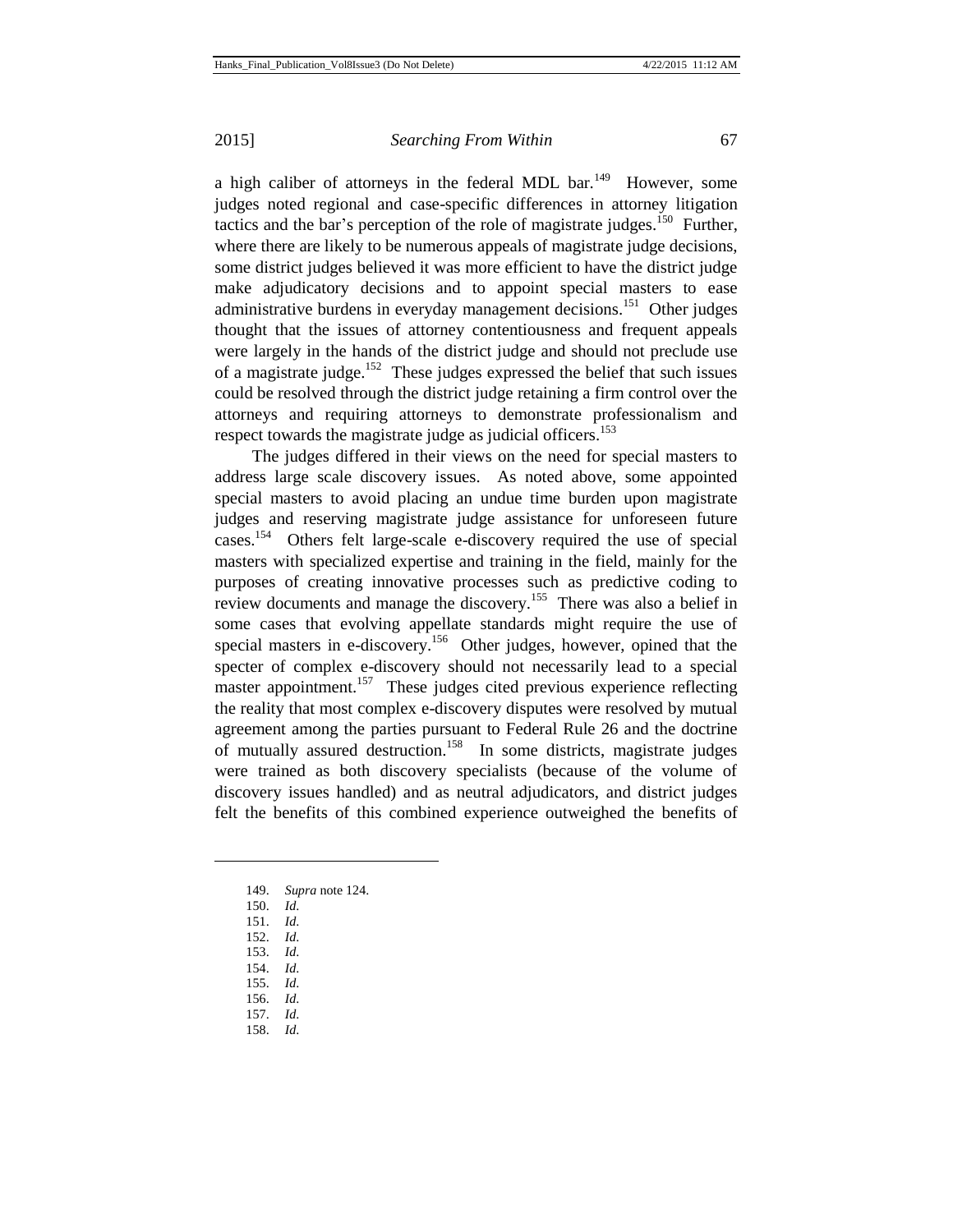a high caliber of attorneys in the federal MDL bar.<sup>149</sup> However, some judges noted regional and case-specific differences in attorney litigation tactics and the bar's perception of the role of magistrate judges.<sup>150</sup> Further, where there are likely to be numerous appeals of magistrate judge decisions, some district judges believed it was more efficient to have the district judge make adjudicatory decisions and to appoint special masters to ease administrative burdens in everyday management decisions.<sup>151</sup> Other judges thought that the issues of attorney contentiousness and frequent appeals were largely in the hands of the district judge and should not preclude use of a magistrate judge.<sup>152</sup> These judges expressed the belief that such issues could be resolved through the district judge retaining a firm control over the attorneys and requiring attorneys to demonstrate professionalism and respect towards the magistrate judge as judicial officers.<sup>153</sup>

The judges differed in their views on the need for special masters to address large scale discovery issues. As noted above, some appointed special masters to avoid placing an undue time burden upon magistrate judges and reserving magistrate judge assistance for unforeseen future cases.<sup>154</sup> Others felt large-scale e-discovery required the use of special masters with specialized expertise and training in the field, mainly for the purposes of creating innovative processes such as predictive coding to review documents and manage the discovery.<sup>155</sup> There was also a belief in some cases that evolving appellate standards might require the use of special masters in e-discovery.<sup>156</sup> Other judges, however, opined that the specter of complex e-discovery should not necessarily lead to a special master appointment.<sup>157</sup> These judges cited previous experience reflecting the reality that most complex e-discovery disputes were resolved by mutual agreement among the parties pursuant to Federal Rule 26 and the doctrine of mutually assured destruction.<sup>158</sup> In some districts, magistrate judges were trained as both discovery specialists (because of the volume of discovery issues handled) and as neutral adjudicators, and district judges felt the benefits of this combined experience outweighed the benefits of

- 149. *Supra* note 124.
- 150. *Id*.
- 151. *Id*.

- 152. *Id*.
- 153. *Id*.
- 154. *Id*.
- 155. *Id*.
- 156. *Id*. 157. *Id*.
- 158. *Id*.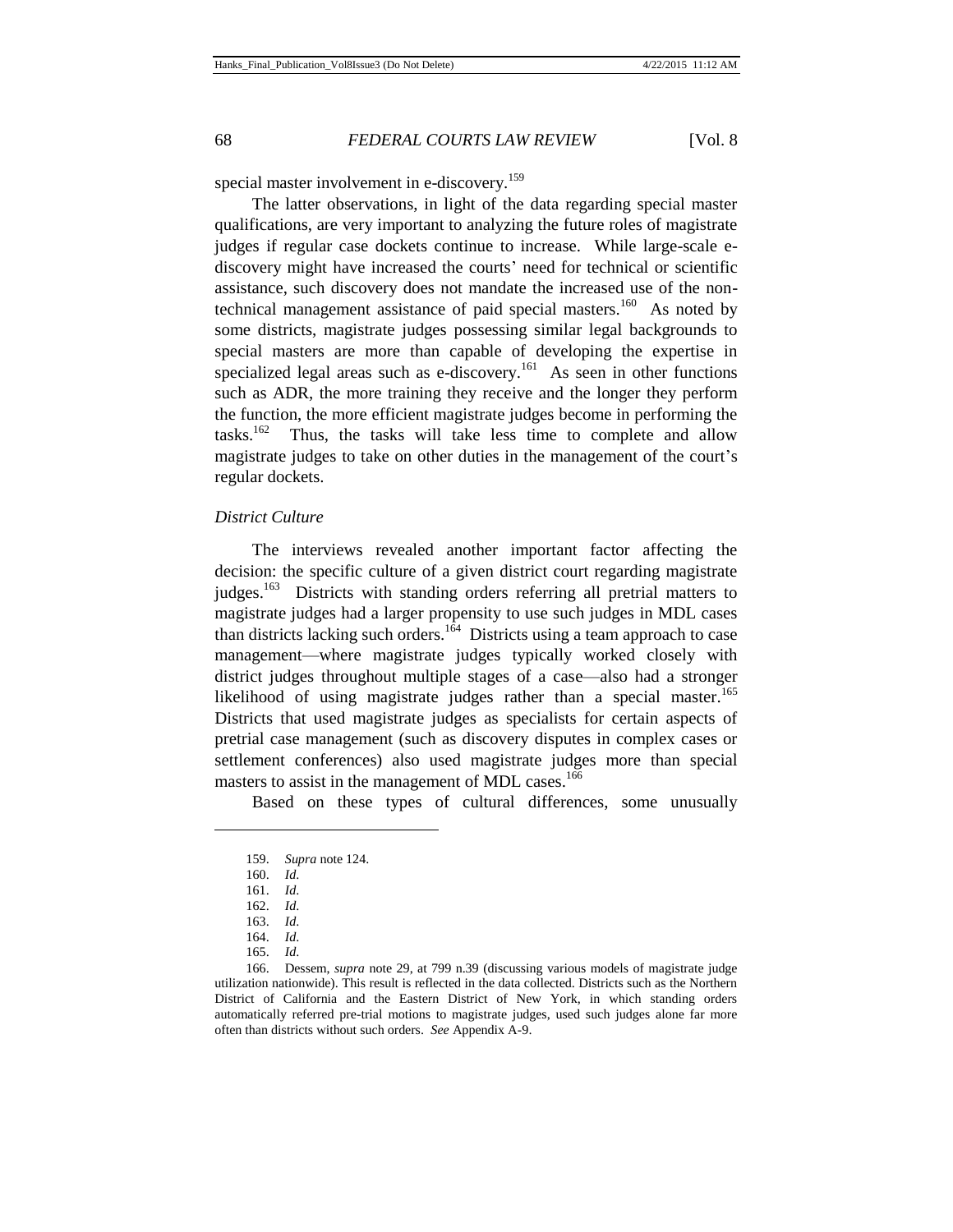special master involvement in e-discovery.<sup>159</sup>

The latter observations, in light of the data regarding special master qualifications, are very important to analyzing the future roles of magistrate judges if regular case dockets continue to increase. While large-scale ediscovery might have increased the courts' need for technical or scientific assistance, such discovery does not mandate the increased use of the nontechnical management assistance of paid special masters.<sup>160</sup> As noted by some districts, magistrate judges possessing similar legal backgrounds to special masters are more than capable of developing the expertise in specialized legal areas such as e-discovery.<sup>161</sup> As seen in other functions such as ADR, the more training they receive and the longer they perform the function, the more efficient magistrate judges become in performing the  $tasks.<sup>162</sup>$  Thus, the tasks will take less time to complete and allow magistrate judges to take on other duties in the management of the court's regular dockets.

## *District Culture*

The interviews revealed another important factor affecting the decision: the specific culture of a given district court regarding magistrate judges.<sup>163</sup> Districts with standing orders referring all pretrial matters to magistrate judges had a larger propensity to use such judges in MDL cases than districts lacking such orders.<sup>164</sup> Districts using a team approach to case management—where magistrate judges typically worked closely with district judges throughout multiple stages of a case—also had a stronger likelihood of using magistrate judges rather than a special master.<sup>165</sup> Districts that used magistrate judges as specialists for certain aspects of pretrial case management (such as discovery disputes in complex cases or settlement conferences) also used magistrate judges more than special masters to assist in the management of MDL cases.<sup>166</sup>

Based on these types of cultural differences, some unusually

<sup>159.</sup> *Supra* note 124.

<sup>160.</sup> *Id*.

<sup>161.</sup> *Id*.

<sup>162.</sup> *Id*.

<sup>163.</sup> *Id*.

<sup>164.</sup> *Id*.

<sup>165.</sup> *Id*.

<sup>166.</sup> Dessem, *supra* note 29, at 799 n.39 (discussing various models of magistrate judge utilization nationwide). This result is reflected in the data collected. Districts such as the Northern District of California and the Eastern District of New York, in which standing orders automatically referred pre-trial motions to magistrate judges, used such judges alone far more often than districts without such orders. *See* Appendix A-9.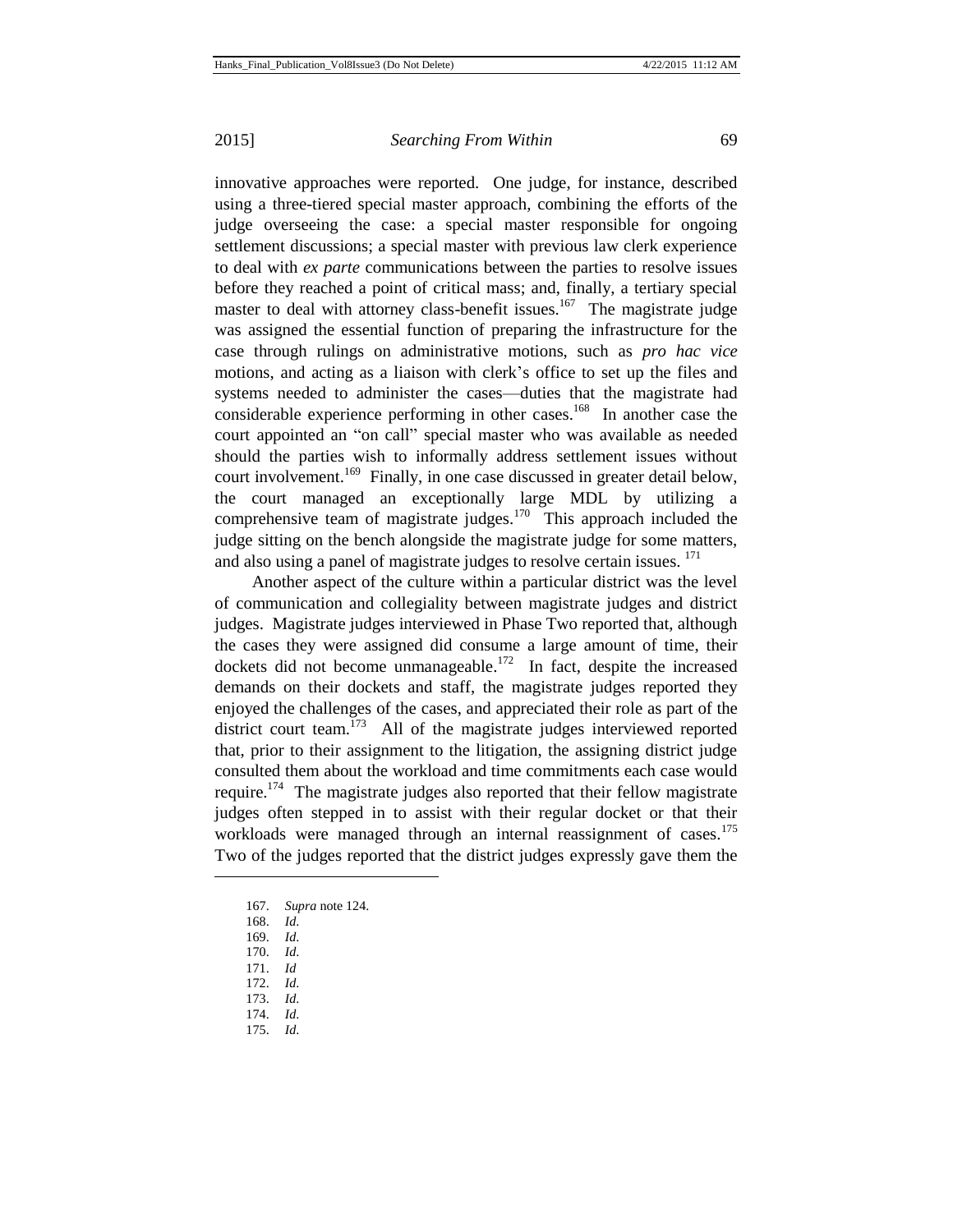innovative approaches were reported. One judge, for instance, described using a three-tiered special master approach, combining the efforts of the judge overseeing the case: a special master responsible for ongoing settlement discussions; a special master with previous law clerk experience to deal with *ex parte* communications between the parties to resolve issues before they reached a point of critical mass; and, finally, a tertiary special master to deal with attorney class-benefit issues.<sup>167</sup> The magistrate judge was assigned the essential function of preparing the infrastructure for the case through rulings on administrative motions, such as *pro hac vice* motions, and acting as a liaison with clerk's office to set up the files and systems needed to administer the cases—duties that the magistrate had considerable experience performing in other cases.<sup>168</sup> In another case the court appointed an "on call" special master who was available as needed should the parties wish to informally address settlement issues without court involvement.<sup>169</sup> Finally, in one case discussed in greater detail below, the court managed an exceptionally large MDL by utilizing a comprehensive team of magistrate judges.<sup>170</sup> This approach included the judge sitting on the bench alongside the magistrate judge for some matters, and also using a panel of magistrate judges to resolve certain issues. <sup>171</sup>

Another aspect of the culture within a particular district was the level of communication and collegiality between magistrate judges and district judges. Magistrate judges interviewed in Phase Two reported that, although the cases they were assigned did consume a large amount of time, their dockets did not become unmanageable.<sup>172</sup> In fact, despite the increased demands on their dockets and staff, the magistrate judges reported they enjoyed the challenges of the cases, and appreciated their role as part of the district court team.<sup>173</sup> All of the magistrate judges interviewed reported that, prior to their assignment to the litigation, the assigning district judge consulted them about the workload and time commitments each case would require.<sup>174</sup> The magistrate judges also reported that their fellow magistrate judges often stepped in to assist with their regular docket or that their workloads were managed through an internal reassignment of cases.<sup>175</sup> Two of the judges reported that the district judges expressly gave them the

167. *Supra* note 124.

- 170. *Id*.
- 171. *Id*
- 172. *Id*.
- 173. *Id*.
- 174. *Id*.
- 175. *Id*.

<sup>168.</sup> *Id*.

<sup>169.</sup> *Id*.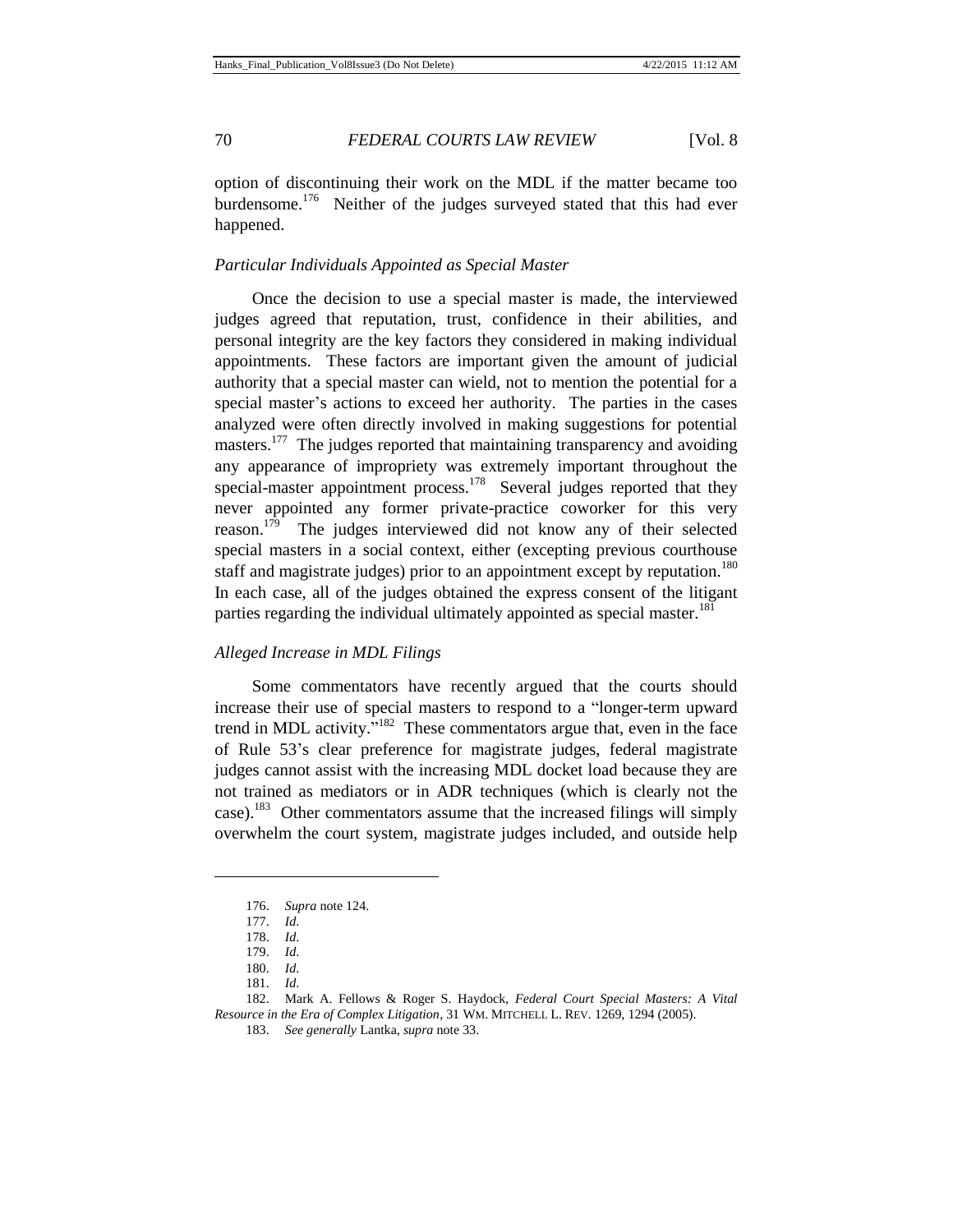option of discontinuing their work on the MDL if the matter became too burdensome.<sup>176</sup> Neither of the judges surveyed stated that this had ever happened.

## *Particular Individuals Appointed as Special Master*

Once the decision to use a special master is made, the interviewed judges agreed that reputation, trust, confidence in their abilities, and personal integrity are the key factors they considered in making individual appointments. These factors are important given the amount of judicial authority that a special master can wield, not to mention the potential for a special master's actions to exceed her authority. The parties in the cases analyzed were often directly involved in making suggestions for potential masters.<sup>177</sup> The judges reported that maintaining transparency and avoiding any appearance of impropriety was extremely important throughout the special-master appointment process.<sup>178</sup> Several judges reported that they never appointed any former private-practice coworker for this very reason.<sup>179</sup> The judges interviewed did not know any of their selected special masters in a social context, either (excepting previous courthouse staff and magistrate judges) prior to an appointment except by reputation.<sup>180</sup> In each case, all of the judges obtained the express consent of the litigant parties regarding the individual ultimately appointed as special master.<sup>181</sup>

## *Alleged Increase in MDL Filings*

Some commentators have recently argued that the courts should increase their use of special masters to respond to a "longer-term upward trend in MDL activity."<sup>182</sup> These commentators argue that, even in the face of Rule 53's clear preference for magistrate judges, federal magistrate judges cannot assist with the increasing MDL docket load because they are not trained as mediators or in ADR techniques (which is clearly not the case).<sup>183</sup> Other commentators assume that the increased filings will simply overwhelm the court system, magistrate judges included, and outside help

<sup>176.</sup> *Supra* note 124.

<sup>177.</sup> *Id*.

<sup>178.</sup> *Id*.

<sup>179.</sup> *Id*.

<sup>180.</sup> *Id*.

<sup>181.</sup> *Id*.

<sup>182.</sup> Mark A. Fellows & Roger S. Haydock, *Federal Court Special Masters: A Vital Resource in the Era of Complex Litigation*, 31 WM. MITCHELL L. REV. 1269, 1294 (2005).

<sup>183.</sup> *See generally* Lantka, *supra* note 33.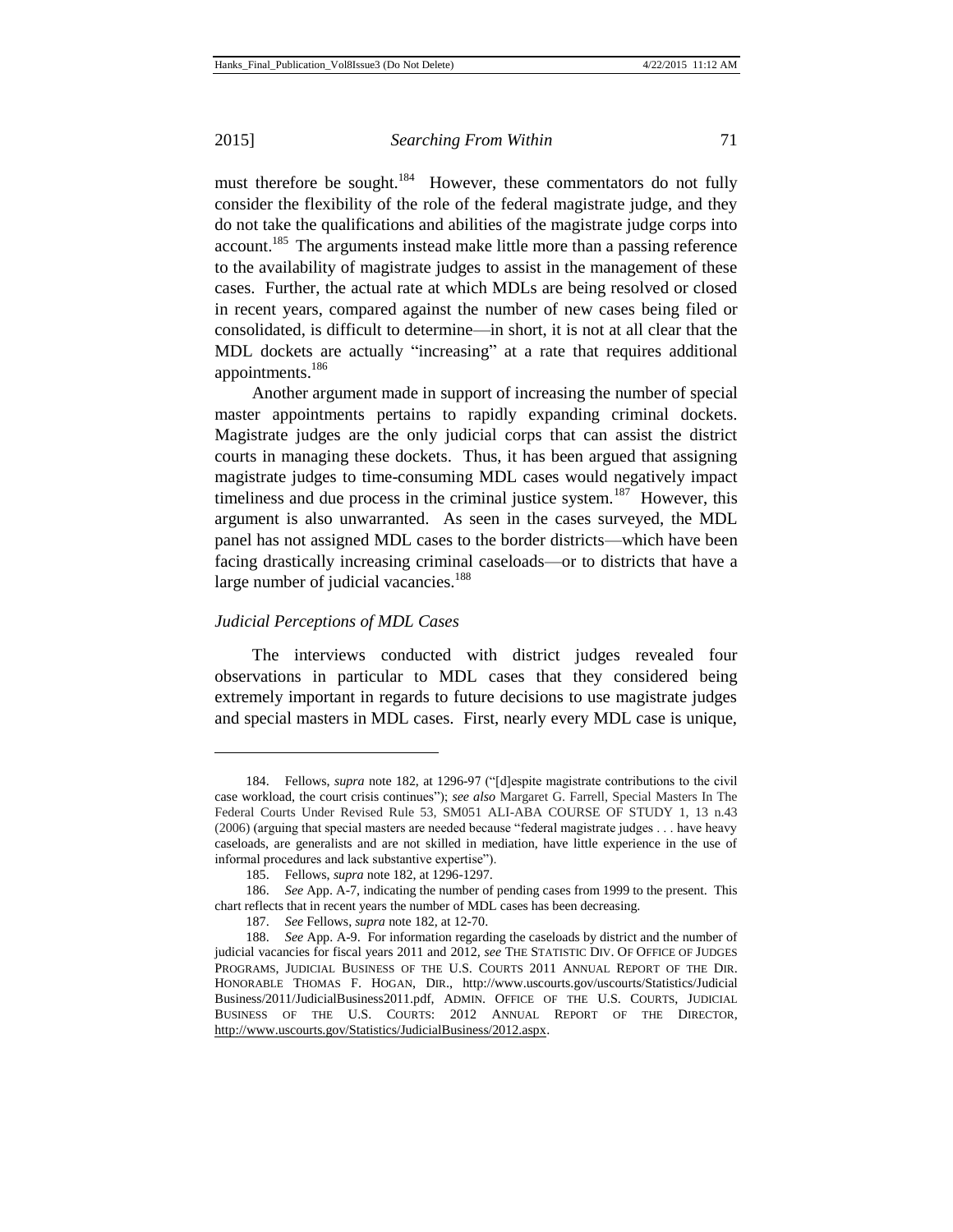l

#### 2015] *Searching From Within* 71

must therefore be sought.<sup>184</sup> However, these commentators do not fully consider the flexibility of the role of the federal magistrate judge, and they do not take the qualifications and abilities of the magistrate judge corps into account.<sup>185</sup> The arguments instead make little more than a passing reference to the availability of magistrate judges to assist in the management of these cases. Further, the actual rate at which MDLs are being resolved or closed in recent years, compared against the number of new cases being filed or consolidated, is difficult to determine—in short, it is not at all clear that the MDL dockets are actually "increasing" at a rate that requires additional appointments.<sup>186</sup>

Another argument made in support of increasing the number of special master appointments pertains to rapidly expanding criminal dockets. Magistrate judges are the only judicial corps that can assist the district courts in managing these dockets. Thus, it has been argued that assigning magistrate judges to time-consuming MDL cases would negatively impact timeliness and due process in the criminal justice system.<sup>187</sup> However, this argument is also unwarranted. As seen in the cases surveyed, the MDL panel has not assigned MDL cases to the border districts—which have been facing drastically increasing criminal caseloads—or to districts that have a large number of judicial vacancies.<sup>188</sup>

## *Judicial Perceptions of MDL Cases*

The interviews conducted with district judges revealed four observations in particular to MDL cases that they considered being extremely important in regards to future decisions to use magistrate judges and special masters in MDL cases. First, nearly every MDL case is unique,

<sup>184.</sup> Fellows, *supra* note 182, at 1296-97 ("[d]espite magistrate contributions to the civil case workload, the court crisis continues"); *see also* Margaret G. Farrell, Special Masters In The Federal Courts Under Revised Rule 53, SM051 ALI-ABA COURSE OF STUDY 1, 13 n.43 (2006) (arguing that special masters are needed because "federal magistrate judges . . . have heavy caseloads, are generalists and are not skilled in mediation, have little experience in the use of informal procedures and lack substantive expertise").

<sup>185.</sup> Fellows, *supra* note 182, at 1296-1297.

<sup>186.</sup> *See* App. A-7, indicating the number of pending cases from 1999 to the present. This chart reflects that in recent years the number of MDL cases has been decreasing.

<sup>187.</sup> *See* Fellows, *supra* note 182, at 12-70.

<sup>188.</sup> *See* App. A-9. For information regarding the caseloads by district and the number of judicial vacancies for fiscal years 2011 and 2012*, see* THE STATISTIC DIV. OF OFFICE OF JUDGES PROGRAMS, JUDICIAL BUSINESS OF THE U.S. COURTS 2011 ANNUAL REPORT OF THE DIR. HONORABLE THOMAS F. HOGAN, DIR., <http://www.uscourts.gov/uscourts/Statistics/Judicial> Business/2011/JudicialBusiness2011.pdf, ADMIN. OFFICE OF THE U.S. COURTS, JUDICIAL BUSINESS OF THE U.S. COURTS: 2012 ANNUAL REPORT OF THE DIRECTOR[,](http://www.uscourts.gov/Statistics/JudicialBusiness/2012.aspx) http://www.uscourts.gov/Statistics/JudicialBusiness/2012.aspx.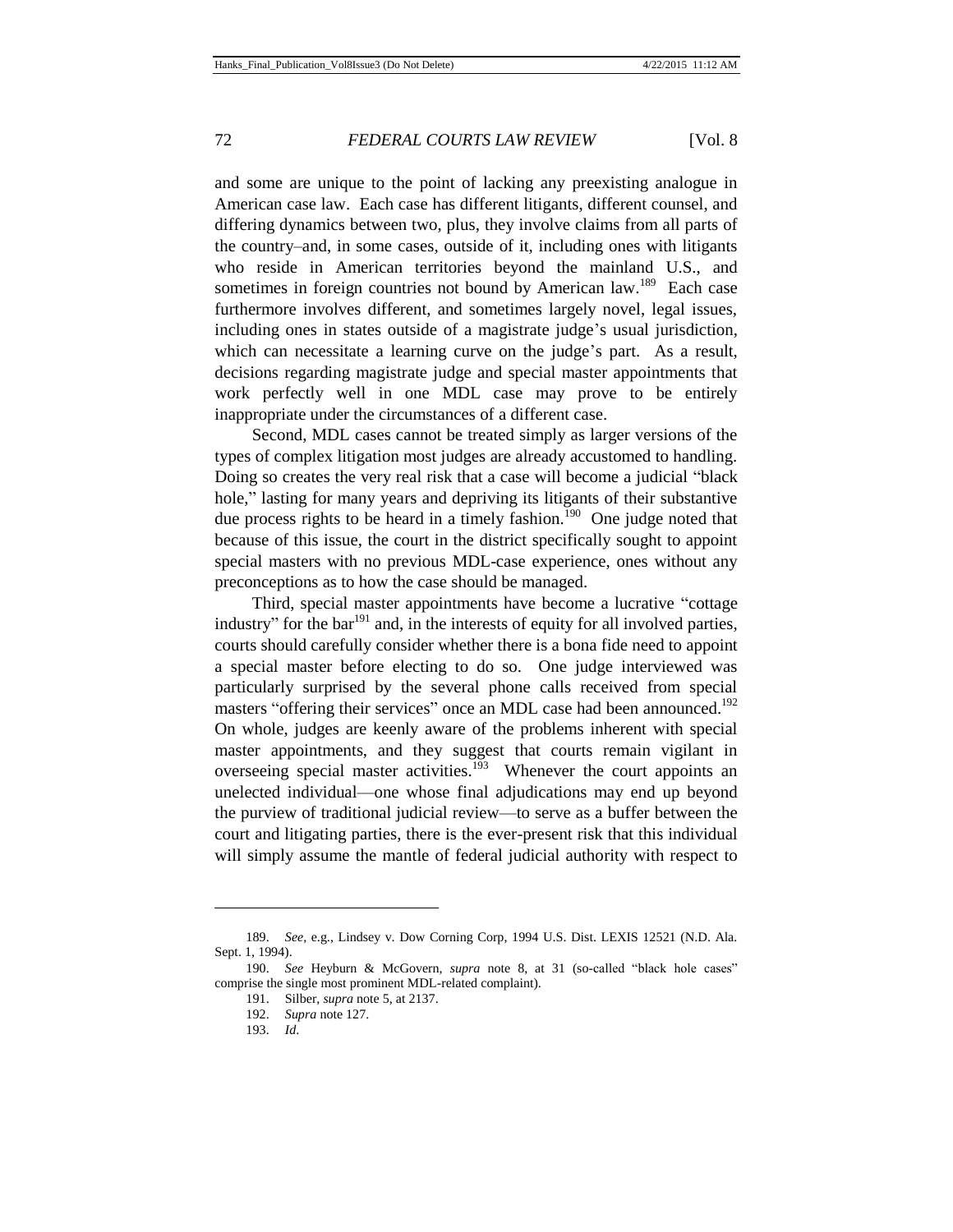and some are unique to the point of lacking any preexisting analogue in American case law. Each case has different litigants, different counsel, and differing dynamics between two, plus, they involve claims from all parts of the country–and, in some cases, outside of it, including ones with litigants who reside in American territories beyond the mainland U.S., and sometimes in foreign countries not bound by American law.<sup>189</sup> Each case furthermore involves different, and sometimes largely novel, legal issues, including ones in states outside of a magistrate judge's usual jurisdiction, which can necessitate a learning curve on the judge's part. As a result, decisions regarding magistrate judge and special master appointments that work perfectly well in one MDL case may prove to be entirely inappropriate under the circumstances of a different case.

Second, MDL cases cannot be treated simply as larger versions of the types of complex litigation most judges are already accustomed to handling. Doing so creates the very real risk that a case will become a judicial "black hole," lasting for many years and depriving its litigants of their substantive due process rights to be heard in a timely fashion.<sup>190</sup> One judge noted that because of this issue, the court in the district specifically sought to appoint special masters with no previous MDL-case experience, ones without any preconceptions as to how the case should be managed.

Third, special master appointments have become a lucrative "cottage industry" for the bar $191$  and, in the interests of equity for all involved parties, courts should carefully consider whether there is a bona fide need to appoint a special master before electing to do so. One judge interviewed was particularly surprised by the several phone calls received from special masters "offering their services" once an MDL case had been announced.<sup>192</sup> On whole, judges are keenly aware of the problems inherent with special master appointments, and they suggest that courts remain vigilant in overseeing special master activities.<sup>193</sup> Whenever the court appoints an unelected individual—one whose final adjudications may end up beyond the purview of traditional judicial review—to serve as a buffer between the court and litigating parties, there is the ever-present risk that this individual will simply assume the mantle of federal judicial authority with respect to

<sup>189.</sup> *See*, e.g., Lindsey v. Dow Corning Corp, 1994 U.S. Dist. LEXIS 12521 (N.D. Ala. Sept. 1, 1994).

<sup>190.</sup> *See* Heyburn & McGovern, *supra* note 8, at 31 (so-called "black hole cases" comprise the single most prominent MDL-related complaint).

<sup>191.</sup> Silber, *supra* note 5, at 2137.

<sup>192.</sup> *Supra* note 127.

<sup>193.</sup> *Id*.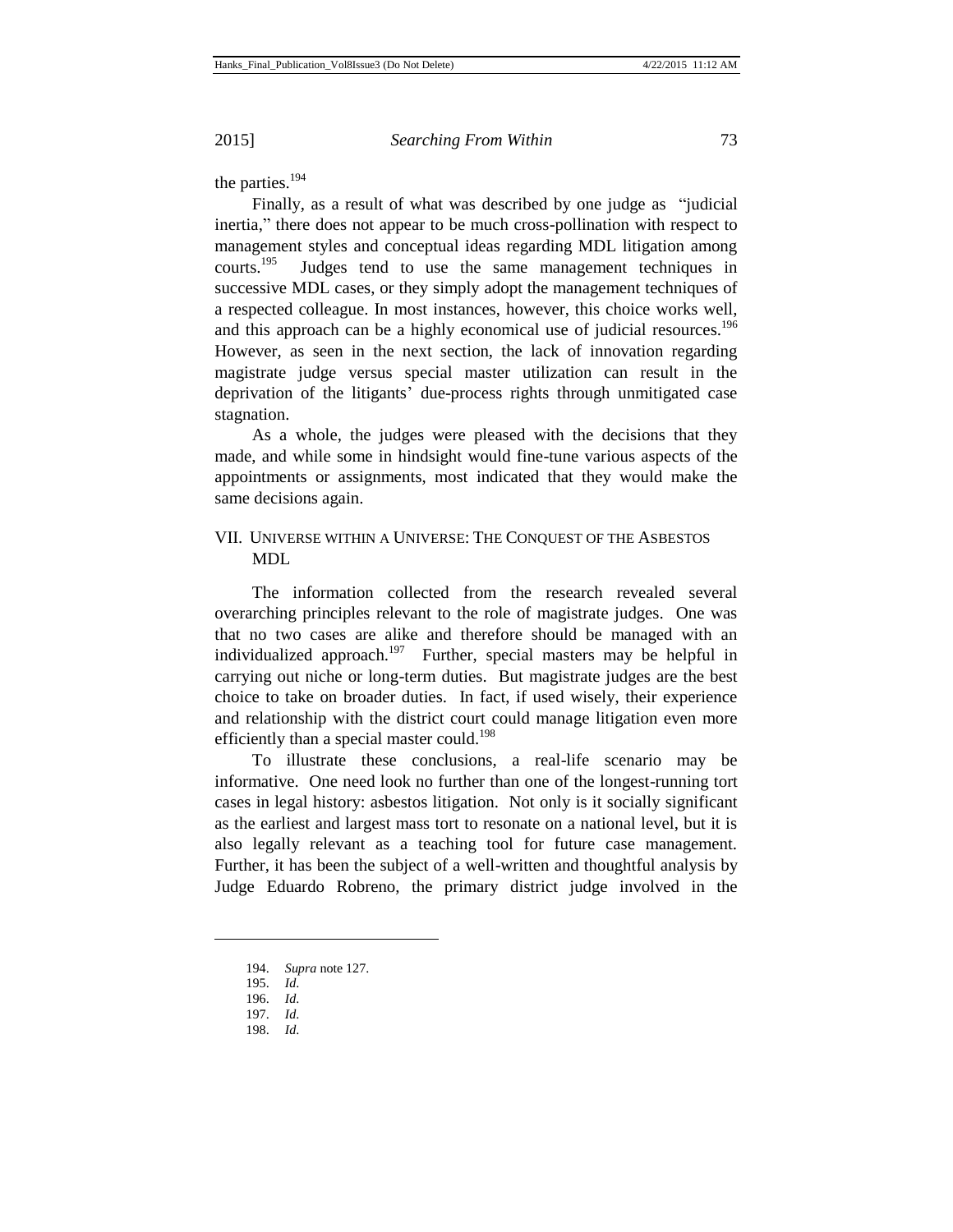the parties.<sup>194</sup>

Finally, as a result of what was described by one judge as "judicial inertia," there does not appear to be much cross-pollination with respect to management styles and conceptual ideas regarding MDL litigation among courts. $^{195}$  Judges tend to use the same management techniques in successive MDL cases, or they simply adopt the management techniques of a respected colleague. In most instances, however, this choice works well, and this approach can be a highly economical use of judicial resources.<sup>196</sup> However, as seen in the next section, the lack of innovation regarding magistrate judge versus special master utilization can result in the deprivation of the litigants' due-process rights through unmitigated case stagnation.

As a whole, the judges were pleased with the decisions that they made, and while some in hindsight would fine-tune various aspects of the appointments or assignments, most indicated that they would make the same decisions again.

## VII. UNIVERSE WITHIN A UNIVERSE: THE CONQUEST OF THE ASBESTOS MDL

The information collected from the research revealed several overarching principles relevant to the role of magistrate judges. One was that no two cases are alike and therefore should be managed with an individualized approach.<sup>197</sup> Further, special masters may be helpful in carrying out niche or long-term duties. But magistrate judges are the best choice to take on broader duties. In fact, if used wisely, their experience and relationship with the district court could manage litigation even more efficiently than a special master could.<sup>198</sup>

To illustrate these conclusions, a real-life scenario may be informative. One need look no further than one of the longest-running tort cases in legal history: asbestos litigation. Not only is it socially significant as the earliest and largest mass tort to resonate on a national level, but it is also legally relevant as a teaching tool for future case management. Further, it has been the subject of a well-written and thoughtful analysis by Judge Eduardo Robreno, the primary district judge involved in the

<sup>194.</sup> *Supra* note 127.

<sup>195.</sup> *Id*.

<sup>196.</sup> *Id*.

<sup>197.</sup> *Id*.

<sup>198.</sup> *Id*.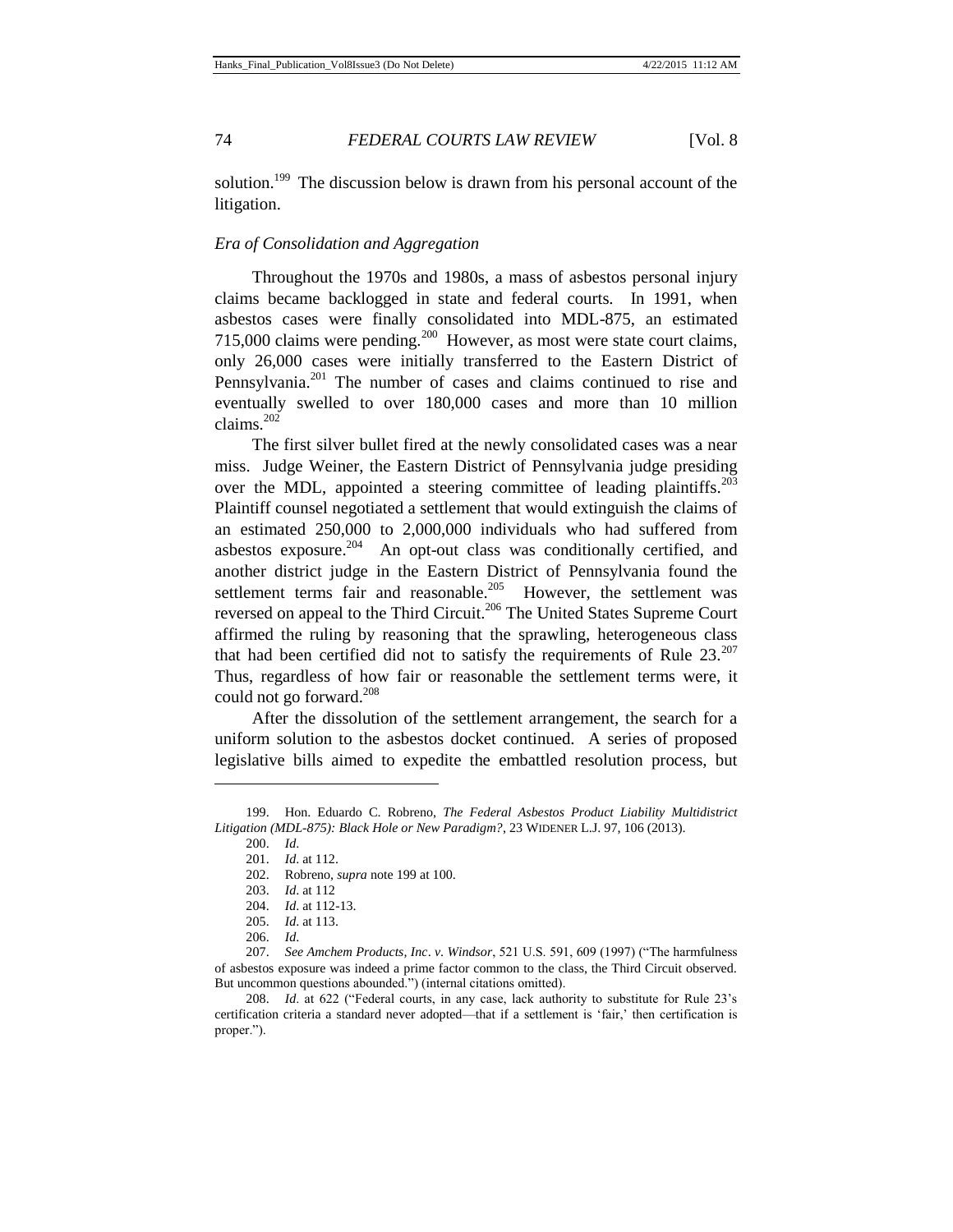solution.<sup>199</sup> The discussion below is drawn from his personal account of the litigation.

## *Era of Consolidation and Aggregation*

Throughout the 1970s and 1980s, a mass of asbestos personal injury claims became backlogged in state and federal courts. In 1991, when asbestos cases were finally consolidated into MDL-875, an estimated 715,000 claims were pending.<sup>200</sup> However, as most were state court claims, only 26,000 cases were initially transferred to the Eastern District of Pennsylvania.<sup>201</sup> The number of cases and claims continued to rise and eventually swelled to over 180,000 cases and more than 10 million claims.<sup>202</sup>

The first silver bullet fired at the newly consolidated cases was a near miss. Judge Weiner, the Eastern District of Pennsylvania judge presiding over the MDL, appointed a steering committee of leading plaintiffs.<sup>203</sup> Plaintiff counsel negotiated a settlement that would extinguish the claims of an estimated 250,000 to 2,000,000 individuals who had suffered from asbestos exposure.<sup>204</sup> An opt-out class was conditionally certified, and another district judge in the Eastern District of Pennsylvania found the settlement terms fair and reasonable. $205$  However, the settlement was reversed on appeal to the Third Circuit.<sup>206</sup> The United States Supreme Court affirmed the ruling by reasoning that the sprawling, heterogeneous class that had been certified did not to satisfy the requirements of Rule  $23.^{207}$ Thus, regardless of how fair or reasonable the settlement terms were, it could not go forward.<sup>208</sup>

After the dissolution of the settlement arrangement, the search for a uniform solution to the asbestos docket continued. A series of proposed legislative bills aimed to expedite the embattled resolution process, but

<sup>199.</sup> Hon. Eduardo C. Robreno, *The Federal Asbestos Product Liability Multidistrict Litigation (MDL-875): Black Hole or New Paradigm?*, 23 WIDENER L.J. 97, 106 (2013).

<sup>200.</sup> *Id*.

<sup>201.</sup> *Id*. at 112.

<sup>202.</sup> Robreno, *supra* note 199 at 100.

<sup>203.</sup> *Id*. at 112

<sup>204.</sup> *Id*. at 112-13.

<sup>205.</sup> *Id*. at 113.

<sup>206.</sup> *Id*.

<sup>207.</sup> *See Amchem Products, Inc*. *v*. *Windsor*, 521 U.S. 591, 609 (1997) ("The harmfulness of asbestos exposure was indeed a prime factor common to the class, the Third Circuit observed. But uncommon questions abounded.") (internal citations omitted).

<sup>208.</sup> *Id*. at 622 ("Federal courts, in any case, lack authority to substitute for Rule 23's certification criteria a standard never adopted—that if a settlement is 'fair,' then certification is proper.").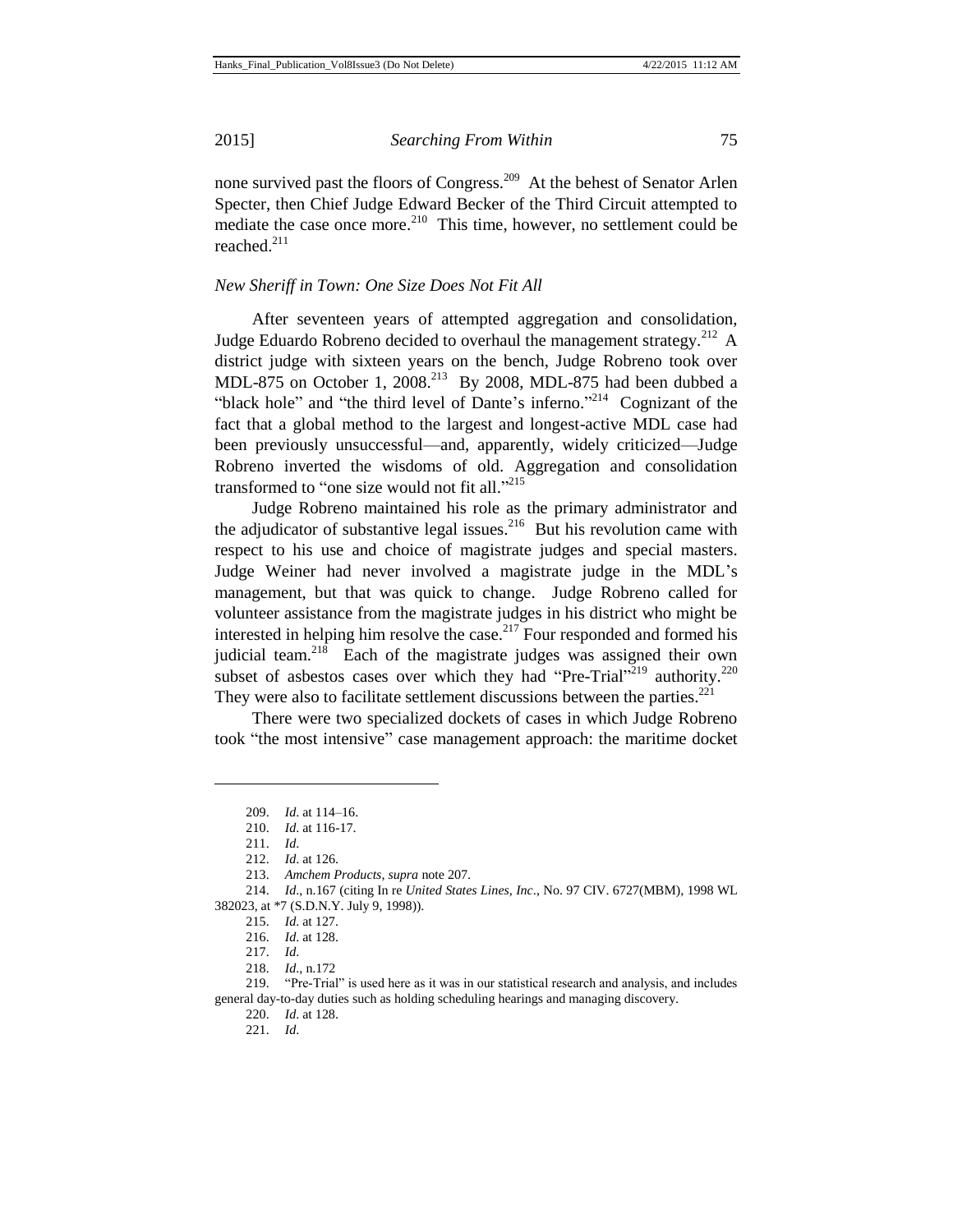none survived past the floors of Congress.<sup>209</sup> At the behest of Senator Arlen Specter, then Chief Judge Edward Becker of the Third Circuit attempted to mediate the case once more. $^{210}$  This time, however, no settlement could be reached. $211$ 

#### *New Sheriff in Town: One Size Does Not Fit All*

After seventeen years of attempted aggregation and consolidation, Judge Eduardo Robreno decided to overhaul the management strategy.<sup>212</sup> A district judge with sixteen years on the bench, Judge Robreno took over MDL-875 on October 1,  $2008.<sup>213</sup>$  By 2008, MDL-875 had been dubbed a "black hole" and "the third level of Dante's inferno."<sup>214</sup> Cognizant of the fact that a global method to the largest and longest-active MDL case had been previously unsuccessful—and, apparently, widely criticized—Judge Robreno inverted the wisdoms of old. Aggregation and consolidation transformed to "one size would not fit all."<sup>215</sup>

Judge Robreno maintained his role as the primary administrator and the adjudicator of substantive legal issues.<sup>216</sup> But his revolution came with respect to his use and choice of magistrate judges and special masters. Judge Weiner had never involved a magistrate judge in the MDL's management, but that was quick to change. Judge Robreno called for volunteer assistance from the magistrate judges in his district who might be interested in helping him resolve the case.<sup>217</sup> Four responded and formed his judicial team.<sup>218</sup> Each of the magistrate judges was assigned their own subset of asbestos cases over which they had "Pre-Trial"<sup>219</sup> authority.<sup>220</sup> They were also to facilitate settlement discussions between the parties. $221$ 

There were two specialized dockets of cases in which Judge Robreno took "the most intensive" case management approach: the maritime docket

<sup>209.</sup> *Id*. at 114–16.

<sup>210.</sup> *Id*. at 116-17.

<sup>211.</sup> *Id*.

<sup>212.</sup> *Id*. at 126.

<sup>213.</sup> *Amchem Products*, *supra* note 207.

<sup>214.</sup> *Id*., n.167 (citing In re *United States Lines, Inc*., No. 97 CIV. 6727(MBM), 1998 WL 382023, at \*7 (S.D.N.Y. July 9, 1998)).

<sup>215.</sup> *Id*. at 127.

<sup>216.</sup> *Id*. at 128.

<sup>217.</sup> *Id*.

<sup>218.</sup> *Id*., n.172

<sup>219.</sup> "Pre-Trial" is used here as it was in our statistical research and analysis, and includes general day-to-day duties such as holding scheduling hearings and managing discovery.

<sup>220.</sup> *Id*. at 128.

<sup>221.</sup> *Id*.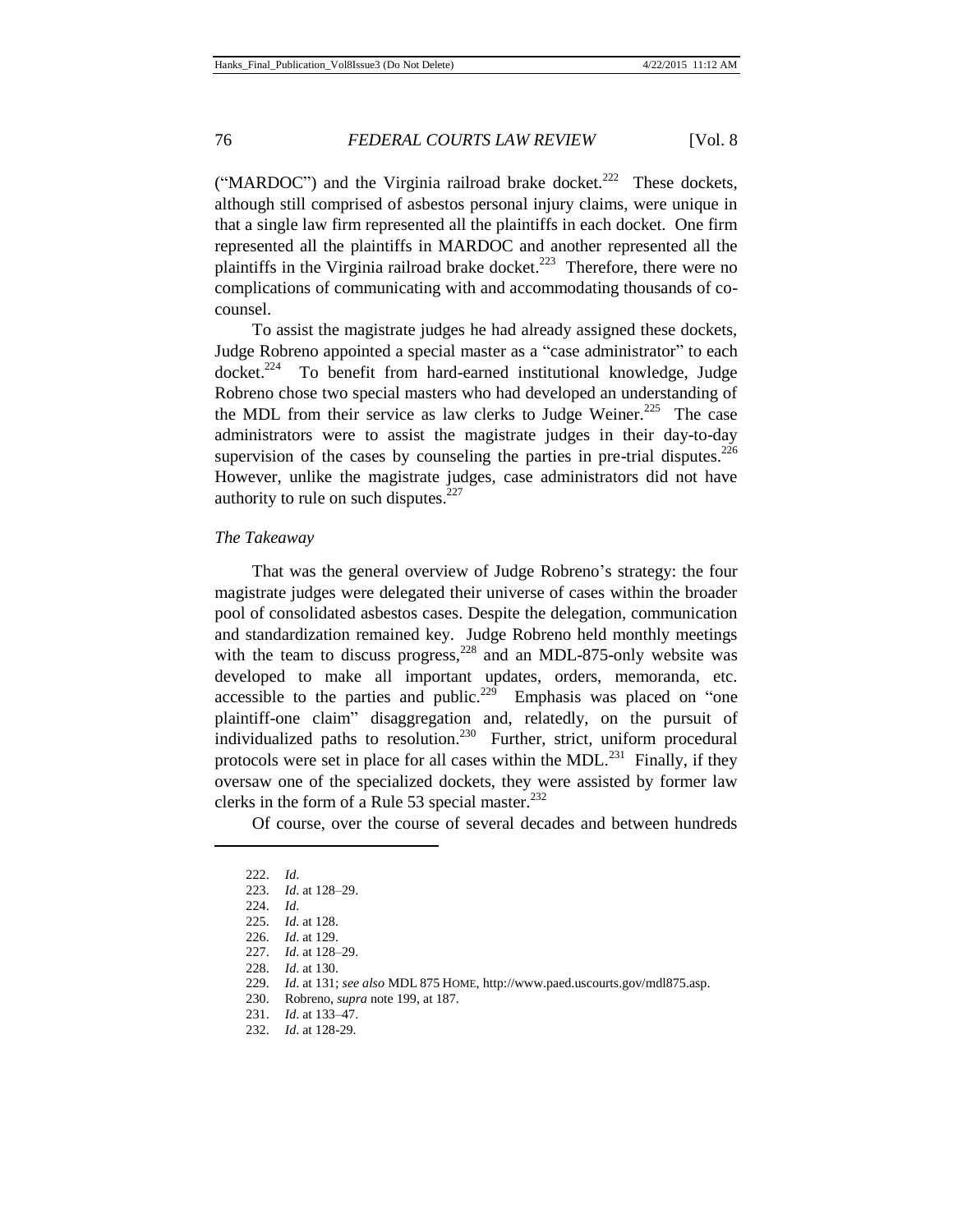("MARDOC") and the Virginia railroad brake docket.<sup>222</sup> These dockets, although still comprised of asbestos personal injury claims, were unique in that a single law firm represented all the plaintiffs in each docket. One firm represented all the plaintiffs in MARDOC and another represented all the plaintiffs in the Virginia railroad brake docket.<sup>223</sup> Therefore, there were no complications of communicating with and accommodating thousands of cocounsel.

To assist the magistrate judges he had already assigned these dockets, Judge Robreno appointed a special master as a "case administrator" to each docket.<sup>224</sup> To benefit from hard-earned institutional knowledge, Judge Robreno chose two special masters who had developed an understanding of the MDL from their service as law clerks to Judge Weiner.<sup>225</sup> The case administrators were to assist the magistrate judges in their day-to-day supervision of the cases by counseling the parties in pre-trial disputes.<sup>226</sup> However, unlike the magistrate judges, case administrators did not have authority to rule on such disputes. $227$ 

## *The Takeaway*

That was the general overview of Judge Robreno's strategy: the four magistrate judges were delegated their universe of cases within the broader pool of consolidated asbestos cases. Despite the delegation, communication and standardization remained key. Judge Robreno held monthly meetings with the team to discuss progress, $228$  and an MDL-875-only website was developed to make all important updates, orders, memoranda, etc. accessible to the parties and public.<sup>229</sup> Emphasis was placed on "one" plaintiff-one claim" disaggregation and, relatedly, on the pursuit of individualized paths to resolution.<sup>230</sup> Further, strict, uniform procedural protocols were set in place for all cases within the MDL. $^{231}$  Finally, if they oversaw one of the specialized dockets, they were assisted by former law clerks in the form of a Rule 53 special master. $^{232}$ 

Of course, over the course of several decades and between hundreds

<sup>222.</sup> *Id*.

<sup>223.</sup> *Id*. at 128–29.

<sup>224.</sup> *Id*.

<sup>225.</sup> *Id*. at 128.

<sup>226.</sup> *Id*. at 129.

<sup>227.</sup> *Id*. at 128–29.

<sup>228.</sup> *Id*. at 130.

<sup>229.</sup> *Id*. at 131; *see also* MDL 875 HOME, http://www.paed.uscourts.gov/mdl875.asp.

<sup>230.</sup> Robreno, *supra* note 199, at 187.

<sup>231.</sup> *Id*. at 133–47.

<sup>232.</sup> *Id*. at 128-29.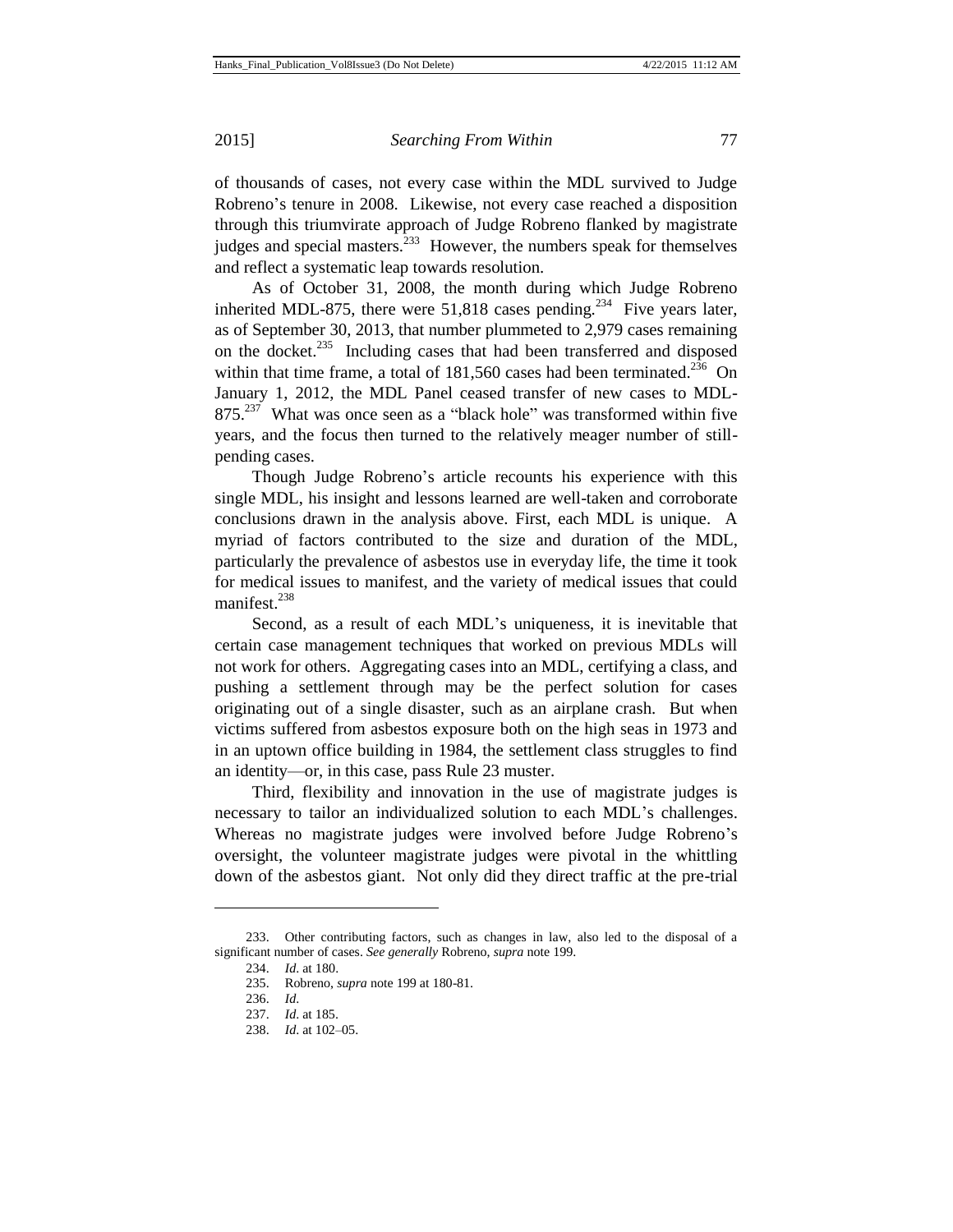of thousands of cases, not every case within the MDL survived to Judge Robreno's tenure in 2008. Likewise, not every case reached a disposition through this triumvirate approach of Judge Robreno flanked by magistrate judges and special masters. $^{233}$  However, the numbers speak for themselves and reflect a systematic leap towards resolution.

As of October 31, 2008, the month during which Judge Robreno inherited MDL-875, there were  $51,818$  cases pending.<sup>234</sup> Five years later, as of September 30, 2013, that number plummeted to 2,979 cases remaining on the docket.<sup>235</sup> Including cases that had been transferred and disposed within that time frame, a total of  $181,560$  cases had been terminated.<sup>236</sup> On January 1, 2012, the MDL Panel ceased transfer of new cases to MDL- $875.<sup>237</sup>$  What was once seen as a "black hole" was transformed within five years, and the focus then turned to the relatively meager number of stillpending cases.

Though Judge Robreno's article recounts his experience with this single MDL, his insight and lessons learned are well-taken and corroborate conclusions drawn in the analysis above. First, each MDL is unique. A myriad of factors contributed to the size and duration of the MDL, particularly the prevalence of asbestos use in everyday life, the time it took for medical issues to manifest, and the variety of medical issues that could manifest. $238$ 

Second, as a result of each MDL's uniqueness, it is inevitable that certain case management techniques that worked on previous MDLs will not work for others. Aggregating cases into an MDL, certifying a class, and pushing a settlement through may be the perfect solution for cases originating out of a single disaster, such as an airplane crash. But when victims suffered from asbestos exposure both on the high seas in 1973 and in an uptown office building in 1984, the settlement class struggles to find an identity—or, in this case, pass Rule 23 muster.

Third, flexibility and innovation in the use of magistrate judges is necessary to tailor an individualized solution to each MDL's challenges. Whereas no magistrate judges were involved before Judge Robreno's oversight, the volunteer magistrate judges were pivotal in the whittling down of the asbestos giant. Not only did they direct traffic at the pre-trial

<sup>233.</sup> Other contributing factors, such as changes in law, also led to the disposal of a significant number of cases. *See generally* Robreno, *supra* note 199.

<sup>234.</sup> *Id*. at 180.

<sup>235.</sup> Robreno, *supra* note 199 at 180-81.

<sup>236.</sup> *Id*.

<sup>237.</sup> *Id*. at 185.

<sup>238.</sup> *Id*. at 102–05.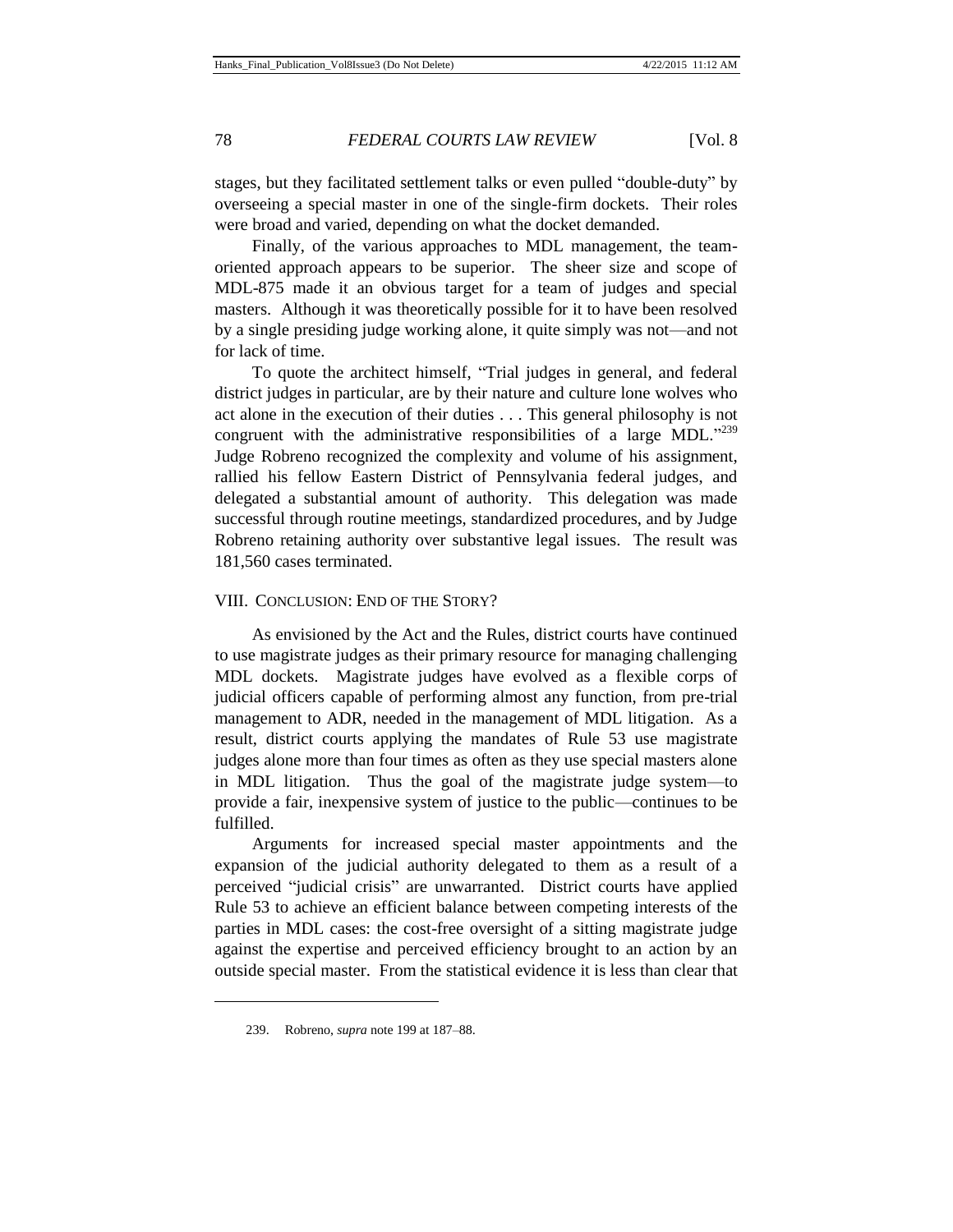stages, but they facilitated settlement talks or even pulled "double-duty" by overseeing a special master in one of the single-firm dockets. Their roles were broad and varied, depending on what the docket demanded.

Finally, of the various approaches to MDL management, the teamoriented approach appears to be superior. The sheer size and scope of MDL-875 made it an obvious target for a team of judges and special masters. Although it was theoretically possible for it to have been resolved by a single presiding judge working alone, it quite simply was not—and not for lack of time.

To quote the architect himself, "Trial judges in general, and federal district judges in particular, are by their nature and culture lone wolves who act alone in the execution of their duties . . . This general philosophy is not congruent with the administrative responsibilities of a large MDL."<sup>239</sup> Judge Robreno recognized the complexity and volume of his assignment, rallied his fellow Eastern District of Pennsylvania federal judges, and delegated a substantial amount of authority. This delegation was made successful through routine meetings, standardized procedures, and by Judge Robreno retaining authority over substantive legal issues. The result was 181,560 cases terminated.

## VIII. CONCLUSION: END OF THE STORY?

As envisioned by the Act and the Rules, district courts have continued to use magistrate judges as their primary resource for managing challenging MDL dockets. Magistrate judges have evolved as a flexible corps of judicial officers capable of performing almost any function, from pre-trial management to ADR, needed in the management of MDL litigation. As a result, district courts applying the mandates of Rule 53 use magistrate judges alone more than four times as often as they use special masters alone in MDL litigation. Thus the goal of the magistrate judge system—to provide a fair, inexpensive system of justice to the public—continues to be fulfilled.

Arguments for increased special master appointments and the expansion of the judicial authority delegated to them as a result of a perceived "judicial crisis" are unwarranted. District courts have applied Rule 53 to achieve an efficient balance between competing interests of the parties in MDL cases: the cost-free oversight of a sitting magistrate judge against the expertise and perceived efficiency brought to an action by an outside special master. From the statistical evidence it is less than clear that

<sup>239.</sup> Robreno, *supra* note 199 at 187–88.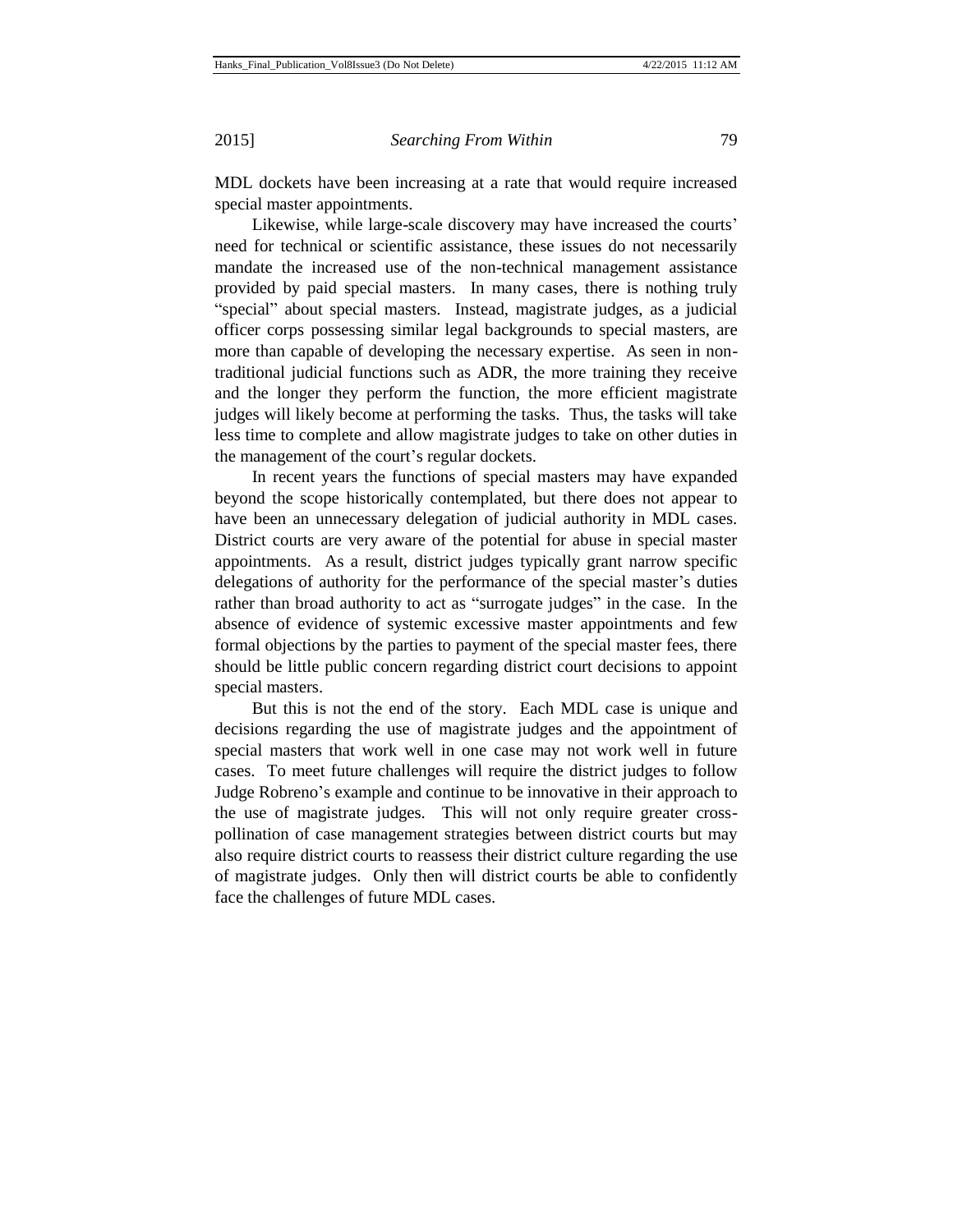MDL dockets have been increasing at a rate that would require increased special master appointments.

Likewise, while large-scale discovery may have increased the courts' need for technical or scientific assistance, these issues do not necessarily mandate the increased use of the non-technical management assistance provided by paid special masters. In many cases, there is nothing truly "special" about special masters. Instead, magistrate judges, as a judicial officer corps possessing similar legal backgrounds to special masters, are more than capable of developing the necessary expertise. As seen in nontraditional judicial functions such as ADR, the more training they receive and the longer they perform the function, the more efficient magistrate judges will likely become at performing the tasks. Thus, the tasks will take less time to complete and allow magistrate judges to take on other duties in the management of the court's regular dockets.

In recent years the functions of special masters may have expanded beyond the scope historically contemplated, but there does not appear to have been an unnecessary delegation of judicial authority in MDL cases. District courts are very aware of the potential for abuse in special master appointments. As a result, district judges typically grant narrow specific delegations of authority for the performance of the special master's duties rather than broad authority to act as "surrogate judges" in the case. In the absence of evidence of systemic excessive master appointments and few formal objections by the parties to payment of the special master fees, there should be little public concern regarding district court decisions to appoint special masters.

But this is not the end of the story. Each MDL case is unique and decisions regarding the use of magistrate judges and the appointment of special masters that work well in one case may not work well in future cases. To meet future challenges will require the district judges to follow Judge Robreno's example and continue to be innovative in their approach to the use of magistrate judges. This will not only require greater crosspollination of case management strategies between district courts but may also require district courts to reassess their district culture regarding the use of magistrate judges. Only then will district courts be able to confidently face the challenges of future MDL cases.